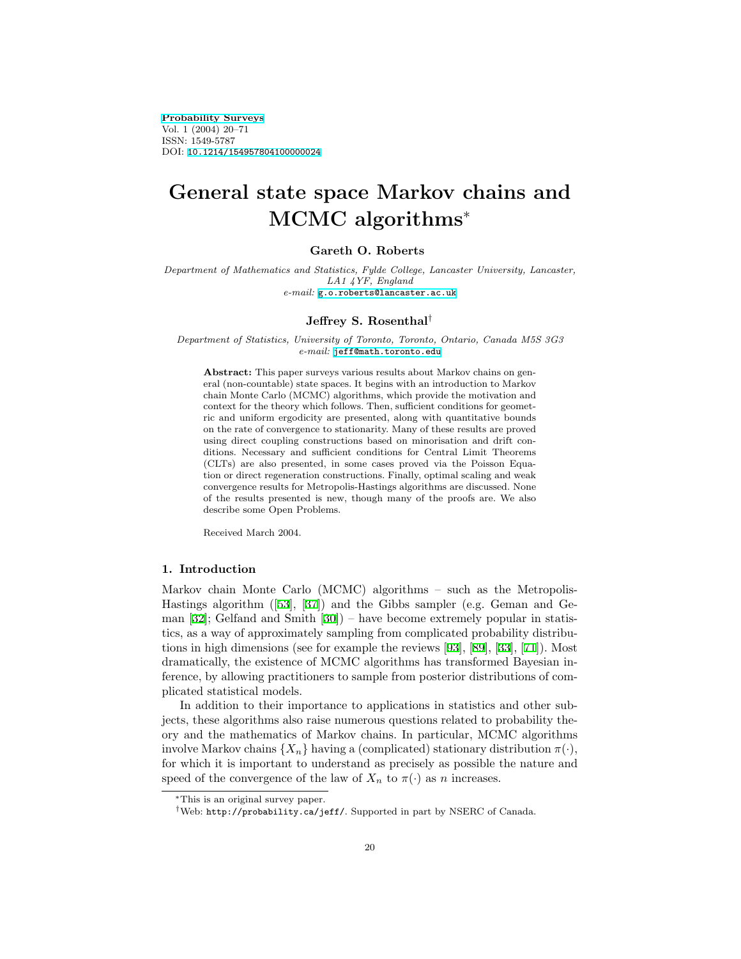[Probability Surveys](http://stat-www.berkeley.edu/users/prsurvey) Vol. 1 (2004) 20–71 ISSN: 1549-5787 DOI: [10.1214/154957804100000024](http://dx.doi.org/10.1214/154957804100000024)

# General state space Markov chains and MCMC algorithms<sup>∗</sup>

# Gareth O. Roberts

Department of Mathematics and Statistics, Fylde College, Lancaster University, Lancaster, LA1 4YF, England e-mail: [g.o.roberts@lancaster.ac.uk](mailto:g.o.roberts@lancaster.ac.uk)

#### Jeffrey S. Rosenthal†

Department of Statistics, University of Toronto, Toronto, Ontario, Canada M5S 3G3 e-mail: [jeff@math.toronto.edu](mailto:jeff@math.toronto.edu)

Abstract: This paper surveys various results about Markov chains on general (non-countable) state spaces. It begins with an introduction to Markov chain Monte Carlo (MCMC) algorithms, which provide the motivation and context for the theory which follows. Then, sufficient conditions for geometric and uniform ergodicity are presented, along with quantitative bounds on the rate of convergence to stationarity. Many of these results are proved using direct coupling constructions based on minorisation and drift conditions. Necessary and sufficient conditions for Central Limit Theorems (CLTs) are also presented, in some cases proved via the Poisson Equation or direct regeneration constructions. Finally, optimal scaling and weak convergence results for Metropolis-Hastings algorithms are discussed. None of the results presented is new, though many of the proofs are. We also describe some Open Problems.

Received March 2004.

# 1. Introduction

Markov chain Monte Carlo (MCMC) algorithms – such as the Metropolis-Hastings algorithm ([\[53](#page-48-0)], [\[37](#page-47-0)]) and the Gibbs sampler (e.g. Geman and Geman[[32\]](#page-47-1); Gelfand and Smith[[30\]](#page-46-0)) – have become extremely popular in statistics, as a way of approximately sampling from complicated probability distributions in high dimensions (see for example the reviews [\[93](#page-51-0)],[[89\]](#page-50-0),[[33\]](#page-47-2), [\[71](#page-49-0)]). Most dramatically, the existence of MCMC algorithms has transformed Bayesian inference, by allowing practitioners to sample from posterior distributions of complicated statistical models.

In addition to their importance to applications in statistics and other subjects, these algorithms also raise numerous questions related to probability theory and the mathematics of Markov chains. In particular, MCMC algorithms involve Markov chains  $\{X_n\}$  having a (complicated) stationary distribution  $\pi(\cdot)$ , for which it is important to understand as precisely as possible the nature and speed of the convergence of the law of  $X_n$  to  $\pi(\cdot)$  as n increases.

<sup>∗</sup>This is an original survey paper.

<sup>†</sup>Web: http://probability.ca/jeff/. Supported in part by NSERC of Canada.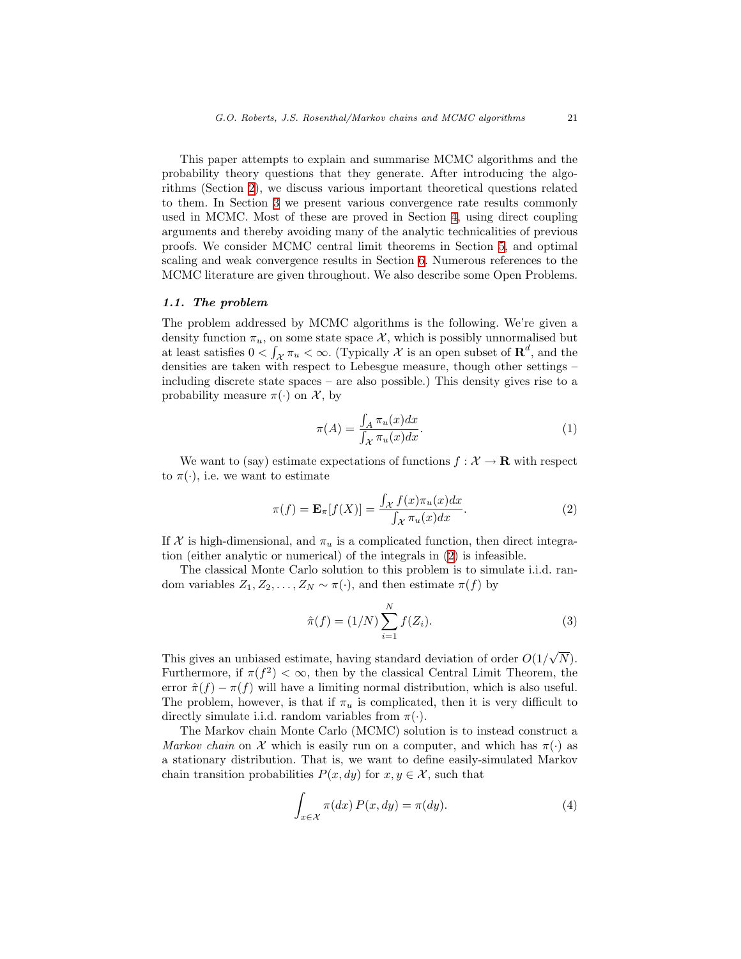This paper attempts to explain and summarise MCMC algorithms and the probability theory questions that they generate. After introducing the algorithms (Section [2\)](#page-3-0), we discuss various important theoretical questions related to them. In Section [3](#page-8-0) we present various convergence rate results commonly used in MCMC. Most of these are proved in Section [4,](#page-22-0) using direct coupling arguments and thereby avoiding many of the analytic technicalities of previous proofs. We consider MCMC central limit theorems in Section [5](#page-32-0), and optimal scaling and weak convergence results in Section [6](#page-40-0). Numerous references to the MCMC literature are given throughout. We also describe some Open Problems.

#### 1.1. The problem

The problem addressed by MCMC algorithms is the following. We're given a density function  $\pi_u$ , on some state space X, which is possibly unnormalised but at least satisfies  $0 < \int_{\mathcal{X}} \pi_u < \infty$ . (Typically X is an open subset of  $\mathbb{R}^d$ , and the densities are taken with respect to Lebesgue measure, though other settings – including discrete state spaces – are also possible.) This density gives rise to a probability measure  $\pi(\cdot)$  on X, by

<span id="page-1-3"></span>
$$
\pi(A) = \frac{\int_A \pi_u(x) dx}{\int_{\mathcal{X}} \pi_u(x) dx}.
$$
\n(1)

We want to (say) estimate expectations of functions  $f: \mathcal{X} \to \mathbf{R}$  with respect to  $\pi(\cdot)$ , i.e. we want to estimate

<span id="page-1-0"></span>
$$
\pi(f) = \mathbf{E}_{\pi}[f(X)] = \frac{\int_{\mathcal{X}} f(x)\pi_u(x)dx}{\int_{\mathcal{X}} \pi_u(x)dx}.
$$
\n(2)

If X is high-dimensional, and  $\pi_u$  is a complicated function, then direct integration (either analytic or numerical) of the integrals in [\(2](#page-1-0)) is infeasible.

The classical Monte Carlo solution to this problem is to simulate i.i.d. random variables  $Z_1, Z_2, \ldots, Z_N \sim \pi(\cdot)$ , and then estimate  $\pi(f)$  by

<span id="page-1-1"></span>
$$
\hat{\pi}(f) = (1/N) \sum_{i=1}^{N} f(Z_i).
$$
 (3)

This gives an unbiased estimate, having standard deviation of order  $O(1)$  $N).$ Furthermore, if  $\pi(f^2) < \infty$ , then by the classical Central Limit Theorem, the error  $\hat{\pi}(f) - \pi(f)$  will have a limiting normal distribution, which is also useful. The problem, however, is that if  $\pi_u$  is complicated, then it is very difficult to directly simulate i.i.d. random variables from  $\pi(\cdot)$ .

The Markov chain Monte Carlo (MCMC) solution is to instead construct a Markov chain on X which is easily run on a computer, and which has  $\pi(\cdot)$  as a stationary distribution. That is, we want to define easily-simulated Markov chain transition probabilities  $P(x, dy)$  for  $x, y \in \mathcal{X}$ , such that

<span id="page-1-2"></span>
$$
\int_{x \in \mathcal{X}} \pi(dx) P(x, dy) = \pi(dy). \tag{4}
$$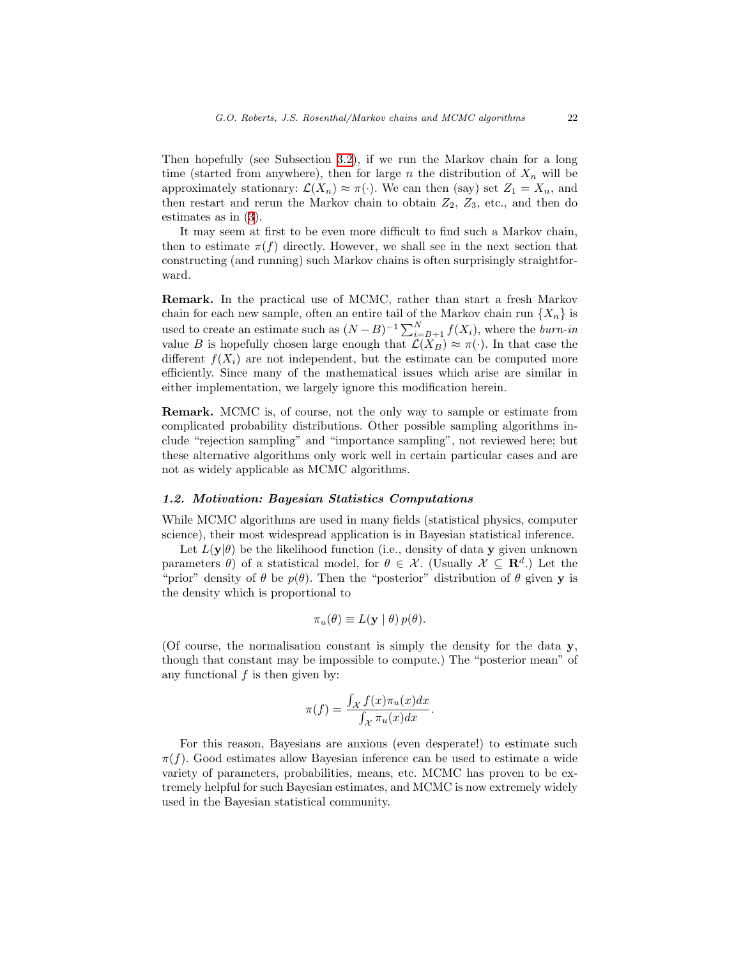Then hopefully (see Subsection [3.2](#page-10-0)), if we run the Markov chain for a long time (started from anywhere), then for large n the distribution of  $X_n$  will be approximately stationary:  $\mathcal{L}(X_n) \approx \pi(\cdot)$ . We can then (say) set  $Z_1 = X_n$ , and then restart and rerun the Markov chain to obtain  $Z_2$ ,  $Z_3$ , etc., and then do estimates as in [\(3](#page-1-1)).

It may seem at first to be even more difficult to find such a Markov chain, then to estimate  $\pi(f)$  directly. However, we shall see in the next section that constructing (and running) such Markov chains is often surprisingly straightforward.

Remark. In the practical use of MCMC, rather than start a fresh Markov chain for each new sample, often an entire tail of the Markov chain run  $\{X_n\}$  is used to create an estimate such as  $(N - B)^{-1} \sum_{i=B+1}^{N} f(X_i)$ , where the *burn-in* value B is hopefully chosen large enough that  $\mathcal{L}(X_B) \approx \pi(\cdot)$ . In that case the different  $f(X_i)$  are not independent, but the estimate can be computed more efficiently. Since many of the mathematical issues which arise are similar in either implementation, we largely ignore this modification herein.

Remark. MCMC is, of course, not the only way to sample or estimate from complicated probability distributions. Other possible sampling algorithms include "rejection sampling" and "importance sampling", not reviewed here; but these alternative algorithms only work well in certain particular cases and are not as widely applicable as MCMC algorithms.

# 1.2. Motivation: Bayesian Statistics Computations

While MCMC algorithms are used in many fields (statistical physics, computer science), their most widespread application is in Bayesian statistical inference.

Let  $L(\mathbf{y}|\theta)$  be the likelihood function (i.e., density of data y given unknown parameters  $\theta$ ) of a statistical model, for  $\theta \in \mathcal{X}$ . (Usually  $\mathcal{X} \subseteq \mathbb{R}^d$ .) Let the "prior" density of  $\theta$  be  $p(\theta)$ . Then the "posterior" distribution of  $\theta$  given y is the density which is proportional to

$$
\pi_u(\theta) \equiv L(\mathbf{y} \mid \theta) \, p(\theta).
$$

(Of course, the normalisation constant is simply the density for the data  $\mathbf{v}$ , though that constant may be impossible to compute.) The "posterior mean" of any functional  $f$  is then given by:

$$
\pi(f) = \frac{\int_{\mathcal{X}} f(x)\pi_u(x)dx}{\int_{\mathcal{X}} \pi_u(x)dx}.
$$

For this reason, Bayesians are anxious (even desperate!) to estimate such  $\pi(f)$ . Good estimates allow Bayesian inference can be used to estimate a wide variety of parameters, probabilities, means, etc. MCMC has proven to be extremely helpful for such Bayesian estimates, and MCMC is now extremely widely used in the Bayesian statistical community.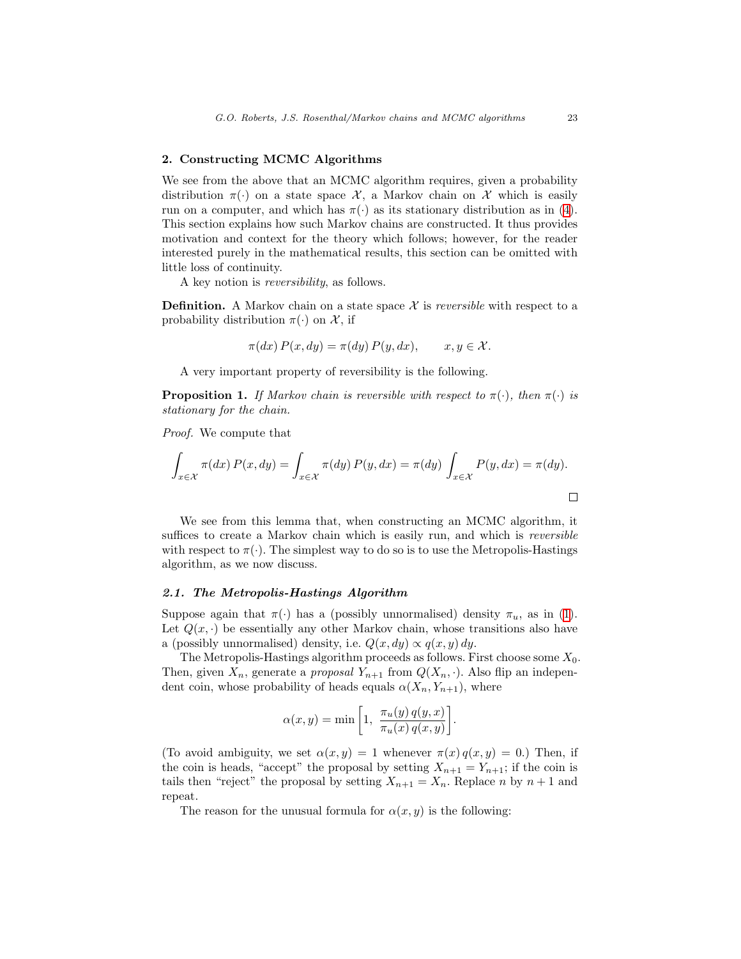# <span id="page-3-0"></span>2. Constructing MCMC Algorithms

We see from the above that an MCMC algorithm requires, given a probability distribution  $\pi(\cdot)$  on a state space X, a Markov chain on X which is easily runon a computer, and which has  $\pi(\cdot)$  as its stationary distribution as in ([4\)](#page-1-2). This section explains how such Markov chains are constructed. It thus provides motivation and context for the theory which follows; however, for the reader interested purely in the mathematical results, this section can be omitted with little loss of continuity.

A key notion is reversibility, as follows.

**Definition.** A Markov chain on a state space  $\mathcal{X}$  is *reversible* with respect to a probability distribution  $\pi(\cdot)$  on X, if

$$
\pi(dx) P(x, dy) = \pi(dy) P(y, dx), \qquad x, y \in \mathcal{X}.
$$

A very important property of reversibility is the following.

**Proposition 1.** If Markov chain is reversible with respect to  $\pi(\cdot)$ , then  $\pi(\cdot)$  is stationary for the chain.

Proof. We compute that

$$
\int_{x \in \mathcal{X}} \pi(dx) P(x, dy) = \int_{x \in \mathcal{X}} \pi(dy) P(y, dx) = \pi(dy) \int_{x \in \mathcal{X}} P(y, dx) = \pi(dy).
$$

We see from this lemma that, when constructing an MCMC algorithm, it suffices to create a Markov chain which is easily run, and which is reversible with respect to  $\pi(\cdot)$ . The simplest way to do so is to use the Metropolis-Hastings algorithm, as we now discuss.

#### 2.1. The Metropolis-Hastings Algorithm

Supposeagain that  $\pi(\cdot)$  has a (possibly unnormalised) density  $\pi_u$ , as in ([1\)](#page-1-3). Let  $Q(x, \cdot)$  be essentially any other Markov chain, whose transitions also have a (possibly unnormalised) density, i.e.  $Q(x, dy) \propto q(x, y) dy$ .

The Metropolis-Hastings algorithm proceeds as follows. First choose some  $X_0$ . Then, given  $X_n$ , generate a *proposal*  $Y_{n+1}$  from  $Q(X_n, \cdot)$ . Also flip an independent coin, whose probability of heads equals  $\alpha(X_n, Y_{n+1})$ , where

$$
\alpha(x, y) = \min\left[1, \frac{\pi_u(y) q(y, x)}{\pi_u(x) q(x, y)}\right].
$$

(To avoid ambiguity, we set  $\alpha(x, y) = 1$  whenever  $\pi(x) q(x, y) = 0$ .) Then, if the coin is heads, "accept" the proposal by setting  $X_{n+1} = Y_{n+1}$ ; if the coin is tails then "reject" the proposal by setting  $X_{n+1} = X_n$ . Replace n by  $n+1$  and repeat.

The reason for the unusual formula for  $\alpha(x, y)$  is the following: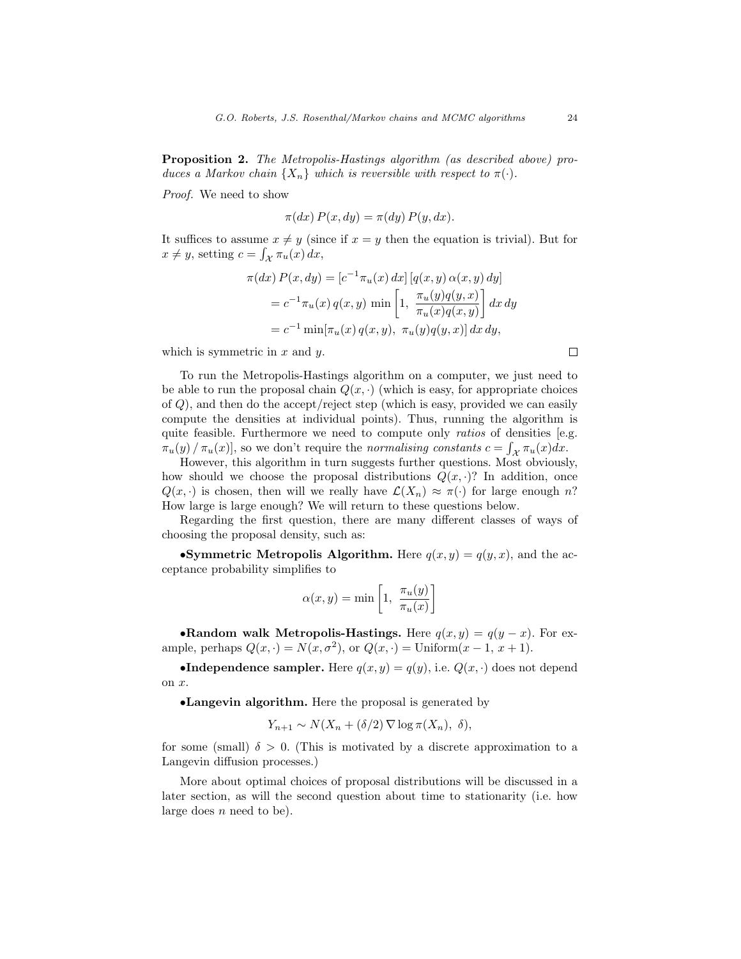Proposition 2. The Metropolis-Hastings algorithm (as described above) produces a Markov chain  $\{X_n\}$  which is reversible with respect to  $\pi(\cdot)$ .

Proof. We need to show

$$
\pi(dx) P(x, dy) = \pi(dy) P(y, dx).
$$

It suffices to assume  $x \neq y$  (since if  $x = y$  then the equation is trivial). But for  $x \neq y$ , setting  $c = \int_{\mathcal{X}} \pi_u(x) dx$ ,

$$
\pi(dx) P(x, dy) = [c^{-1} \pi_u(x) dx] [q(x, y) \alpha(x, y) dy]
$$
  
=  $c^{-1} \pi_u(x) q(x, y) \min \left[1, \frac{\pi_u(y) q(y, x)}{\pi_u(x) q(x, y)}\right] dx dy$   
=  $c^{-1} \min[\pi_u(x) q(x, y), \pi_u(y) q(y, x)] dx dy$ ,

which is symmetric in  $x$  and  $y$ .

To run the Metropolis-Hastings algorithm on a computer, we just need to be able to run the proposal chain  $Q(x, \cdot)$  (which is easy, for appropriate choices of Q), and then do the accept/reject step (which is easy, provided we can easily compute the densities at individual points). Thus, running the algorithm is quite feasible. Furthermore we need to compute only *ratios* of densities [e.g.  $\pi_u(y) / \pi_u(x)$ , so we don't require the normalising constants  $c = \int_{\mathcal{X}} \pi_u(x) dx$ .

However, this algorithm in turn suggests further questions. Most obviously, how should we choose the proposal distributions  $Q(x, \cdot)$ ? In addition, once  $Q(x, \cdot)$  is chosen, then will we really have  $\mathcal{L}(X_n) \approx \pi(\cdot)$  for large enough n? How large is large enough? We will return to these questions below.

Regarding the first question, there are many different classes of ways of choosing the proposal density, such as:

•Symmetric Metropolis Algorithm. Here  $q(x, y) = q(y, x)$ , and the acceptance probability simplifies to

$$
\alpha(x, y) = \min\left[1, \frac{\pi_u(y)}{\pi_u(x)}\right]
$$

•Random walk Metropolis-Hastings. Here  $q(x, y) = q(y - x)$ . For example, perhaps  $Q(x, \cdot) = N(x, \sigma^2)$ , or  $Q(x, \cdot) = \text{Uniform}(x - 1, x + 1)$ .

•Independence sampler. Here  $q(x, y) = q(y)$ , i.e.  $Q(x, \cdot)$  does not depend on x.

•Langevin algorithm. Here the proposal is generated by

$$
Y_{n+1} \sim N(X_n + (\delta/2) \nabla \log \pi(X_n), \delta),
$$

for some (small)  $\delta > 0$ . (This is motivated by a discrete approximation to a Langevin diffusion processes.)

More about optimal choices of proposal distributions will be discussed in a later section, as will the second question about time to stationarity (i.e. how large does  $n$  need to be).

 $\Box$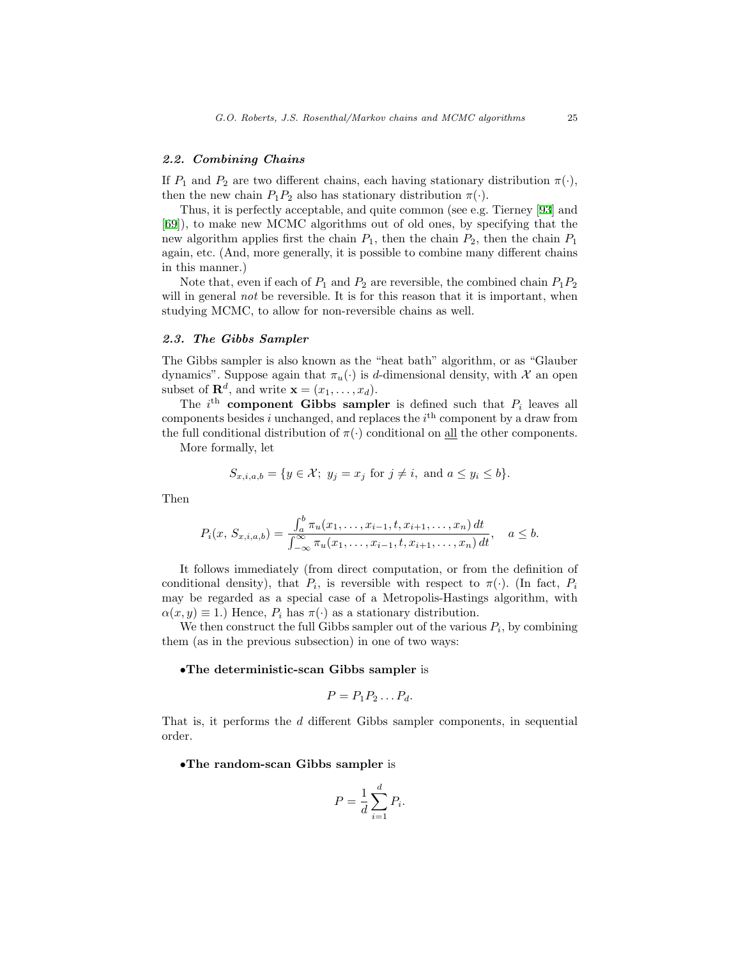# 2.2. Combining Chains

If  $P_1$  and  $P_2$  are two different chains, each having stationary distribution  $\pi(\cdot)$ , then the new chain  $P_1P_2$  also has stationary distribution  $\pi(\cdot)$ .

Thus, it is perfectly acceptable, and quite common (see e.g. Tierney[[93\]](#page-51-0) and [[69](#page-49-1)]), to make new MCMC algorithms out of old ones, by specifying that the new algorithm applies first the chain  $P_1$ , then the chain  $P_2$ , then the chain  $P_1$ again, etc. (And, more generally, it is possible to combine many different chains in this manner.)

Note that, even if each of  $P_1$  and  $P_2$  are reversible, the combined chain  $P_1P_2$ will in general *not* be reversible. It is for this reason that it is important, when studying MCMC, to allow for non-reversible chains as well.

# 2.3. The Gibbs Sampler

The Gibbs sampler is also known as the "heat bath" algorithm, or as "Glauber dynamics". Suppose again that  $\pi_u(\cdot)$  is d-dimensional density, with X an open subset of  $\mathbf{R}^d$ , and write  $\mathbf{x} = (x_1, \dots, x_d)$ .

The  $i^{\text{th}}$  component Gibbs sampler is defined such that  $P_i$  leaves all components besides i unchanged, and replaces the  $i<sup>th</sup>$  component by a draw from the full conditional distribution of  $\pi(\cdot)$  conditional on <u>all</u> the other components.

More formally, let

$$
S_{x,i,a,b} = \{ y \in \mathcal{X}; y_j = x_j \text{ for } j \neq i, \text{ and } a \leq y_i \leq b \}.
$$

Then

$$
P_i(x, S_{x,i,a,b}) = \frac{\int_a^b \pi_u(x_1, \dots, x_{i-1}, t, x_{i+1}, \dots, x_n) dt}{\int_{-\infty}^{\infty} \pi_u(x_1, \dots, x_{i-1}, t, x_{i+1}, \dots, x_n) dt}, \quad a \le b.
$$

It follows immediately (from direct computation, or from the definition of conditional density), that  $P_i$ , is reversible with respect to  $\pi(\cdot)$ . (In fact,  $P_i$ may be regarded as a special case of a Metropolis-Hastings algorithm, with  $\alpha(x, y) \equiv 1$ .) Hence,  $P_i$  has  $\pi(\cdot)$  as a stationary distribution.

We then construct the full Gibbs sampler out of the various  $P_i$ , by combining them (as in the previous subsection) in one of two ways:

#### •The deterministic-scan Gibbs sampler is

$$
P = P_1 P_2 \dots P_d.
$$

That is, it performs the d different Gibbs sampler components, in sequential order.

•The random-scan Gibbs sampler is

$$
P = \frac{1}{d} \sum_{i=1}^{d} P_i.
$$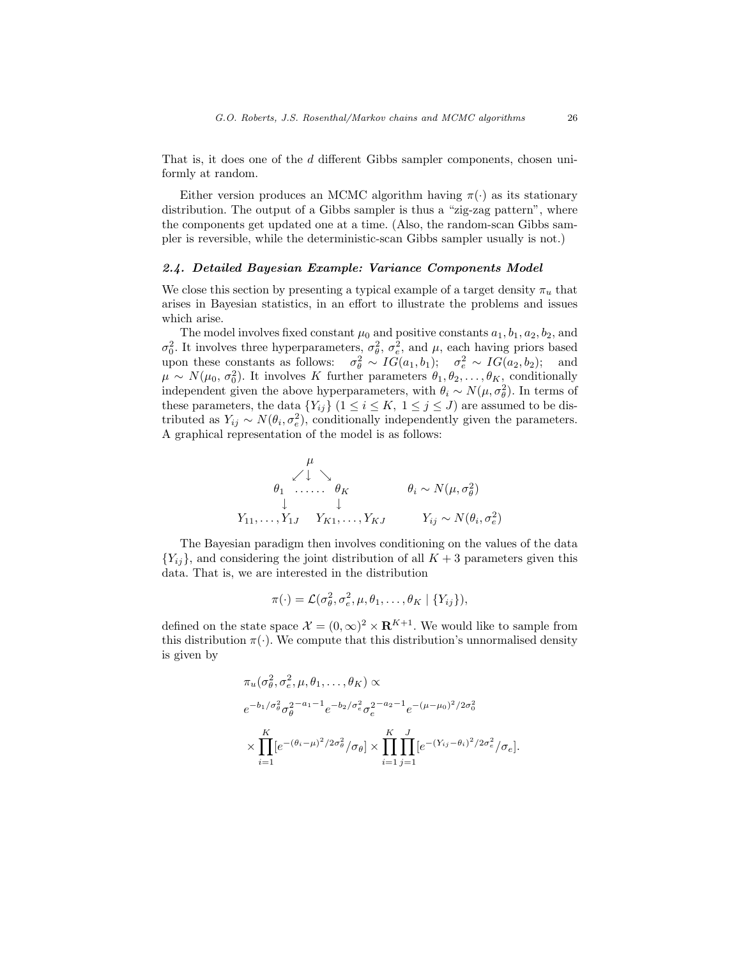That is, it does one of the d different Gibbs sampler components, chosen uniformly at random.

Either version produces an MCMC algorithm having  $\pi(\cdot)$  as its stationary distribution. The output of a Gibbs sampler is thus a "zig-zag pattern", where the components get updated one at a time. (Also, the random-scan Gibbs sampler is reversible, while the deterministic-scan Gibbs sampler usually is not.)

# 2.4. Detailed Bayesian Example: Variance Components Model

We close this section by presenting a typical example of a target density  $\pi_u$  that arises in Bayesian statistics, in an effort to illustrate the problems and issues which arise.

The model involves fixed constant  $\mu_0$  and positive constants  $a_1, b_1, a_2, b_2$ , and  $\sigma_0^2$ . It involves three hyperparameters,  $\sigma_\theta^2$ ,  $\sigma_e^2$ , and μ, each having priors based upon these constants as follows:  $\sigma_{\theta}^2 \sim IG(a_1, b_1); \quad \sigma_{e}^2 \sim IG(a_2, b_2);$  and  $\mu \sim N(\mu_0, \sigma_0^2)$ . It involves K further parameters  $\theta_1, \theta_2, \ldots, \theta_K$ , conditionally independent given the above hyperparameters, with  $\theta_i \sim N(\mu, \sigma_\theta^2)$ . In terms of these parameters, the data  $\{Y_{ij}\}\ (1 \leq i \leq K, \ 1 \leq j \leq J)$  are assumed to be distributed as  $Y_{ij} \sim N(\theta_i, \sigma_e^2)$ , conditionally independently given the parameters. A graphical representation of the model is as follows:

$$
\mu
$$
\n
$$
\theta_1 \quad \dots \quad \theta_K \qquad \qquad \theta_i \sim N(\mu, \sigma_\theta^2)
$$
\n
$$
\downarrow \qquad \qquad \downarrow
$$
\n
$$
Y_{11}, \dots, Y_{1J} \qquad Y_{K1}, \dots, Y_{KJ} \qquad \qquad Y_{ij} \sim N(\theta_i, \sigma_e^2)
$$

The Bayesian paradigm then involves conditioning on the values of the data  ${Y_{ii}}$ , and considering the joint distribution of all  $K+3$  parameters given this data. That is, we are interested in the distribution

$$
\pi(\cdot) = \mathcal{L}(\sigma_{\theta}^2, \sigma_{e}^2, \mu, \theta_1, \ldots, \theta_K | \{Y_{ij}\}),
$$

defined on the state space  $\mathcal{X} = (0, \infty)^2 \times \mathbf{R}^{K+1}$ . We would like to sample from this distribution  $\pi(\cdot)$ . We compute that this distribution's unnormalised density is given by

$$
\pi_u(\sigma_\theta^2, \sigma_e^2, \mu, \theta_1, \dots, \theta_K) \propto
$$
  
\n
$$
e^{-b_1/\sigma_\theta^2} \sigma_\theta^{2-a_1-1} e^{-b_2/\sigma_e^2} \sigma_e^{2-a_2-1} e^{-(\mu-\mu_0)^2/2\sigma_0^2}
$$
  
\n
$$
\times \prod_{i=1}^K [e^{-(\theta_i-\mu)^2/2\sigma_\theta^2}/\sigma_\theta] \times \prod_{i=1}^K \prod_{j=1}^J [e^{-(Y_{ij}-\theta_i)^2/2\sigma_e^2}/\sigma_e].
$$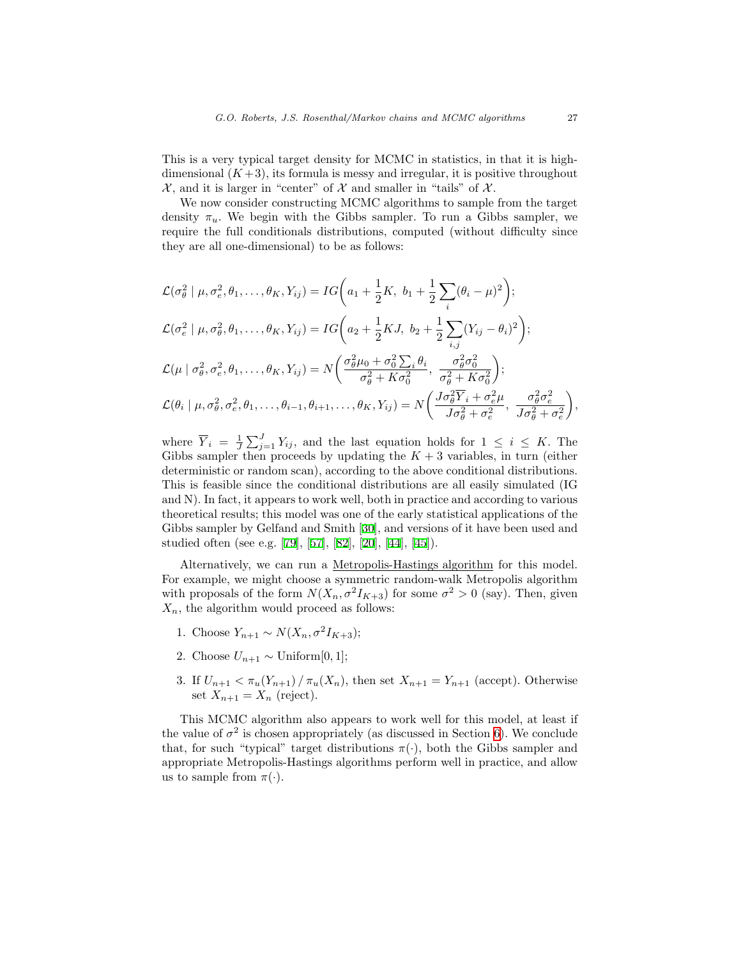This is a very typical target density for MCMC in statistics, in that it is highdimensional  $(K+3)$ , its formula is messy and irregular, it is positive throughout  $\mathcal{X}$ , and it is larger in "center" of  $\mathcal{X}$  and smaller in "tails" of  $\mathcal{X}$ .

We now consider constructing MCMC algorithms to sample from the target density  $\pi_u$ . We begin with the Gibbs sampler. To run a Gibbs sampler, we require the full conditionals distributions, computed (without difficulty since they are all one-dimensional) to be as follows:

$$
\mathcal{L}(\sigma_{\theta}^{2} \mid \mu, \sigma_{e}^{2}, \theta_{1}, \dots, \theta_{K}, Y_{ij}) = IG\left(a_{1} + \frac{1}{2}K, b_{1} + \frac{1}{2}\sum_{i}(\theta_{i} - \mu)^{2}\right);
$$
\n
$$
\mathcal{L}(\sigma_{e}^{2} \mid \mu, \sigma_{\theta}^{2}, \theta_{1}, \dots, \theta_{K}, Y_{ij}) = IG\left(a_{2} + \frac{1}{2}KJ, b_{2} + \frac{1}{2}\sum_{i,j}(Y_{ij} - \theta_{i})^{2}\right);
$$
\n
$$
\mathcal{L}(\mu \mid \sigma_{\theta}^{2}, \sigma_{e}^{2}, \theta_{1}, \dots, \theta_{K}, Y_{ij}) = N\left(\frac{\sigma_{\theta}^{2}\mu_{0} + \sigma_{0}^{2}\sum_{i}\theta_{i}}{\sigma_{\theta}^{2} + K\sigma_{0}^{2}}, \frac{\sigma_{\theta}^{2}\sigma_{0}^{2}}{\sigma_{\theta}^{2} + K\sigma_{0}^{2}}\right);
$$
\n
$$
\mathcal{L}(\theta_{i} \mid \mu, \sigma_{\theta}^{2}, \sigma_{e}^{2}, \theta_{1}, \dots, \theta_{i-1}, \theta_{i+1}, \dots, \theta_{K}, Y_{ij}) = N\left(\frac{J\sigma_{\theta}^{2}\overline{Y}_{i} + \sigma_{e}^{2}\mu}{J\sigma_{\theta}^{2} + \sigma_{e}^{2}}, \frac{\sigma_{\theta}^{2}\sigma_{e}^{2}}{J\sigma_{\theta}^{2} + \sigma_{e}^{2}}\right),
$$

where  $\overline{Y}_i = \frac{1}{J} \sum_{j=1}^J Y_{ij}$ , and the last equation holds for  $1 \leq i \leq K$ . The Gibbs sampler then proceeds by updating the  $K + 3$  variables, in turn (either deterministic or random scan), according to the above conditional distributions. This is feasible since the conditional distributions are all easily simulated (IG and N). In fact, it appears to work well, both in practice and according to various theoretical results; this model was one of the early statistical applications of the Gibbs sampler by Gelfand and Smith [\[30](#page-46-0)], and versions of it have been used and studied often (see e.g.[[79\]](#page-50-1), [\[57](#page-48-1)], [\[82](#page-50-2)],[[20\]](#page-46-1), [\[44](#page-47-3)],[[45\]](#page-47-4)).

Alternatively, we can run a Metropolis-Hastings algorithm for this model. For example, we might choose a symmetric random-walk Metropolis algorithm with proposals of the form  $N(X_n, \sigma^2 I_{K+3})$  for some  $\sigma^2 > 0$  (say). Then, given  $X_n$ , the algorithm would proceed as follows:

- 1. Choose  $Y_{n+1} \sim N(X_n, \sigma^2 I_{K+3});$
- 2. Choose  $U_{n+1} \sim$  Uniform[0, 1];
- 3. If  $U_{n+1} < \pi_u(Y_{n+1}) / \pi_u(X_n)$ , then set  $X_{n+1} = Y_{n+1}$  (accept). Otherwise set  $X_{n+1} = X_n$  (reject).

This MCMC algorithm also appears to work well for this model, at least if the value of  $\sigma^2$  is chosen appropriately (as discussed in Section [6](#page-40-0)). We conclude that, for such "typical" target distributions  $\pi(\cdot)$ , both the Gibbs sampler and appropriate Metropolis-Hastings algorithms perform well in practice, and allow us to sample from  $\pi(\cdot)$ .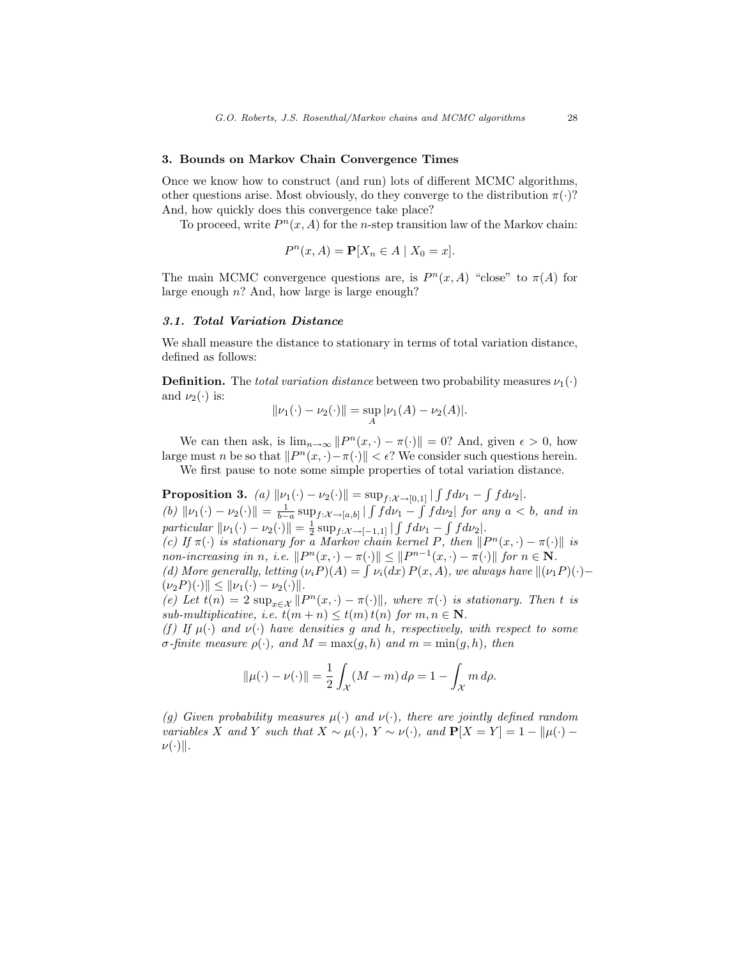# <span id="page-8-0"></span>3. Bounds on Markov Chain Convergence Times

Once we know how to construct (and run) lots of different MCMC algorithms, other questions arise. Most obviously, do they converge to the distribution  $\pi(\cdot)$ ? And, how quickly does this convergence take place?

To proceed, write  $P^n(x, A)$  for the *n*-step transition law of the Markov chain:

$$
P^n(x, A) = \mathbf{P}[X_n \in A \mid X_0 = x].
$$

The main MCMC convergence questions are, is  $P^{n}(x, A)$  "close" to  $\pi(A)$  for large enough  $n$ ? And, how large is large enough?

# 3.1. Total Variation Distance

We shall measure the distance to stationary in terms of total variation distance, defined as follows:

**Definition.** The total variation distance between two probability measures  $\nu_1(\cdot)$ and  $\nu_2(\cdot)$  is:

$$
\|\nu_1(\cdot) - \nu_2(\cdot)\| = \sup_A |\nu_1(A) - \nu_2(A)|.
$$

We can then ask, is  $\lim_{n\to\infty} ||P^n(x, \cdot) - \pi(\cdot)|| = 0$ ? And, given  $\epsilon > 0$ , how large must n be so that  $||P^n(x, \cdot) - \pi(\cdot)|| < \epsilon$ ? We consider such questions herein.

We first pause to note some simple properties of total variation distance.

<span id="page-8-1"></span>**Proposition 3.** (a)  $\|\nu_1(\cdot) - \nu_2(\cdot)\| = \sup_{f: \mathcal{X} \to [0,1]} |\int f d\nu_1 - \int f d\nu_2|$ . (b)  $\|\nu_1(\cdot) - \nu_2(\cdot)\| = \frac{1}{b-a} \sup_{f:\mathcal{X}\to[a,b]} |\int f d\nu_1 - \int f d\nu_2|$  for any  $a < b$ , and in particular  $\|\nu_1(\cdot) - \nu_2(\cdot)\| = \frac{1}{2} \sup_{f: \mathcal{X} \to [-1,1]} |\int f d\nu_1 - \int f d\nu_2|.$ (c) If  $\pi(\cdot)$  is stationary for a Markov chain kernel P, then  $||P^n(x, \cdot) - \pi(\cdot)||$  is non-increasing in n, i.e.  $||P^n(x, \cdot) - \pi(\cdot)|| \leq ||P^{n-1}(x, \cdot) - \pi(\cdot)||$  for  $n \in \mathbb{N}$ . (d) More generally, letting  $(\nu_i P)(A) = \int \nu_i(dx) P(x, A)$ , we always have  $\|(\nu_1 P)(\cdot) (\nu_2 P)(\cdot)$   $\leq$   $\|\nu_1(\cdot) - \nu_2(\cdot)\|.$ 

(e) Let  $t(n) = 2 \sup_{x \in \mathcal{X}} ||P^n(x, \cdot) - \pi(\cdot)||$ , where  $\pi(\cdot)$  is stationary. Then t is sub-multiplicative, i.e.  $t(m+n) \leq t(m) t(n)$  for  $m, n \in \mathbb{N}$ .

(f) If  $\mu(\cdot)$  and  $\nu(\cdot)$  have densities q and h, respectively, with respect to some σ-finite measure  $ρ(·)$ , and  $M = max(g, h)$  and  $m = min(g, h)$ , then

$$
\|\mu(\cdot) - \nu(\cdot)\| = \frac{1}{2} \int_{\mathcal{X}} (M - m) \, d\rho = 1 - \int_{\mathcal{X}} m \, d\rho.
$$

(g) Given probability measures  $\mu(\cdot)$  and  $\nu(\cdot)$ , there are jointly defined random variables X and Y such that  $X \sim \mu(\cdot)$ ,  $Y \sim \nu(\cdot)$ , and  $\mathbf{P}[X = Y] = 1 - ||\mu(\cdot) - \mu||$  $\nu(\cdot)\|$ .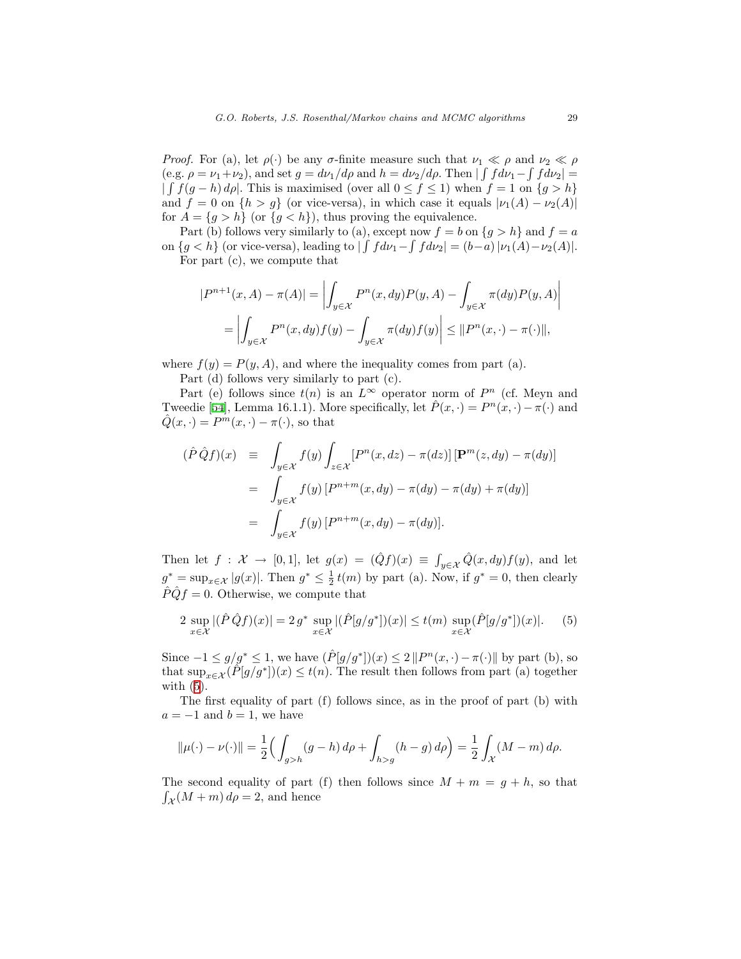*Proof.* For (a), let  $\rho(\cdot)$  be any  $\sigma$ -finite measure such that  $\nu_1 \ll \rho$  and  $\nu_2 \ll \rho$ (e.g.  $\rho = \nu_1 + \nu_2$ ), and set  $g = d\nu_1/d\rho$  and  $h = d\nu_2/d\rho$ . Then  $|\int f d\nu_1 - \int f d\nu_2|$  $\int \int f(g-h) d\rho$ . This is maximised (over all  $0 \le f \le 1$ ) when  $f = 1$  on  $\{g > h\}$ and  $f = 0$  on  $\{h > g\}$  (or vice-versa), in which case it equals  $|\nu_1(A) - \nu_2(A)|$ for  $A = \{g > h\}$  (or  $\{g < h\}$ ), thus proving the equivalence.

Part (b) follows very similarly to (a), except now  $f = b$  on  $\{g > h\}$  and  $f = a$ on  $\{g < h\}$  (or vice-versa), leading to  $\left| \int f d\nu_1 - \int f d\nu_2 \right| = (b-a) |\nu_1(A) - \nu_2(A)|$ .

For part (c), we compute that

$$
|P^{n+1}(x, A) - \pi(A)| = \left| \int_{y \in \mathcal{X}} P^n(x, dy) P(y, A) - \int_{y \in \mathcal{X}} \pi(dy) P(y, A) \right|
$$
  
= 
$$
\left| \int_{y \in \mathcal{X}} P^n(x, dy) f(y) - \int_{y \in \mathcal{X}} \pi(dy) f(y) \right| \leq ||P^n(x, \cdot) - \pi(\cdot)||,
$$

where  $f(y) = P(y, A)$ , and where the inequality comes from part (a).

Part (d) follows very similarly to part (c).

Part (e) follows since  $t(n)$  is an  $L^{\infty}$  operator norm of  $P^n$  (cf. Meyn and Tweedie [\[54](#page-48-2)], Lemma 16.1.1). More specifically, let  $\hat{P}(x, \cdot) = P^{n}(x, \cdot) - \pi(\cdot)$  and  $\hat{Q}(x, \cdot) = P^m(x, \cdot) - \pi(\cdot)$ , so that

$$
(\hat{P}\hat{Q}f)(x) \equiv \int_{y \in \mathcal{X}} f(y) \int_{z \in \mathcal{X}} [P^n(x, dz) - \pi(dz)] [\mathbf{P}^m(z, dy) - \pi(dy)]
$$
  

$$
= \int_{y \in \mathcal{X}} f(y) [P^{n+m}(x, dy) - \pi(dy) - \pi(dy) + \pi(dy)]
$$
  

$$
= \int_{y \in \mathcal{X}} f(y) [P^{n+m}(x, dy) - \pi(dy)].
$$

Then let  $f: \mathcal{X} \to [0,1]$ , let  $g(x) = (\hat{Q}f)(x) \equiv \int_{y \in \mathcal{X}} \hat{Q}(x, dy) f(y)$ , and let  $g^* = \sup_{x \in \mathcal{X}} |g(x)|$ . Then  $g^* \leq \frac{1}{2} t(m)$  by part (a). Now, if  $g^* = 0$ , then clearly  $\hat{P} \hat{Q} f = 0$ . Otherwise, we compute that

<span id="page-9-0"></span>
$$
2 \sup_{x \in \mathcal{X}} |(\hat{P}\hat{Q}f)(x)| = 2 g^* \sup_{x \in \mathcal{X}} |(\hat{P}[g/g^*])(x)| \le t(m) \sup_{x \in \mathcal{X}} (\hat{P}[g/g^*])(x)|. \tag{5}
$$

Since  $-1 \le g/g^* \le 1$ , we have  $(\hat{P}[g/g^*])(x) \le 2||P^n(x,\cdot) - \pi(\cdot)||$  by part (b), so that  $\sup_{x \in \mathcal{X}} (\tilde{P}[g/g^*])(x) \leq t(n)$ . The result then follows from part (a) together with  $(5)$ .

The first equality of part (f) follows since, as in the proof of part (b) with  $a = -1$  and  $b = 1$ , we have

$$
\|\mu(\cdot) - \nu(\cdot)\| = \frac{1}{2} \Big( \int_{g > h} (g - h) \, d\rho + \int_{h > g} (h - g) \, d\rho \Big) = \frac{1}{2} \int_{\mathcal{X}} (M - m) \, d\rho.
$$

The second equality of part (f) then follows since  $M + m = g + h$ , so that  $\int_{\mathcal{X}} (M+m) d\rho = 2$ , and hence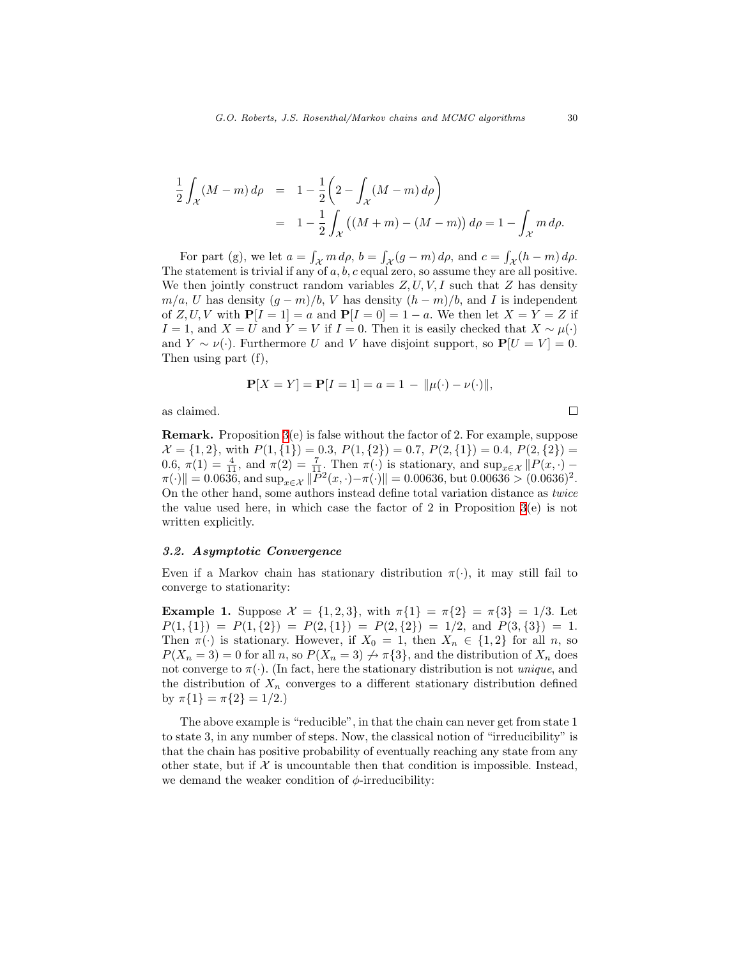$$
\frac{1}{2} \int_{\mathcal{X}} (M-m) d\rho = 1 - \frac{1}{2} \left( 2 - \int_{\mathcal{X}} (M-m) d\rho \right)
$$
  
=  $1 - \frac{1}{2} \int_{\mathcal{X}} ((M+m) - (M-m)) d\rho = 1 - \int_{\mathcal{X}} m d\rho.$ 

For part (g), we let  $a = \int_{\mathcal{X}} m \, d\rho$ ,  $b = \int_{\mathcal{X}} (g - m) \, d\rho$ , and  $c = \int_{\mathcal{X}} (h - m) \, d\rho$ . The statement is trivial if any of  $a, b, c$  equal zero, so assume they are all positive. We then jointly construct random variables  $Z, U, V, I$  such that  $Z$  has density  $m/a$ , U has density  $(g - m)/b$ , V has density  $(h - m)/b$ , and I is independent of  $Z, U, V$  with  $P[I = 1] = a$  and  $P[I = 0] = 1 - a$ . We then let  $X = Y = Z$  if I = 1, and  $X = U$  and  $Y = V$  if I = 0. Then it is easily checked that  $X \sim \mu(\cdot)$ and  $Y \sim \nu(\cdot)$ . Furthermore U and V have disjoint support, so  $P[U = V] = 0$ . Then using part (f),

$$
\mathbf{P}[X = Y] = \mathbf{P}[I = 1] = a = 1 - ||\mu(\cdot) - \nu(\cdot)||,
$$

as claimed.

Remark. Proposition [3\(](#page-8-1)e) is false without the factor of 2. For example, suppose  $\mathcal{X} = \{1, 2\}$ , with  $P(1, \{1\}) = 0.3$ ,  $P(1, \{2\}) = 0.7$ ,  $P(2, \{1\}) = 0.4$ ,  $P(2, \{2\}) =$ 0.6,  $\pi(1) = \frac{4}{11}$ , and  $\pi(2) = \frac{7}{11}$ . Then  $\pi(\cdot)$  is stationary, and  $\sup_{x \in \mathcal{X}} || P(x, \cdot) - \frac{3}{11}$ .  $\|\pi(\cdot)\| = 0.0636$ , and  $\sup_{x \in \mathcal{X}} \|\vec{P}^2(x, \cdot) - \pi(\cdot)\| = 0.00636$ , but  $0.00636 > (0.0636)^2$ . On the other hand, some authors instead define total variation distance as twice the value used here, in which case the factor of 2 in Proposition  $3(e)$  is not written explicitly.

# <span id="page-10-0"></span>3.2. Asymptotic Convergence

Even if a Markov chain has stationary distribution  $\pi(\cdot)$ , it may still fail to converge to stationarity:

**Example 1.** Suppose  $\mathcal{X} = \{1, 2, 3\}$ , with  $\pi\{1\} = \pi\{2\} = \pi\{3\} = 1/3$ . Let  $P(1,\{1\}) = P(1,\{2\}) = P(2,\{1\}) = P(2,\{2\}) = 1/2$ , and  $P(3,\{3\}) = 1$ . Then  $\pi(\cdot)$  is stationary. However, if  $X_0 = 1$ , then  $X_n \in \{1,2\}$  for all n, so  $P(X_n = 3) = 0$  for all n, so  $P(X_n = 3) \nrightarrow \pi {3}$ , and the distribution of  $X_n$  does not converge to  $\pi(\cdot)$ . (In fact, here the stationary distribution is not *unique*, and the distribution of  $X_n$  converges to a different stationary distribution defined by  $\pi\{1\} = \pi\{2\} = 1/2.$ 

The above example is "reducible", in that the chain can never get from state 1 to state 3, in any number of steps. Now, the classical notion of "irreducibility" is that the chain has positive probability of eventually reaching any state from any other state, but if  $X$  is uncountable then that condition is impossible. Instead, we demand the weaker condition of  $\phi$ -irreducibility:

 $\Box$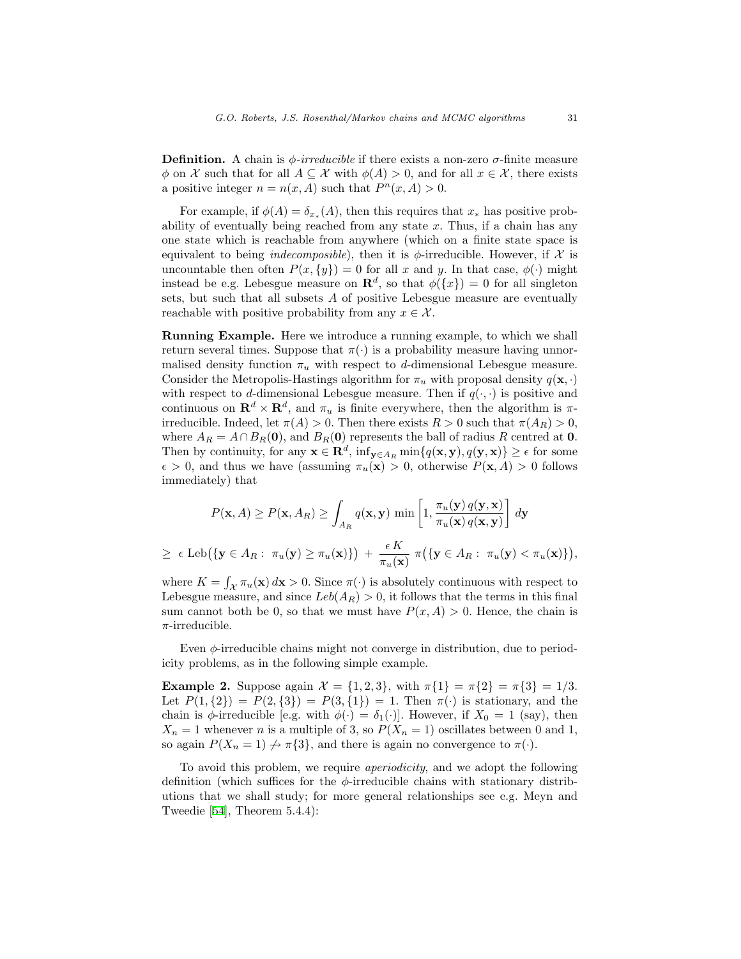**Definition.** A chain is  $\phi$ -irreducible if there exists a non-zero  $\sigma$ -finite measure  $\phi$  on X such that for all  $A \subseteq \mathcal{X}$  with  $\phi(A) > 0$ , and for all  $x \in \mathcal{X}$ , there exists a positive integer  $n = n(x, A)$  such that  $P<sup>n</sup>(x, A) > 0$ .

For example, if  $\phi(A) = \delta_{x_*}(A)$ , then this requires that  $x_*$  has positive probability of eventually being reached from any state  $x$ . Thus, if a chain has any one state which is reachable from anywhere (which on a finite state space is equivalent to being *indecomposible*), then it is  $\phi$ -irreducible. However, if  $\mathcal{X}$  is uncountable then often  $P(x, \{y\}) = 0$  for all x and y. In that case,  $\phi(\cdot)$  might instead be e.g. Lebesgue measure on  $\mathbf{R}^d$ , so that  $\phi({x}) = 0$  for all singleton sets, but such that all subsets A of positive Lebesgue measure are eventually reachable with positive probability from any  $x \in \mathcal{X}$ .

Running Example. Here we introduce a running example, to which we shall return several times. Suppose that  $\pi(\cdot)$  is a probability measure having unnormalised density function  $\pi_u$  with respect to d-dimensional Lebesgue measure. Consider the Metropolis-Hastings algorithm for  $\pi_u$  with proposal density  $q(\mathbf{x}, \cdot)$ with respect to d-dimensional Lebesgue measure. Then if  $q(\cdot, \cdot)$  is positive and continuous on  $\mathbf{R}^d \times \mathbf{R}^d$ , and  $\pi_u$  is finite everywhere, then the algorithm is  $\pi$ irreducible. Indeed, let  $\pi(A) > 0$ . Then there exists  $R > 0$  such that  $\pi(A_R) > 0$ , where  $A_R = A \cap B_R(\mathbf{0})$ , and  $B_R(\mathbf{0})$  represents the ball of radius R centred at 0. Then by continuity, for any  $\mathbf{x} \in \mathbf{R}^d$ ,  $\inf_{\mathbf{y} \in A_R} \min\{q(\mathbf{x}, \mathbf{y}), q(\mathbf{y}, \mathbf{x})\} \ge \epsilon$  for some  $\epsilon > 0$ , and thus we have (assuming  $\pi_u(\mathbf{x}) > 0$ , otherwise  $P(\mathbf{x}, A) > 0$  follows immediately) that

$$
P(\mathbf{x}, A) \ge P(\mathbf{x}, A_R) \ge \int_{A_R} q(\mathbf{x}, \mathbf{y}) \min\left[1, \frac{\pi_u(\mathbf{y}) q(\mathbf{y}, \mathbf{x})}{\pi_u(\mathbf{x}) q(\mathbf{x}, \mathbf{y})}\right] d\mathbf{y}
$$
  
\n
$$
\ge \epsilon \operatorname{Leb}(\{\mathbf{y} \in A_R : \pi_u(\mathbf{y}) \ge \pi_u(\mathbf{x})\}) + \frac{\epsilon K}{\pi_u(\mathbf{x})} \pi(\{\mathbf{y} \in A_R : \pi_u(\mathbf{y}) < \pi_u(\mathbf{x})\}),
$$

where  $K = \int_{\mathcal{X}} \pi_u(\mathbf{x}) d\mathbf{x} > 0$ . Since  $\pi(\cdot)$  is absolutely continuous with respect to Lebesgue measure, and since  $Leb(A_R) > 0$ , it follows that the terms in this final sum cannot both be 0, so that we must have  $P(x, A) > 0$ . Hence, the chain is  $\pi$ -irreducible.

Even  $\phi$ -irreducible chains might not converge in distribution, due to periodicity problems, as in the following simple example.

Example 2. Suppose again  $\mathcal{X} = \{1, 2, 3\}$ , with  $\pi\{1\} = \pi\{2\} = \pi\{3\} = 1/3$ . Let  $P(1, \{2\}) = P(2, \{3\}) = P(3, \{1\}) = 1$ . Then  $\pi(\cdot)$  is stationary, and the chain is  $\phi$ -irreducible [e.g. with  $\phi(\cdot) = \delta_1(\cdot)$ ]. However, if  $X_0 = 1$  (say), then  $X_n = 1$  whenever *n* is a multiple of 3, so  $P(X_n = 1)$  oscillates between 0 and 1, so again  $P(X_n = 1) \nrightarrow \pi\{3\}$ , and there is again no convergence to  $\pi(\cdot)$ .

To avoid this problem, we require aperiodicity, and we adopt the following definition (which suffices for the  $\phi$ -irreducible chains with stationary distributions that we shall study; for more general relationships see e.g. Meyn and Tweedie[[54\]](#page-48-2), Theorem 5.4.4):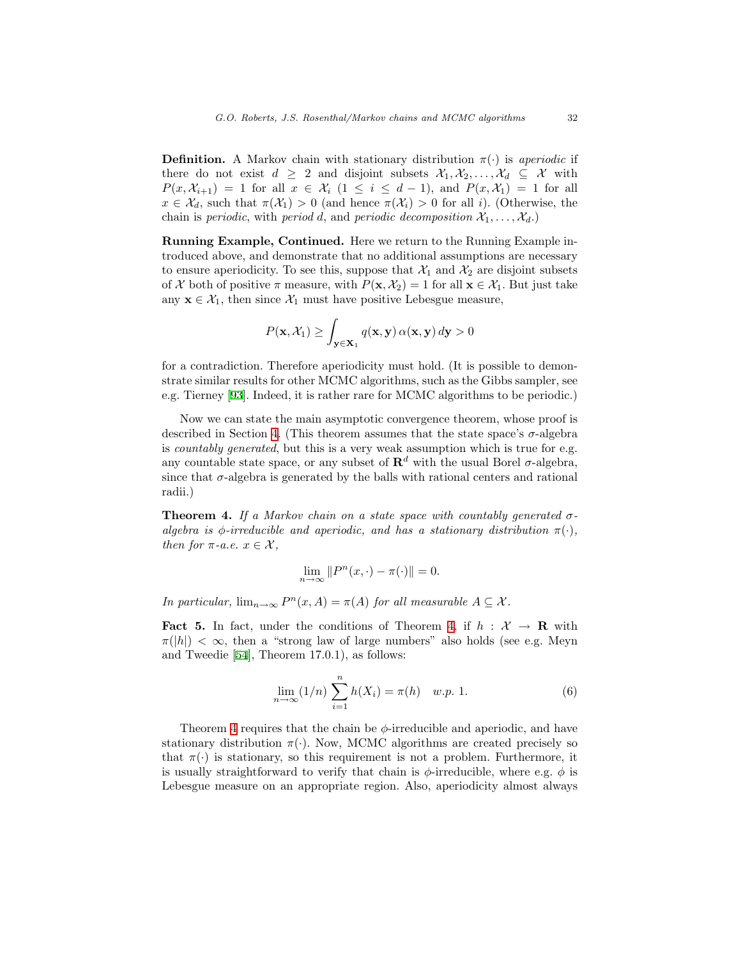**Definition.** A Markov chain with stationary distribution  $\pi(\cdot)$  is *aperiodic* if there do not exist  $d \geq 2$  and disjoint subsets  $\mathcal{X}_1, \mathcal{X}_2, \ldots, \mathcal{X}_d \subseteq \mathcal{X}$  with  $P(x, \mathcal{X}_{i+1}) = 1$  for all  $x \in \mathcal{X}_i$   $(1 \leq i \leq d-1)$ , and  $P(x, \mathcal{X}_1) = 1$  for all  $x \in \mathcal{X}_d$ , such that  $\pi(\mathcal{X}_1) > 0$  (and hence  $\pi(\mathcal{X}_i) > 0$  for all i). (Otherwise, the chain is periodic, with period d, and periodic decomposition  $\mathcal{X}_1, \ldots, \mathcal{X}_d$ .)

Running Example, Continued. Here we return to the Running Example introduced above, and demonstrate that no additional assumptions are necessary to ensure aperiodicity. To see this, suppose that  $\mathcal{X}_1$  and  $\mathcal{X}_2$  are disjoint subsets of X both of positive  $\pi$  measure, with  $P(\mathbf{x}, \mathcal{X}_2) = 1$  for all  $\mathbf{x} \in \mathcal{X}_1$ . But just take any  $\mathbf{x} \in \mathcal{X}_1$ , then since  $\mathcal{X}_1$  must have positive Lebesgue measure,

$$
P(\mathbf{x}, \mathcal{X}_1) \ge \int_{\mathbf{y} \in \mathbf{X}_1} q(\mathbf{x}, \mathbf{y}) \, \alpha(\mathbf{x}, \mathbf{y}) \, d\mathbf{y} > 0
$$

for a contradiction. Therefore aperiodicity must hold. (It is possible to demonstrate similar results for other MCMC algorithms, such as the Gibbs sampler, see e.g. Tierney[[93\]](#page-51-0). Indeed, it is rather rare for MCMC algorithms to be periodic.)

Now we can state the main asymptotic convergence theorem, whose proof is described in Section [4.](#page-22-0) (This theorem assumes that the state space's  $\sigma$ -algebra is *countably generated*, but this is a very weak assumption which is true for e.g. any countable state space, or any subset of  $\mathbb{R}^d$  with the usual Borel  $\sigma$ -algebra, since that  $\sigma$ -algebra is generated by the balls with rational centers and rational radii.)

<span id="page-12-0"></span>**Theorem 4.** If a Markov chain on a state space with countably generated  $\sigma$ algebra is  $\phi$ -irreducible and aperiodic, and has a stationary distribution  $\pi(\cdot)$ , then for  $\pi$ -a.e.  $x \in \mathcal{X}$ ,

$$
\lim_{n \to \infty} ||P^n(x, \cdot) - \pi(\cdot)|| = 0.
$$

In particular,  $\lim_{n\to\infty} P^n(x, A) = \pi(A)$  for all measurable  $A \subseteq \mathcal{X}$ .

<span id="page-12-2"></span>**Fact 5.** In fact, under the conditions of Theorem [4](#page-12-0), if  $h : \mathcal{X} \to \mathbf{R}$  with  $\pi(|h|) < \infty$ , then a "strong law of large numbers" also holds (see e.g. Meyn and Tweedie[[54\]](#page-48-2), Theorem 17.0.1), as follows:

<span id="page-12-1"></span>
$$
\lim_{n \to \infty} (1/n) \sum_{i=1}^{n} h(X_i) = \pi(h) \quad w.p. 1.
$$
 (6)

Theorem [4](#page-12-0) requires that the chain be  $\phi$ -irreducible and aperiodic, and have stationary distribution  $\pi(\cdot)$ . Now, MCMC algorithms are created precisely so that  $\pi(\cdot)$  is stationary, so this requirement is not a problem. Furthermore, it is usually straightforward to verify that chain is  $\phi$ -irreducible, where e.g.  $\phi$  is Lebesgue measure on an appropriate region. Also, aperiodicity almost always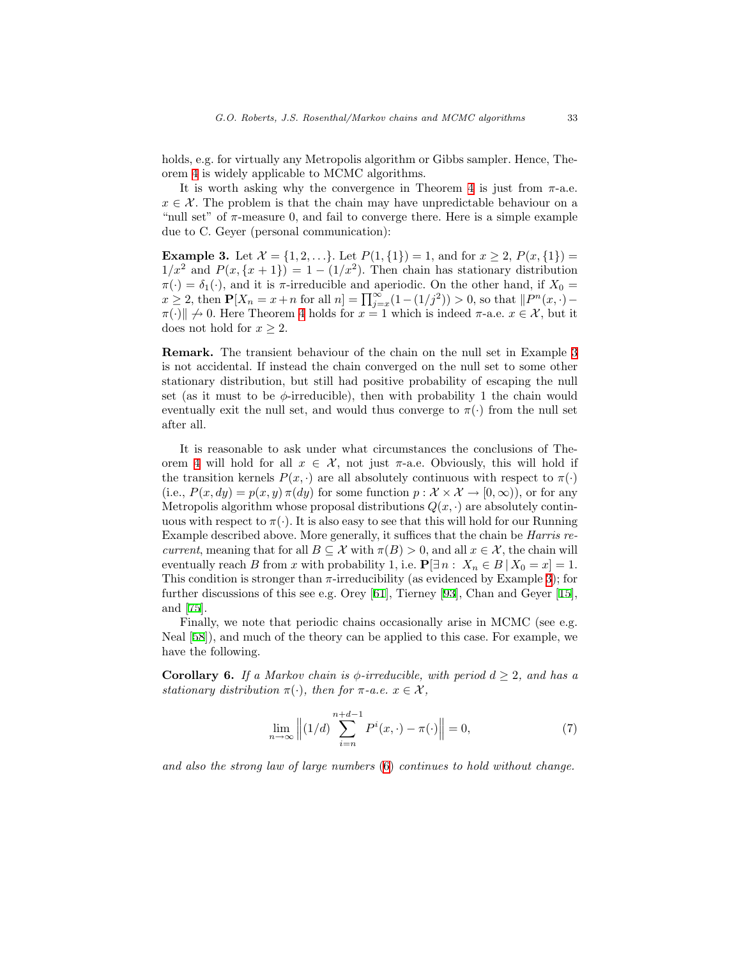holds, e.g. for virtually any Metropolis algorithm or Gibbs sampler. Hence, Theorem [4](#page-12-0) is widely applicable to MCMC algorithms.

It is worth asking why the convergence in Theorem [4](#page-12-0) is just from  $\pi$ -a.e.  $x \in \mathcal{X}$ . The problem is that the chain may have unpredictable behaviour on a "null set" of  $\pi$ -measure 0, and fail to converge there. Here is a simple example due to C. Geyer (personal communication):

<span id="page-13-0"></span>**Example 3.** Let  $\mathcal{X} = \{1, 2, ...\}$ . Let  $P(1, \{1\}) = 1$ , and for  $x \geq 2$ ,  $P(x, \{1\}) =$  $1/x^2$  and  $P(x,\{x+1\}) = 1 - (1/x^2)$ . Then chain has stationary distribution  $\pi(\cdot) = \delta_1(\cdot)$ , and it is  $\pi$ -irreducible and aperiodic. On the other hand, if  $X_0 =$  $x \ge 2$ , then  $\mathbf{P}[X_n = x + n \text{ for all } n] = \prod_{j=x}^{\infty} (1 - (1/j^2)) > 0$ , so that  $\|P^n(x, \cdot) \pi(\cdot)$   $\neq$  0. Here Theorem [4](#page-12-0) holds for  $x = 1$  which is indeed  $\pi$ -a.e.  $x \in \mathcal{X}$ , but it does not hold for  $x \geq 2$ .

Remark. The transient behaviour of the chain on the null set in Example [3](#page-13-0) is not accidental. If instead the chain converged on the null set to some other stationary distribution, but still had positive probability of escaping the null set (as it must to be  $\phi$ -irreducible), then with probability 1 the chain would eventually exit the null set, and would thus converge to  $\pi(\cdot)$  from the null set after all.

It is reasonable to ask under what circumstances the conclusions of The-orem [4](#page-12-0) will hold for all  $x \in \mathcal{X}$ , not just  $\pi$ -a.e. Obviously, this will hold if the transition kernels  $P(x, \cdot)$  are all absolutely continuous with respect to  $\pi(\cdot)$ (i.e.,  $P(x, dy) = p(x, y) \pi(dy)$  for some function  $p: \mathcal{X} \times \mathcal{X} \to [0, \infty)$ ), or for any Metropolis algorithm whose proposal distributions  $Q(x, \cdot)$  are absolutely continuous with respect to  $\pi(\cdot)$ . It is also easy to see that this will hold for our Running Example described above. More generally, it suffices that the chain be Harris recurrent, meaning that for all  $B \subseteq \mathcal{X}$  with  $\pi(B) > 0$ , and all  $x \in \mathcal{X}$ , the chain will eventually reach B from x with probability 1, i.e.  $\mathbf{P}[\exists n : X_n \in B | X_0 = x] = 1$ . This condition is stronger than  $\pi$ -irreducibility (as evidenced by Example [3](#page-13-0)); for further discussions of this see e.g. Orey[[61\]](#page-49-2), Tierney[[93\]](#page-51-0), Chan and Geyer[[15\]](#page-45-0), and[[75\]](#page-49-3).

Finally, we note that periodic chains occasionally arise in MCMC (see e.g. Neal [\[58](#page-48-3)]), and much of the theory can be applied to this case. For example, we have the following.

<span id="page-13-2"></span>**Corollary 6.** If a Markov chain is  $\phi$ -irreducible, with period  $d \geq 2$ , and has a stationary distribution  $\pi(\cdot)$ , then for  $\pi$ -a.e.  $x \in \mathcal{X}$ ,

<span id="page-13-1"></span>
$$
\lim_{n \to \infty} \left\| (1/d) \sum_{i=n}^{n+d-1} P^i(x, \cdot) - \pi(\cdot) \right\| = 0,\tag{7}
$$

and also the strong law of large numbers [\(6\)](#page-12-1) continues to hold without change.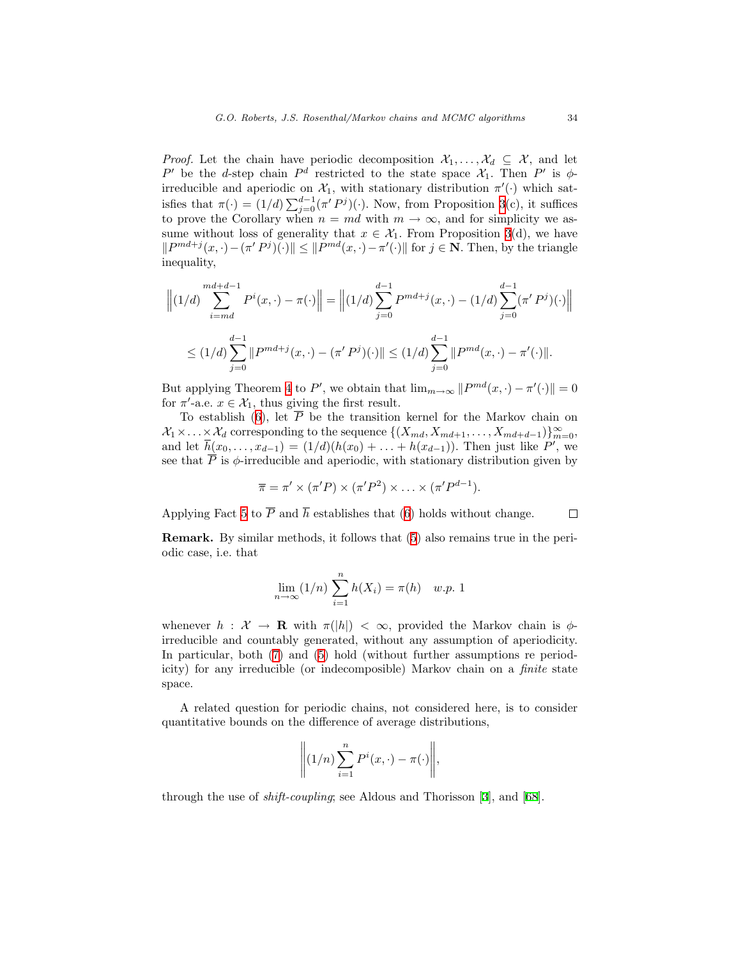*Proof.* Let the chain have periodic decomposition  $\mathcal{X}_1, \ldots, \mathcal{X}_d \subseteq \mathcal{X}$ , and let P' be the d-step chain  $P^d$  restricted to the state space  $\mathcal{X}_1$ . Then P' is  $\phi$ irreducible and aperiodic on  $\mathcal{X}_1$ , with stationary distribution  $\pi'(\cdot)$  which satisfies that  $\pi(\cdot) = (1/d) \sum_{j=0}^{d-1} (\pi' P^j)(\cdot)$ . Now, from Proposition [3\(](#page-8-1)c), it suffices to prove the Corollary when  $n = md$  with  $m \to \infty$ , and for simplicity we assume without loss of generality that  $x \in \mathcal{X}_1$ . From Proposition [3](#page-8-1)(d), we have  $||P^{md+j}(x, \cdot)-(\pi'P^{j})(\cdot)|| \leq ||P^{md}(x, \cdot)-\pi'(\cdot)||$  for  $j \in \mathbb{N}$ . Then, by the triangle inequality,

$$
\left\| (1/d) \sum_{i=md}^{md+d-1} P^i(x, \cdot) - \pi(\cdot) \right\| = \left\| (1/d) \sum_{j=0}^{d-1} P^{md+j}(x, \cdot) - (1/d) \sum_{j=0}^{d-1} (\pi' P^j)(\cdot) \right\|
$$
  

$$
\leq (1/d) \sum_{j=0}^{d-1} \| P^{md+j}(x, \cdot) - (\pi' P^j)(\cdot) \| \leq (1/d) \sum_{j=0}^{d-1} \| P^{md}(x, \cdot) - \pi'(\cdot) \|.
$$

But applying Theorem [4](#page-12-0) to P', we obtain that  $\lim_{m\to\infty} ||P^{md}(x,\cdot) - \pi'(\cdot)|| = 0$ for  $\pi'$ -a.e.  $x \in \mathcal{X}_1$ , thus giving the first result.

To establish [\(6](#page-12-1)), let  $\overline{P}$  be the transition kernel for the Markov chain on  $X_1 \times \ldots \times X_d$  corresponding to the sequence  $\{(X_{md}, X_{md+1}, \ldots, X_{md+d-1})\}_{m=0}^{\infty}$ , and let  $\overline{h}(x_0, ..., x_{d-1}) = (1/d)(h(x_0) + ... + h(x_{d-1}))$ . Then just like P', we see that  $\overline{P}$  is  $\phi$ -irreducible and aperiodic, with stationary distribution given by

$$
\overline{\pi} = \pi' \times (\pi'P) \times (\pi'P^2) \times \ldots \times (\pi'P^{d-1}).
$$

Applying Fact [5](#page-12-2) to  $\overline{P}$  and  $\overline{h}$  establishes that [\(6](#page-12-1)) holds without change.  $\Box$ 

Remark. By similar methods, it follows that [\(5](#page-12-2)) also remains true in the periodic case, i.e. that

$$
\lim_{n \to \infty} (1/n) \sum_{i=1}^{n} h(X_i) = \pi(h) \quad w.p. 1
$$

whenever  $h : \mathcal{X} \to \mathbf{R}$  with  $\pi(|h|) < \infty$ , provided the Markov chain is  $\phi$ irreducible and countably generated, without any assumption of aperiodicity. In particular, both([7\)](#page-13-1) and [\(5](#page-12-2)) hold (without further assumptions re periodicity) for any irreducible (or indecomposible) Markov chain on a finite state space.

A related question for periodic chains, not considered here, is to consider quantitative bounds on the difference of average distributions,

$$
\left\|(1/n)\sum_{i=1}^n P^i(x,\cdot)-\pi(\cdot)\right\|,
$$

through the use of shift-coupling; see Aldous and Thorisson[[3\]](#page-45-1), and[[68\]](#page-49-4).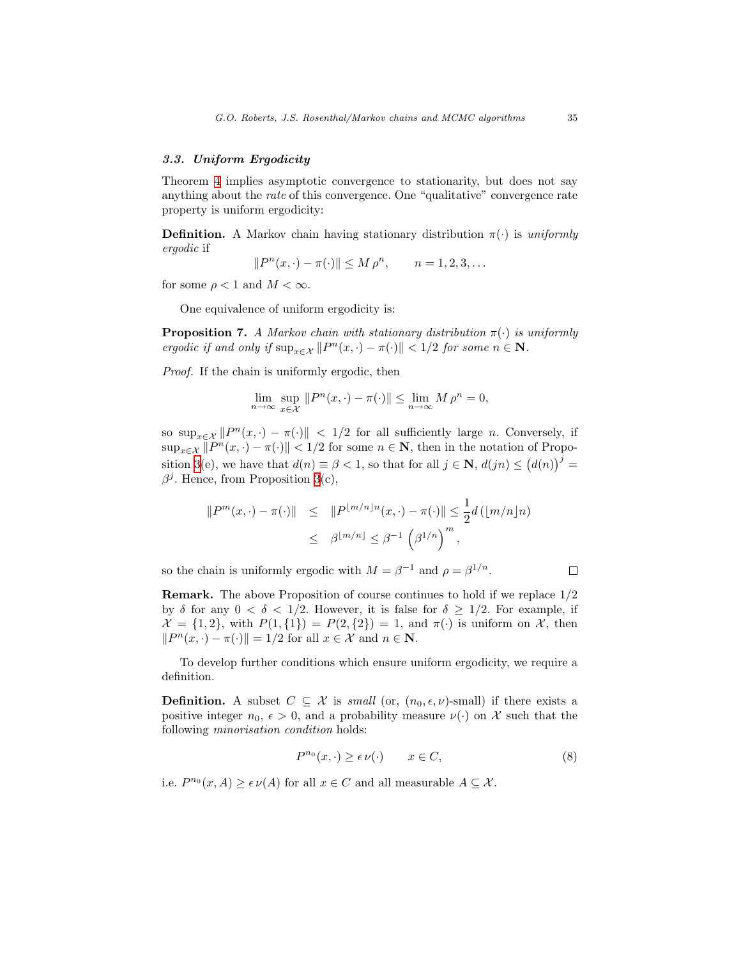# 3.3. Uniform Ergodicity

Theorem [4](#page-12-0) implies asymptotic convergence to stationarity, but does not say anything about the rate of this convergence. One "qualitative" convergence rate property is uniform ergodicity:

**Definition.** A Markov chain having stationary distribution  $\pi(\cdot)$  is uniformly ergodic if

$$
||P^{n}(x,\cdot)-\pi(\cdot)|| \le M \rho^{n}, \qquad n = 1, 2, 3, \dots
$$

for some  $\rho < 1$  and  $M < \infty$ .

One equivalence of uniform ergodicity is:

**Proposition 7.** A Markov chain with stationary distribution  $\pi(\cdot)$  is uniformly ergodic if and only if  $\sup_{x \in \mathcal{X}} ||P^n(x, \cdot) - \pi(\cdot)|| < 1/2$  for some  $n \in \mathbb{N}$ .

Proof. If the chain is uniformly ergodic, then

$$
\lim_{n \to \infty} \sup_{x \in \mathcal{X}} \|P^n(x, \cdot) - \pi(\cdot)\| \le \lim_{n \to \infty} M \rho^n = 0,
$$

so  $\sup_{x \in \mathcal{X}} ||P^n(x, \cdot) - \pi(\cdot)||$  < 1/2 for all sufficiently large *n*. Conversely, if  $\sup_{x \in \mathcal{X}} ||P^n(x, \cdot) - \pi(\cdot)|| < 1/2$  for some  $n \in \mathbb{N}$ , then in the notation of Propo-sition [3\(](#page-8-1)e), we have that  $d(n) \equiv \beta < 1$ , so that for all  $j \in \mathbb{N}$ ,  $d(jn) \leq (d(n))^{j}$  $\beta^j$ . Hence, from Proposition [3\(](#page-8-1)c),

$$
||Pm(x, \cdot) - \pi(\cdot)|| \le ||P^{\lfloor m/n \rfloor n}(x, \cdot) - \pi(\cdot)|| \le \frac{1}{2}d\left(\lfloor m/n \rfloor n\right)
$$
  

$$
\le \beta^{\lfloor m/n \rfloor} \le \beta^{-1} \left(\beta^{1/n}\right)^m,
$$

so the chain is uniformly ergodic with  $M = \beta^{-1}$  and  $\rho = \beta^{1/n}$ .

Remark. The above Proposition of course continues to hold if we replace 1/2 by  $\delta$  for any  $0 < \delta < 1/2$ . However, it is false for  $\delta \geq 1/2$ . For example, if  $\mathcal{X} = \{1,2\}$ , with  $P(1,\{1\}) = P(2,\{2\}) = 1$ , and  $\pi(\cdot)$  is uniform on X, then  $||P^n(x, \cdot) - \pi(\cdot)|| = 1/2$  for all  $x \in \mathcal{X}$  and  $n \in \mathbb{N}$ .

To develop further conditions which ensure uniform ergodicity, we require a definition.

**Definition.** A subset  $C \subseteq \mathcal{X}$  is *small* (or,  $(n_0, \epsilon, \nu)$ -small) if there exists a positive integer  $n_0, \epsilon > 0$ , and a probability measure  $\nu(\cdot)$  on X such that the following minorisation condition holds:

<span id="page-15-0"></span>
$$
P^{n_0}(x, \cdot) \ge \epsilon \nu(\cdot) \qquad x \in C,\tag{8}
$$

i.e.  $P^{n_0}(x, A) \geq \epsilon \nu(A)$  for all  $x \in C$  and all measurable  $A \subseteq \mathcal{X}$ .

 $\Box$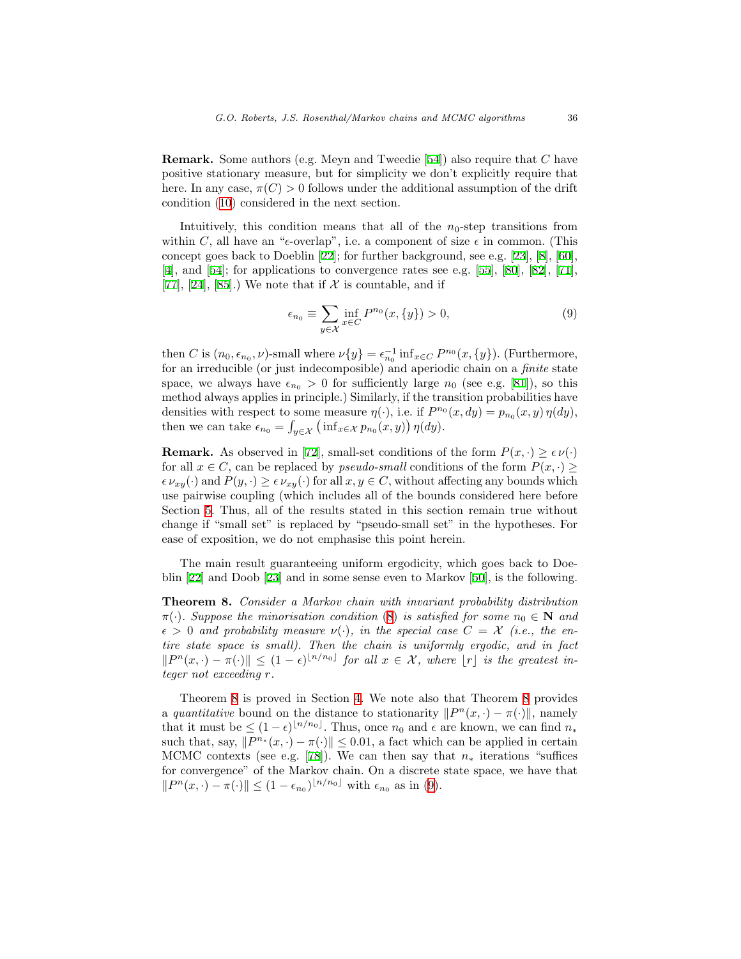Remark. Some authors (e.g. Meyn and Tweedie [\[54](#page-48-2)]) also require that C have positive stationary measure, but for simplicity we don't explicitly require that here. In any case,  $\pi(C) > 0$  follows under the additional assumption of the drift condition [\(10](#page-18-0)) considered in the next section.

Intuitively, this condition means that all of the  $n_0$ -step transitions from within C, all have an " $\epsilon$ -overlap", i.e. a component of size  $\epsilon$  in common. (This concept goes back to Doeblin[[22\]](#page-46-2); for further background, see e.g.[[23\]](#page-46-3),[[8\]](#page-45-2),[[60\]](#page-49-5), [[4\]](#page-45-3), and [\[54](#page-48-2)];for applications to convergence rates see e.g. [[55\]](#page-48-4), [[80\]](#page-50-3), [[82\]](#page-50-2), [[71\]](#page-49-0), [[77](#page-50-4)], [\[24](#page-46-4)],[[85\]](#page-50-5).) We note that if  $\mathcal X$  is countable, and if

<span id="page-16-1"></span>
$$
\epsilon_{n_0} \equiv \sum_{y \in \mathcal{X}} \inf_{x \in C} P^{n_0}(x, \{y\}) > 0,\tag{9}
$$

then C is  $(n_0, \epsilon_{n_0}, \nu)$ -small where  $\nu\{y\} = \epsilon_{n_0}^{-1} \inf_{x \in C} P^{n_0}(x, \{y\})$ . (Furthermore, for an irreducible (or just indecomposible) and aperiodic chain on a finite state space,we always have  $\epsilon_{n_0} > 0$  for sufficiently large  $n_0$  (see e.g. [[81\]](#page-50-6)), so this method always applies in principle.) Similarly, if the transition probabilities have densities with respect to some measure  $\eta(\cdot)$ , i.e. if  $P^{n_0}(x, dy) = p_{n_0}(x, y) \eta(dy)$ , then we can take  $\epsilon_{n_0} = \int_{y \in \mathcal{X}} (\inf_{x \in \mathcal{X}} p_{n_0}(x, y)) \eta(dy)$ .

**Remark.** As observed in [\[72](#page-49-6)], small-set conditions of the form  $P(x, \cdot) \geq \epsilon \nu(\cdot)$ for all  $x \in C$ , can be replaced by *pseudo-small* conditions of the form  $P(x, \cdot) \geq$  $\epsilon \nu_{xy}(\cdot)$  and  $P(y, \cdot) \geq \epsilon \nu_{xy}(\cdot)$  for all  $x, y \in C$ , without affecting any bounds which use pairwise coupling (which includes all of the bounds considered here before Section [5.](#page-32-0) Thus, all of the results stated in this section remain true without change if "small set" is replaced by "pseudo-small set" in the hypotheses. For ease of exposition, we do not emphasise this point herein.

The main result guaranteeing uniform ergodicity, which goes back to Doeblin [\[22](#page-46-2)] and Doob[[23\]](#page-46-3) and in some sense even to Markov[[50\]](#page-48-5), is the following.

<span id="page-16-0"></span>Theorem 8. Consider a Markov chain with invariant probability distribution  $\pi(\cdot)$ . Suppose the minorisation condition ([8\)](#page-15-0) is satisfied for some  $n_0 \in \mathbb{N}$  and  $\epsilon > 0$  and probability measure  $\nu(\cdot)$ , in the special case  $C = \mathcal{X}$  (i.e., the entire state space is small). Then the chain is uniformly ergodic, and in fact  $||P^n(x, \cdot) - \pi(\cdot)|| \leq (1 - \epsilon)^{\lfloor n/n_0 \rfloor}$  for all  $x \in \mathcal{X}$ , where  $|r|$  is the greatest integer not exceeding r.

Theorem [8](#page-16-0) is proved in Section [4](#page-22-0). We note also that Theorem [8](#page-16-0) provides a quantitative bound on the distance to stationarity  $||P^n(x, \cdot) - \pi(\cdot)||$ , namely that it must be  $\leq (1-\epsilon)^{\lfloor n/n_0 \rfloor}$ . Thus, once  $n_0$  and  $\epsilon$  are known, we can find  $n_*$ such that, say,  $||P^{n*}(x, \cdot) - \pi(\cdot)|| \leq 0.01$ , a fact which can be applied in certain MCMCcontexts (see e.g. [[78\]](#page-50-7)). We can then say that  $n_*$  iterations "suffices for convergence" of the Markov chain. On a discrete state space, we have that  $||P^n(x, \cdot) - \pi(\cdot)|| \leq (1 - \epsilon_{n_0})^{\lfloor n/n_0 \rfloor}$  $||P^n(x, \cdot) - \pi(\cdot)|| \leq (1 - \epsilon_{n_0})^{\lfloor n/n_0 \rfloor}$  $||P^n(x, \cdot) - \pi(\cdot)|| \leq (1 - \epsilon_{n_0})^{\lfloor n/n_0 \rfloor}$  with  $\epsilon_{n_0}$  as in ([9\)](#page-16-1).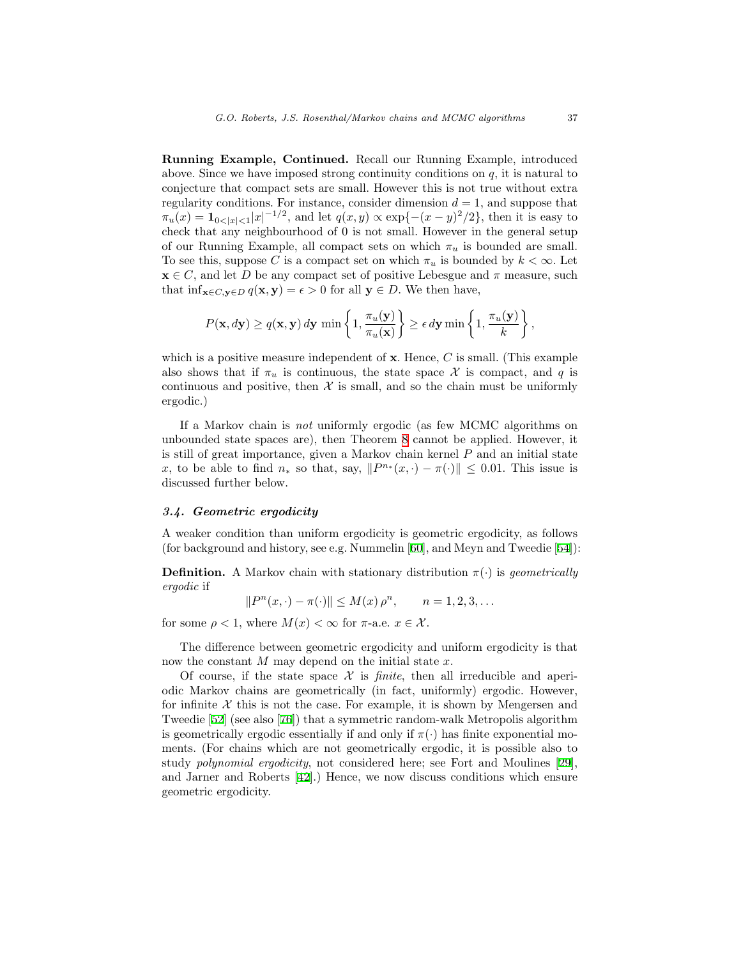Running Example, Continued. Recall our Running Example, introduced above. Since we have imposed strong continuity conditions on  $q$ , it is natural to conjecture that compact sets are small. However this is not true without extra regularity conditions. For instance, consider dimension  $d = 1$ , and suppose that  $\pi_u(x) = \mathbf{1}_{0 < |x| < 1} |x|^{-1/2}$ , and let  $q(x, y) \propto \exp\{-(x - y)^2/2\}$ , then it is easy to check that any neighbourhood of 0 is not small. However in the general setup of our Running Example, all compact sets on which  $\pi_u$  is bounded are small. To see this, suppose C is a compact set on which  $\pi_u$  is bounded by  $k < \infty$ . Let  $\mathbf{x} \in C$ , and let D be any compact set of positive Lebesgue and  $\pi$  measure, such that inf<sub>x∈C,y∈D</sub>  $q(x, y) = \epsilon > 0$  for all  $y \in D$ . We then have,

$$
P(\mathbf{x}, d\mathbf{y}) \ge q(\mathbf{x}, \mathbf{y}) d\mathbf{y} \min \left\{1, \frac{\pi_u(\mathbf{y})}{\pi_u(\mathbf{x})}\right\} \ge \epsilon d\mathbf{y} \min \left\{1, \frac{\pi_u(\mathbf{y})}{k}\right\},
$$

which is a positive measure independent of  $x$ . Hence,  $C$  is small. (This example also shows that if  $\pi_u$  is continuous, the state space X is compact, and q is continuous and positive, then  $\mathcal X$  is small, and so the chain must be uniformly ergodic.)

If a Markov chain is not uniformly ergodic (as few MCMC algorithms on unbounded state spaces are), then Theorem [8](#page-16-0) cannot be applied. However, it is still of great importance, given a Markov chain kernel  $P$  and an initial state x, to be able to find  $n_*$  so that, say,  $||P^{n_*}(x, \cdot) - \pi(\cdot)|| \leq 0.01$ . This issue is discussed further below.

# 3.4. Geometric ergodicity

A weaker condition than uniform ergodicity is geometric ergodicity, as follows (for background and history, see e.g. Nummelin [\[60](#page-49-5)], and Meyn and Tweedie[[54\]](#page-48-2)):

**Definition.** A Markov chain with stationary distribution  $\pi(\cdot)$  is *geometrically* ergodic if

 $||P^n(x, \cdot) - \pi(\cdot)|| \leq M(x) \rho^n, \qquad n = 1, 2, 3, \dots$ 

for some  $\rho < 1$ , where  $M(x) < \infty$  for  $\pi$ -a.e.  $x \in \mathcal{X}$ .

The difference between geometric ergodicity and uniform ergodicity is that now the constant  $M$  may depend on the initial state  $x$ .

Of course, if the state space  $\mathcal X$  is *finite*, then all irreducible and aperiodic Markov chains are geometrically (in fact, uniformly) ergodic. However, for infinite  $X$  this is not the case. For example, it is shown by Mengersen and Tweedie[[52\]](#page-48-6) (see also[[76\]](#page-50-8)) that a symmetric random-walk Metropolis algorithm is geometrically ergodic essentially if and only if  $\pi(\cdot)$  has finite exponential moments. (For chains which are not geometrically ergodic, it is possible also to study polynomial ergodicity, not considered here; see Fort and Moulines[[29\]](#page-46-5), and Jarner and Roberts [\[42](#page-47-5)].) Hence, we now discuss conditions which ensure geometric ergodicity.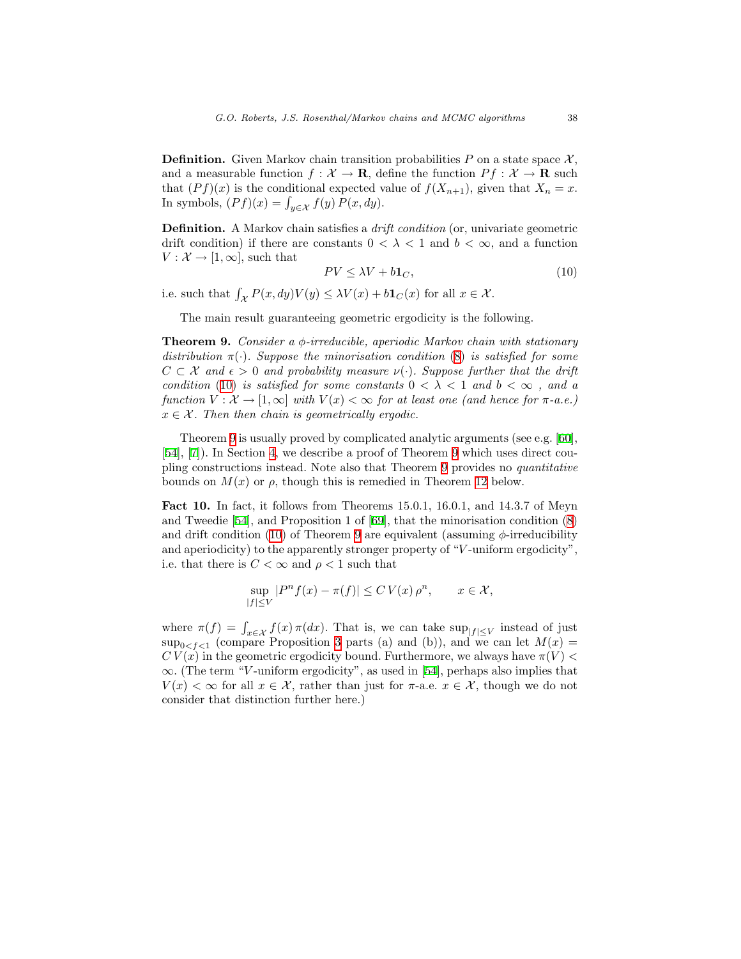**Definition.** Given Markov chain transition probabilities P on a state space  $\mathcal{X}$ , and a measurable function  $f: \mathcal{X} \to \mathbf{R}$ , define the function  $Pf: \mathcal{X} \to \mathbf{R}$  such that  $(Pf)(x)$  is the conditional expected value of  $f(X_{n+1})$ , given that  $X_n = x$ . In symbols,  $(Pf)(x) = \int_{y \in \mathcal{X}} f(y) P(x, dy)$ .

Definition. A Markov chain satisfies a drift condition (or, univariate geometric drift condition) if there are constants  $0 < \lambda < 1$  and  $b < \infty$ , and a function  $V: \mathcal{X} \to [1,\infty]$ , such that

<span id="page-18-0"></span>
$$
PV \le \lambda V + b \mathbf{1}_C,\tag{10}
$$

i.e. such that  $\int_{\mathcal{X}} P(x, dy)V(y) \leq \lambda V(x) + b\mathbf{1}_{C}(x)$  for all  $x \in \mathcal{X}$ .

The main result guaranteeing geometric ergodicity is the following.

<span id="page-18-1"></span>**Theorem 9.** Consider a  $\phi$ -irreducible, aperiodic Markov chain with stationary distribution  $\pi(\cdot)$ . Suppose the minorisation condition ([8\)](#page-15-0) is satisfied for some  $C \subset \mathcal{X}$  and  $\epsilon > 0$  and probability measure  $\nu(\cdot)$ . Suppose further that the drift condition ([10\)](#page-18-0) is satisfied for some constants  $0 < \lambda < 1$  and  $b < \infty$ , and a function  $V : \mathcal{X} \to [1,\infty]$  with  $V(x) < \infty$  for at least one (and hence for  $\pi$ -a.e.)  $x \in \mathcal{X}$ . Then then chain is geometrically ergodic.

Theorem [9](#page-18-1) is usually proved by complicated analytic arguments (see e.g.[[60\]](#page-49-5), [[54](#page-48-2)],[[7\]](#page-45-4)). In Section [4,](#page-22-0) we describe a proof of Theorem [9](#page-18-1) which uses direct coupling constructions instead. Note also that Theorem [9](#page-18-1) provides no quantitative bounds on  $M(x)$  or  $\rho$ , though this is remedied in Theorem [12](#page-21-0) below.

<span id="page-18-2"></span>Fact 10. In fact, it follows from Theorems 15.0.1, 16.0.1, and 14.3.7 of Meyn and Tweedie [\[54](#page-48-2)], and Proposition 1 of [\[69](#page-49-1)], that the minorisation condition([8\)](#page-15-0) anddrift condition ([10\)](#page-18-0) of Theorem [9](#page-18-1) are equivalent (assuming  $\phi$ -irreducibility and aperiodicity) to the apparently stronger property of " $V$ -uniform ergodicity", i.e. that there is  $C < \infty$  and  $\rho < 1$  such that

$$
\sup_{|f| \le V} |P^n f(x) - \pi(f)| \le CV(x) \rho^n, \qquad x \in \mathcal{X},
$$

where  $\pi(f) = \int_{x \in \mathcal{X}} f(x) \pi(dx)$ . That is, we can take  $\sup_{|f| \leq V}$  instead of just  $\sup_{0 \leq f \leq 1}$  (compare Proposition [3](#page-8-1) parts (a) and (b)), and we can let  $M(x) =$  $CV(x)$  in the geometric ergodicity bound. Furthermore, we always have  $\pi(V)$  $\infty$ . (The term "V-uniform ergodicity", as used in [\[54](#page-48-2)], perhaps also implies that  $V(x) < \infty$  for all  $x \in \mathcal{X}$ , rather than just for  $\pi$ -a.e.  $x \in \mathcal{X}$ , though we do not consider that distinction further here.)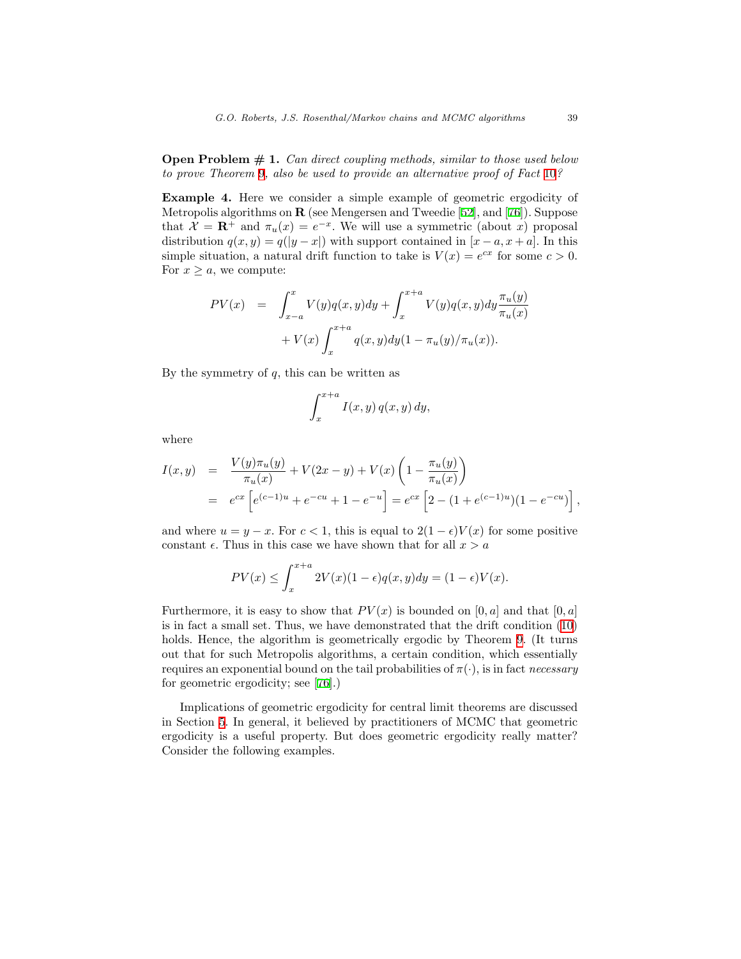**Open Problem**  $# 1$ **.** Can direct coupling methods, similar to those used below to prove Theorem [9](#page-18-1), also be used to provide an alternative proof of Fact [10](#page-18-2)?

Example 4. Here we consider a simple example of geometric ergodicity of Metropolis algorithms on R (see Mengersen and Tweedie [\[52](#page-48-6)], and [\[76](#page-50-8)]). Suppose that  $\mathcal{X} = \mathbb{R}^+$  and  $\pi_u(x) = e^{-x}$ . We will use a symmetric (about x) proposal distribution  $q(x, y) = q(|y - x|)$  with support contained in  $[x - a, x + a]$ . In this simple situation, a natural drift function to take is  $V(x) = e^{cx}$  for some  $c > 0$ . For  $x \geq a$ , we compute:

$$
PV(x) = \int_{x-a}^{x} V(y)q(x,y)dy + \int_{x}^{x+a} V(y)q(x,y)dy \frac{\pi_u(y)}{\pi_u(x)} + V(x) \int_{x}^{x+a} q(x,y)dy(1 - \pi_u(y)/\pi_u(x)).
$$

By the symmetry of  $q$ , this can be written as

$$
\int_{x}^{x+a} I(x,y) q(x,y) dy,
$$

where

$$
I(x,y) = \frac{V(y)\pi_u(y)}{\pi_u(x)} + V(2x - y) + V(x) \left(1 - \frac{\pi_u(y)}{\pi_u(x)}\right)
$$
  
=  $e^{cx} \left[e^{(c-1)u} + e^{-cu} + 1 - e^{-u}\right] = e^{cx} \left[2 - (1 + e^{(c-1)u})(1 - e^{-cu})\right],$ 

and where  $u = y - x$ . For  $c < 1$ , this is equal to  $2(1 - \epsilon)V(x)$  for some positive constant  $\epsilon$ . Thus in this case we have shown that for all  $x > a$ 

$$
PV(x) \le \int_{x}^{x+a} 2V(x)(1-\epsilon)q(x,y)dy = (1-\epsilon)V(x).
$$

Furthermore, it is easy to show that  $PV(x)$  is bounded on [0, a] and that [0, a] is in fact a small set. Thus, we have demonstrated that the drift condition([10\)](#page-18-0) holds. Hence, the algorithm is geometrically ergodic by Theorem [9](#page-18-1). (It turns out that for such Metropolis algorithms, a certain condition, which essentially requires an exponential bound on the tail probabilities of  $\pi(\cdot)$ , is in fact necessary for geometric ergodicity; see [\[76](#page-50-8)].)

Implications of geometric ergodicity for central limit theorems are discussed in Section [5](#page-32-0). In general, it believed by practitioners of MCMC that geometric ergodicity is a useful property. But does geometric ergodicity really matter? Consider the following examples.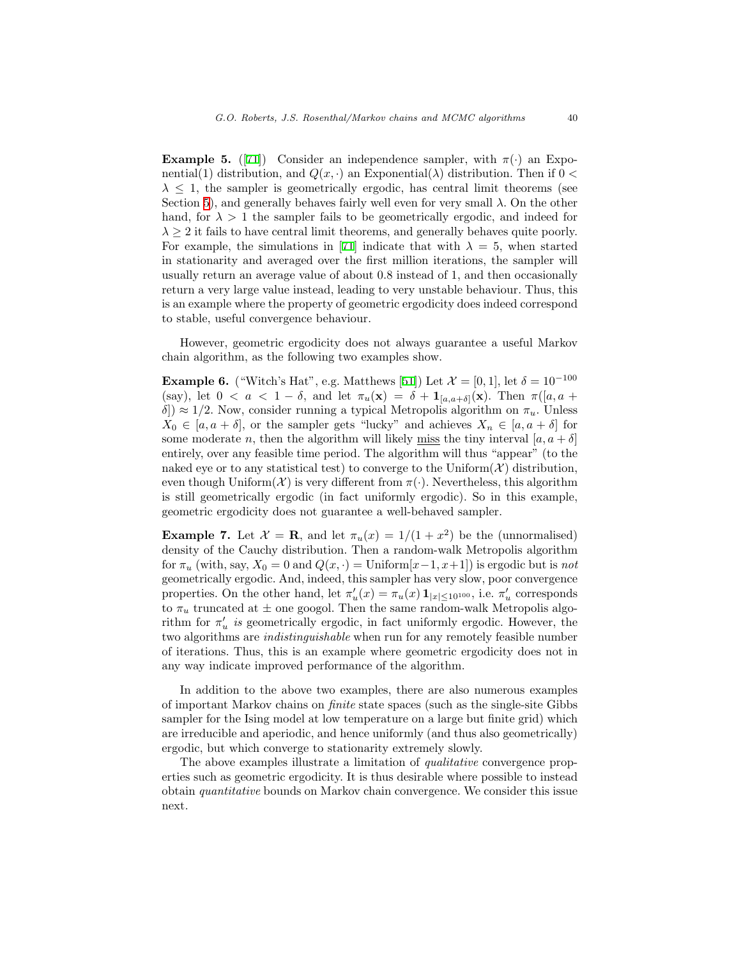**Example 5.** ([[71\]](#page-49-0)) Consider an independence sampler, with  $\pi(\cdot)$  an Exponential(1) distribution, and  $Q(x, \cdot)$  an Exponential( $\lambda$ ) distribution. Then if  $0 <$  $\lambda \leq 1$ , the sampler is geometrically ergodic, has central limit theorems (see Section [5](#page-32-0)), and generally behaves fairly well even for very small  $\lambda$ . On the other hand, for  $\lambda > 1$  the sampler fails to be geometrically ergodic, and indeed for  $\lambda \geq 2$  it fails to have central limit theorems, and generally behaves quite poorly. Forexample, the simulations in [[71\]](#page-49-0) indicate that with  $\lambda = 5$ , when started in stationarity and averaged over the first million iterations, the sampler will usually return an average value of about 0.8 instead of 1, and then occasionally return a very large value instead, leading to very unstable behaviour. Thus, this is an example where the property of geometric ergodicity does indeed correspond to stable, useful convergence behaviour.

However, geometric ergodicity does not always guarantee a useful Markov chain algorithm, as the following two examples show.

**Example 6.** ("Witch's Hat", e.g. Matthews [\[51](#page-48-7)]) Let  $\mathcal{X} = [0, 1]$ , let  $\delta = 10^{-100}$ (say), let  $0 < a < 1 - \delta$ , and let  $\pi_u(\mathbf{x}) = \delta + \mathbf{1}_{[a,a+\delta]}(\mathbf{x})$ . Then  $\pi([a,a+\delta])$ δ])  $\approx 1/2$ . Now, consider running a typical Metropolis algorithm on  $\pi_u$ . Unless  $X_0 \in [a, a + \delta],$  or the sampler gets "lucky" and achieves  $X_n \in [a, a + \delta]$  for some moderate n, then the algorithm will likely <u>miss</u> the tiny interval  $[a, a + \delta]$ entirely, over any feasible time period. The algorithm will thus "appear" (to the naked eye or to any statistical test) to converge to the Uniform $(\mathcal{X})$  distribution, even though Uniform $(X)$  is very different from  $\pi(\cdot)$ . Nevertheless, this algorithm is still geometrically ergodic (in fact uniformly ergodic). So in this example, geometric ergodicity does not guarantee a well-behaved sampler.

**Example 7.** Let  $\mathcal{X} = \mathbf{R}$ , and let  $\pi_u(x) = 1/(1+x^2)$  be the (unnormalised) density of the Cauchy distribution. Then a random-walk Metropolis algorithm for  $\pi_u$  (with, say,  $X_0 = 0$  and  $Q(x, \cdot) = \text{Uniform}[x-1, x+1]$ ) is ergodic but is not geometrically ergodic. And, indeed, this sampler has very slow, poor convergence properties. On the other hand, let  $\pi'_u(x) = \pi_u(x) \mathbf{1}_{|x| \leq 10^{100}}$ , i.e.  $\pi'_u$  corresponds to  $\pi_u$  truncated at  $\pm$  one googol. Then the same random-walk Metropolis algorithm for  $\pi'_u$  is geometrically ergodic, in fact uniformly ergodic. However, the two algorithms are indistinguishable when run for any remotely feasible number of iterations. Thus, this is an example where geometric ergodicity does not in any way indicate improved performance of the algorithm.

In addition to the above two examples, there are also numerous examples of important Markov chains on finite state spaces (such as the single-site Gibbs sampler for the Ising model at low temperature on a large but finite grid) which are irreducible and aperiodic, and hence uniformly (and thus also geometrically) ergodic, but which converge to stationarity extremely slowly.

The above examples illustrate a limitation of *qualitative* convergence properties such as geometric ergodicity. It is thus desirable where possible to instead obtain quantitative bounds on Markov chain convergence. We consider this issue next.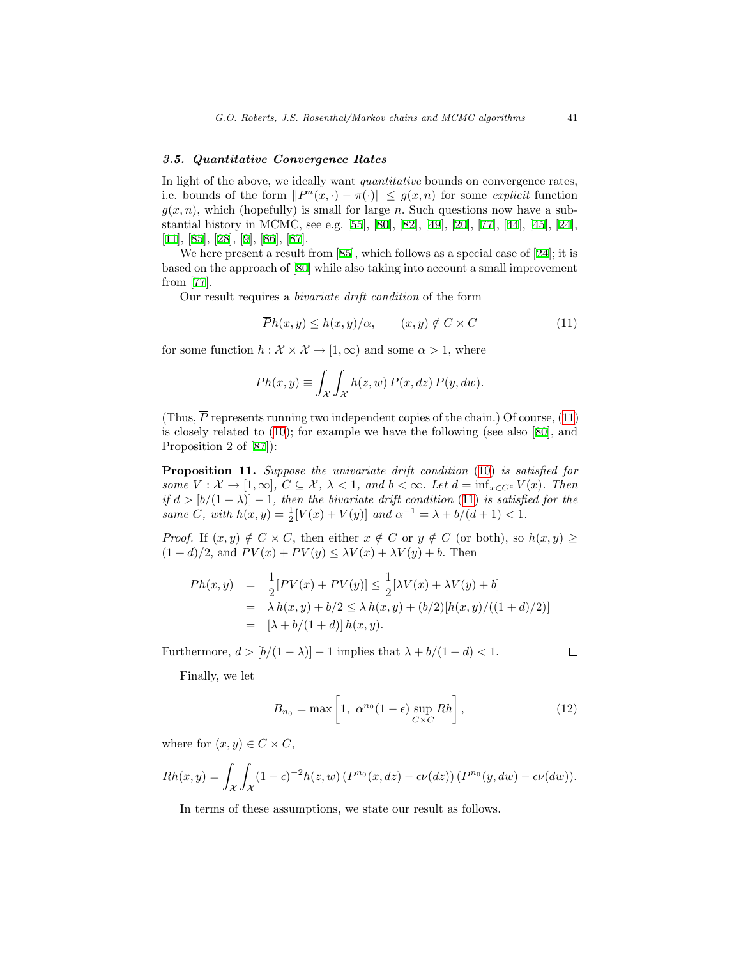# 3.5. Quantitative Convergence Rates

In light of the above, we ideally want *quantitative* bounds on convergence rates, i.e. bounds of the form  $||P^n(x, \cdot) - \pi(\cdot)|| \leq g(x, n)$  for some explicit function  $g(x, n)$ , which (hopefully) is small for large n. Such questions now have a substantial history in MCMC, see e.g. [\[55](#page-48-4)],[[80](#page-50-3)], [\[82\]](#page-50-2),[[49](#page-48-8)], [\[20\]](#page-46-1),[[77](#page-50-4)],[[44\]](#page-47-3), [\[45](#page-47-4)],[[24\]](#page-46-4), [[11](#page-45-5)], [\[85](#page-50-5)],[[28\]](#page-46-6), [\[9](#page-45-6)],[[86\]](#page-50-9), [\[87](#page-50-10)].

Wehere present a result from [[85](#page-50-5)], which follows as a special case of [\[24](#page-46-4)]; it is based on the approach of[[80\]](#page-50-3) while also taking into account a small improvement from [\[77](#page-50-4)].

Our result requires a bivariate drift condition of the form

<span id="page-21-1"></span>
$$
\overline{P}h(x,y) \le h(x,y)/\alpha, \qquad (x,y) \notin C \times C \tag{11}
$$

for some function  $h : \mathcal{X} \times \mathcal{X} \to [1,\infty)$  and some  $\alpha > 1$ , where

$$
\overline{P}h(x,y) \equiv \int_{\mathcal{X}} \int_{\mathcal{X}} h(z,w) P(x,dz) P(y,dw).
$$

(Thus, $\overline{P}$  represents running two independent copies of the chain.) Of course, ([11\)](#page-21-1) is closely related to [\(10](#page-18-0)); for example we have the following (see also [\[80](#page-50-3)], and Proposition 2 of[[87\]](#page-50-10)):

<span id="page-21-3"></span>Proposition 11. Suppose the univariate drift condition [\(10](#page-18-0)) is satisfied for some  $V: \mathcal{X} \to [1,\infty], C \subseteq \mathcal{X}, \lambda < 1,$  and  $b < \infty$ . Let  $d = \inf_{x \in C^c} V(x)$ . Then if  $d > [b/(1 - \lambda)] - 1$ , then the bivariate drift condition [\(11](#page-21-1)) is satisfied for the same  $C$ , with  $h(x, y) = \frac{1}{2}[V(x) + V(y)]$  and  $\alpha^{-1} = \lambda + b/(d + 1) < 1$ .

*Proof.* If  $(x, y) \notin C \times C$ , then either  $x \notin C$  or  $y \notin C$  (or both), so  $h(x, y) \geq$  $(1+d)/2$ , and  $PV(x) + PV(y) \leq \lambda V(x) + \lambda V(y) + b$ . Then

$$
\overline{P}h(x,y) = \frac{1}{2}[PV(x) + PV(y)] \le \frac{1}{2}[\lambda V(x) + \lambda V(y) + b]
$$
  
=  $\lambda h(x, y) + b/2 \le \lambda h(x, y) + (b/2)[h(x, y)/((1 + d)/2)]$   
=  $[\lambda + b/(1 + d)] h(x, y).$ 

Furthermore,  $d > [b/(1 - \lambda)] - 1$  implies that  $\lambda + b/(1 + d) < 1$ .

$$
\Box
$$

Finally, we let

<span id="page-21-2"></span>
$$
B_{n_0} = \max\left[1, \ \alpha^{n_0} (1 - \epsilon) \sup_{C \times C} \overline{R}h\right],\tag{12}
$$

where for  $(x, y) \in C \times C$ ,

$$
\overline{R}h(x,y) = \int_{\mathcal{X}} \int_{\mathcal{X}} (1-\epsilon)^{-2} h(z,w) \left( P^{n_0}(x,dz) - \epsilon \nu(dz) \right) \left( P^{n_0}(y,dw) - \epsilon \nu(dw) \right).
$$

<span id="page-21-0"></span>In terms of these assumptions, we state our result as follows.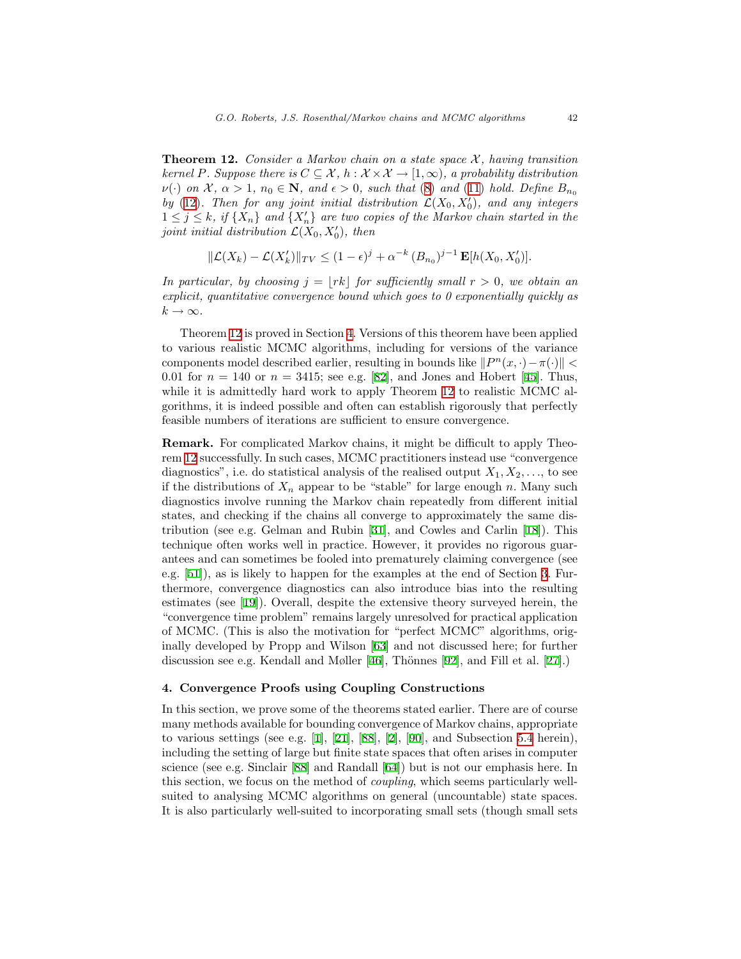**Theorem 12.** Consider a Markov chain on a state space  $\mathcal{X}$ , having transition kernel P. Suppose there is  $C \subseteq \mathcal{X}$ ,  $h : \mathcal{X} \times \mathcal{X} \to [1,\infty)$ , a probability distribution  $\nu(\cdot)$  on X,  $\alpha > 1$ ,  $n_0 \in \mathbb{N}$ , and  $\epsilon > 0$ , such that ([8\)](#page-15-0) and ([11\)](#page-21-1) hold. Define  $B_{n_0}$ by [\(12](#page-21-2)). Then for any joint initial distribution  $\mathcal{L}(X_0, X'_0)$ , and any integers  $1 \leq j \leq k$ , if  $\{X_n\}$  and  $\{X_n'\}$  are two copies of the Markov chain started in the joint initial distribution  $\mathcal{L}(X_0, X_0')$ , then

$$
\|\mathcal{L}(X_k) - \mathcal{L}(X'_k)\|_{TV} \le (1 - \epsilon)^j + \alpha^{-k} (B_{n_0})^{j-1} \mathbf{E}[h(X_0, X'_0)].
$$

In particular, by choosing  $j = |rk|$  for sufficiently small  $r > 0$ , we obtain an explicit, quantitative convergence bound which goes to  $\theta$  exponentially quickly as  $k \to \infty$ .

Theorem [12](#page-21-0) is proved in Section [4.](#page-22-0) Versions of this theorem have been applied to various realistic MCMC algorithms, including for versions of the variance components model described earlier, resulting in bounds like  $||P^n(x, \cdot) - \pi(\cdot)||$  < 0.01 for  $n = 140$  or  $n = 3415$ ; see e.g. [\[82](#page-50-2)], and Jones and Hobert [\[45](#page-47-4)]. Thus, while it is admittedly hard work to apply Theorem [12](#page-21-0) to realistic MCMC algorithms, it is indeed possible and often can establish rigorously that perfectly feasible numbers of iterations are sufficient to ensure convergence.

Remark. For complicated Markov chains, it might be difficult to apply Theorem [12](#page-21-0) successfully. In such cases, MCMC practitioners instead use "convergence diagnostics", i.e. do statistical analysis of the realised output  $X_1, X_2, \ldots$ , to see if the distributions of  $X_n$  appear to be "stable" for large enough n. Many such diagnostics involve running the Markov chain repeatedly from different initial states, and checking if the chains all converge to approximately the same distribution (see e.g. Gelman and Rubin [\[31](#page-47-6)], and Cowles and Carlin[[18\]](#page-46-7)). This technique often works well in practice. However, it provides no rigorous guarantees and can sometimes be fooled into prematurely claiming convergence (see e.g. [\[51](#page-48-7)]), as is likely to happen for the examples at the end of Section [3.](#page-8-0) Furthermore, convergence diagnostics can also introduce bias into the resulting estimates (see [\[19](#page-46-8)]). Overall, despite the extensive theory surveyed herein, the "convergence time problem" remains largely unresolved for practical application of MCMC. (This is also the motivation for "perfect MCMC" algorithms, originally developed by Propp and Wilson [\[63](#page-49-7)] and not discussed here; for further discussion see e.g. Kendall and Møller [\[46](#page-48-9)], Thönnes [\[92](#page-51-1)],and Fill et al. [[27\]](#page-46-9).)

#### <span id="page-22-0"></span>4. Convergence Proofs using Coupling Constructions

In this section, we prove some of the theorems stated earlier. There are of course many methods available for bounding convergence of Markov chains, appropriate to various settings (see e.g. [\[1](#page-45-7)], [\[21](#page-46-10)], [\[88](#page-50-11)], [\[2](#page-45-8)], [\[90](#page-50-12)], and Subsection [5.4](#page-38-0) herein), including the setting of large but finite state spaces that often arises in computer science (see e.g. Sinclair[[88](#page-50-11)] and Randall[[64](#page-49-8)]) but is not our emphasis here. In this section, we focus on the method of coupling, which seems particularly wellsuited to analysing MCMC algorithms on general (uncountable) state spaces. It is also particularly well-suited to incorporating small sets (though small sets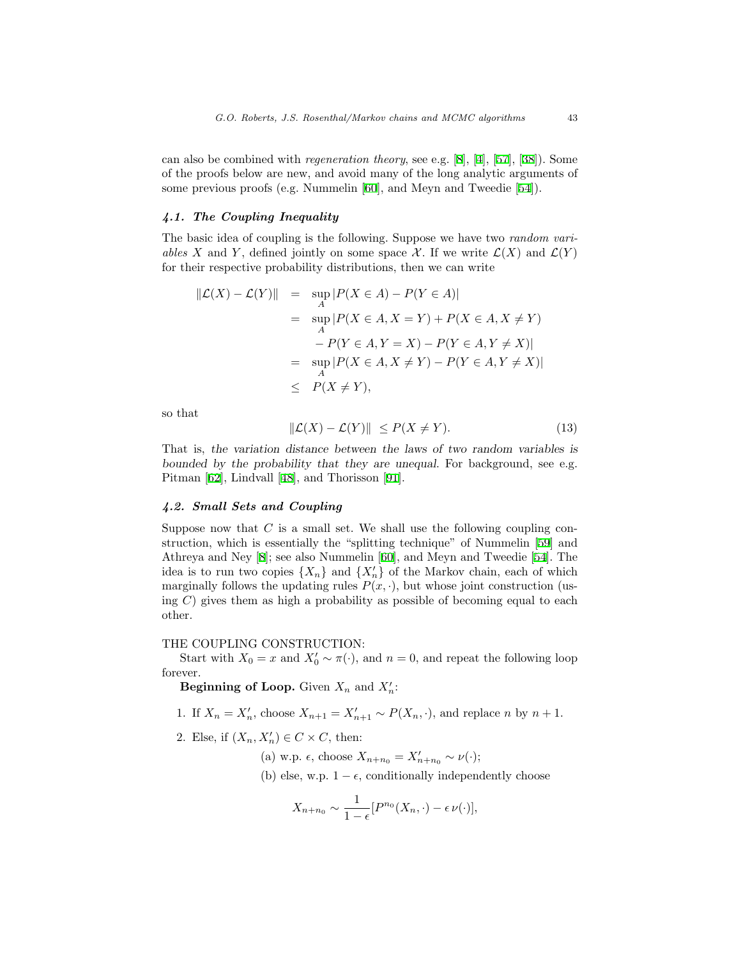can also be combined with regeneration theory, see e.g. [\[8](#page-45-2)],[[4\]](#page-45-3), [\[57](#page-48-1)],[[38\]](#page-47-7)). Some of the proofs below are new, and avoid many of the long analytic arguments of some previous proofs (e.g. Nummelin[[60\]](#page-49-5), and Meyn and Tweedie[[54\]](#page-48-2)).

# 4.1. The Coupling Inequality

The basic idea of coupling is the following. Suppose we have two *random vari*ables X and Y, defined jointly on some space X. If we write  $\mathcal{L}(X)$  and  $\mathcal{L}(Y)$ for their respective probability distributions, then we can write

$$
\| \mathcal{L}(X) - \mathcal{L}(Y) \| = \sup_{A} |P(X \in A) - P(Y \in A)|
$$
  
= 
$$
\sup_{A} |P(X \in A, X = Y) + P(X \in A, X \neq Y)
$$
  

$$
- P(Y \in A, Y = X) - P(Y \in A, Y \neq X)|
$$
  
= 
$$
\sup_{A} |P(X \in A, X \neq Y) - P(Y \in A, Y \neq X)|
$$
  

$$
\leq P(X \neq Y),
$$

so that

<span id="page-23-0"></span>
$$
\|\mathcal{L}(X) - \mathcal{L}(Y)\| \le P(X \ne Y). \tag{13}
$$

That is, the variation distance between the laws of two random variables is bounded by the probability that they are unequal. For background, see e.g. Pitman [\[62](#page-49-9)], Lindvall [\[48](#page-48-10)], and Thorisson [\[91](#page-51-2)].

# 4.2. Small Sets and Coupling

Suppose now that  $C$  is a small set. We shall use the following coupling construction, which is essentially the "splitting technique" of Nummelin[[59\]](#page-48-11) and Athreya and Ney [\[8](#page-45-2)]; see also Nummelin [\[60](#page-49-5)], and Meyn and Tweedie[[54\]](#page-48-2). The idea is to run two copies  $\{X_n\}$  and  $\{X'_n\}$  of the Markov chain, each of which marginally follows the updating rules  $P(x, \cdot)$ , but whose joint construction (using  $C$ ) gives them as high a probability as possible of becoming equal to each other.

# THE COUPLING CONSTRUCTION:

Start with  $X_0 = x$  and  $X'_0 \sim \pi(\cdot)$ , and  $n = 0$ , and repeat the following loop forever.

Beginning of Loop. Given  $X_n$  and  $X'_n$ :

1. If  $X_n = X'_n$ , choose  $X_{n+1} = X'_{n+1} \sim P(X_n, \cdot)$ , and replace n by  $n+1$ .

2. Else, if  $(X_n, X'_n) \in C \times C$ , then:

(a) w.p.  $\epsilon$ , choose  $X_{n+n_0} = X'_{n+n_0} \sim \nu(\cdot);$ 

(b) else, w.p.  $1 - \epsilon$ , conditionally independently choose

$$
X_{n+n_0} \sim \frac{1}{1-\epsilon} [P^{n_0}(X_n,\cdot) - \epsilon \nu(\cdot)],
$$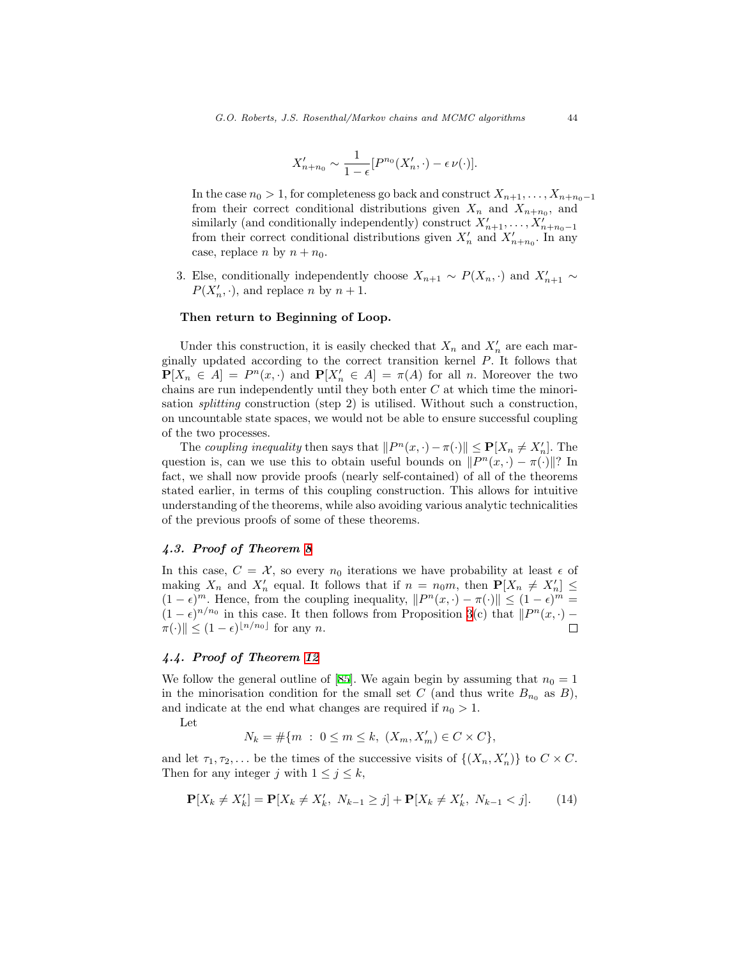$$
X'_{n+n_0} \sim \frac{1}{1-\epsilon} [P^{n_0}(X'_n, \cdot) - \epsilon \nu(\cdot)].
$$

In the case  $n_0 > 1$ , for completeness go back and construct  $X_{n+1}, \ldots, X_{n+n_0-1}$ from their correct conditional distributions given  $X_n$  and  $X_{n+n_0}$ , and similarly (and conditionally independently) construct  $X'_{n+1}, \ldots, X'_{n+n_0-1}$ from their correct conditional distributions given  $X'_n$  and  $X'_{n+n_0}$ . In any case, replace n by  $n + n_0$ .

3. Else, conditionally independently choose  $X_{n+1} \sim P(X_n, \cdot)$  and  $X'_{n+1} \sim$  $P(X'_n, \cdot)$ , and replace n by  $n + 1$ .

# Then return to Beginning of Loop.

Under this construction, it is easily checked that  $X_n$  and  $X'_n$  are each marginally updated according to the correct transition kernel P. It follows that  $\mathbf{P}[X_n \in A] = P^n(x, \cdot)$  and  $\mathbf{P}[X_n \in A] = \pi(A)$  for all n. Moreover the two chains are run independently until they both enter  $C$  at which time the minorisation splitting construction (step 2) is utilised. Without such a construction, on uncountable state spaces, we would not be able to ensure successful coupling of the two processes.

The coupling inequality then says that  $||P^n(x, \cdot) - \pi(\cdot)|| \leq \mathbf{P}[X_n \neq X'_n]$ . The question is, can we use this to obtain useful bounds on  $||P^n(x, \cdot) - \pi(\cdot)||$ ? In fact, we shall now provide proofs (nearly self-contained) of all of the theorems stated earlier, in terms of this coupling construction. This allows for intuitive understanding of the theorems, while also avoiding various analytic technicalities of the previous proofs of some of these theorems.

# 4.3. Proof of Theorem [8](#page-16-0)

In this case,  $C = \mathcal{X}$ , so every  $n_0$  iterations we have probability at least  $\epsilon$  of making  $X_n$  and  $X'_n$  equal. It follows that if  $n = n_0m$ , then  $\mathbf{P}[X_n \neq X'_n] \leq$  $(1-\epsilon)^m$ . Hence, from the coupling inequality,  $||P^n(x, \cdot) - \pi(\cdot)|| \le (1-\epsilon)^m$  $(1 - \epsilon)^{n/n_0}$  in this case. It then follows from Proposition [3\(](#page-8-1)c) that  $||P^n(x, \cdot) \|\pi(\cdot)\| \leq (1-\epsilon)^{\lfloor n/n_0 \rfloor}$  for any n. П

# 4.4. Proof of Theorem [12](#page-21-0)

We follow the general outline of [\[85](#page-50-5)]. We again begin by assuming that  $n_0 = 1$ in the minorisation condition for the small set C (and thus write  $B_{n_0}$  as B), and indicate at the end what changes are required if  $n_0 > 1$ .

Let

$$
N_k = \# \{ m \; : \; 0 \le m \le k, \ (X_m, X'_m) \in C \times C \},
$$

and let  $\tau_1, \tau_2, \ldots$  be the times of the successive visits of  $\{(X_n, X'_n)\}\)$  to  $C \times C$ . Then for any integer j with  $1 \leq j \leq k$ ,

<span id="page-24-0"></span>
$$
\mathbf{P}[X_k \neq X'_k] = \mathbf{P}[X_k \neq X'_k, N_{k-1} \geq j] + \mathbf{P}[X_k \neq X'_k, N_{k-1} < j].\tag{14}
$$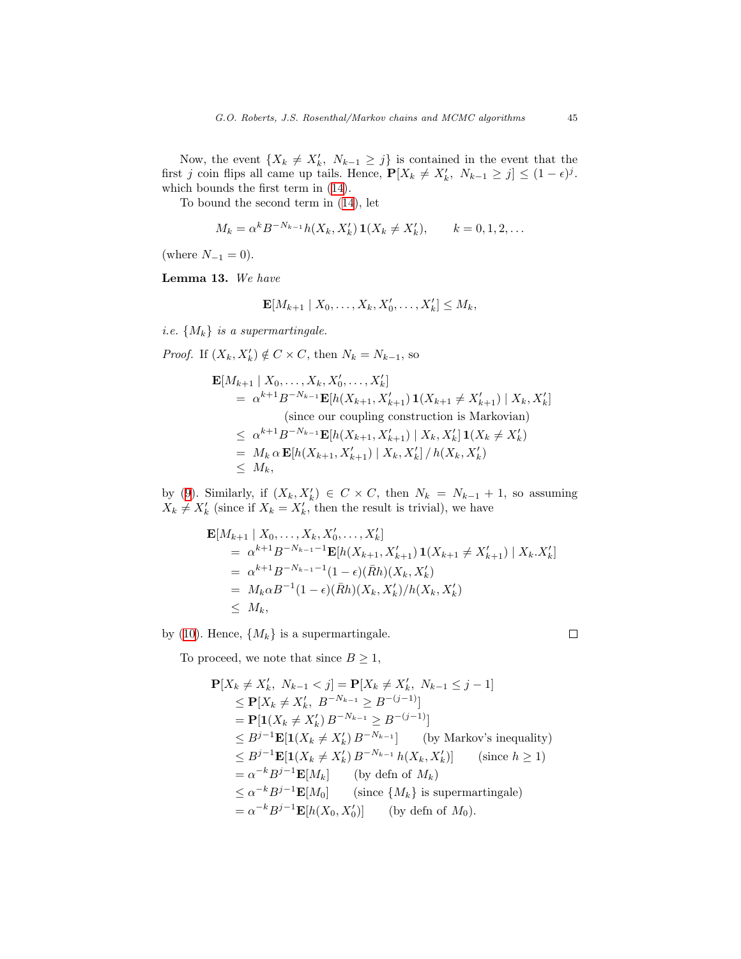Now, the event  $\{X_k \neq X'_k, N_{k-1} \geq j\}$  is contained in the event that the first j coin flips all came up tails. Hence,  $\mathbf{P}[X_k \neq X'_k, N_{k-1} \geq j] \leq (1 - \epsilon)^j$ . which bounds the first term in([14\)](#page-24-0).

To bound the second term in([14\)](#page-24-0), let

$$
M_k = \alpha^k B^{-N_{k-1}} h(X_k, X'_k) \mathbf{1}(X_k \neq X'_k), \qquad k = 0, 1, 2, ...
$$

(where  $N_{-1} = 0$ ).

Lemma 13. We have

$$
\mathbf{E}[M_{k+1} | X_0,\ldots,X_k,X'_0,\ldots,X'_k] \leq M_k,
$$

*i.e.*  $\{M_k\}$  *is a supermartingale.* 

*Proof.* If  $(X_k, X'_k) \notin C \times C$ , then  $N_k = N_{k-1}$ , so

$$
\mathbf{E}[M_{k+1} | X_0, \dots, X_k, X'_0, \dots, X'_k]
$$
\n
$$
= \alpha^{k+1} B^{-N_{k-1}} \mathbf{E}[h(X_{k+1}, X'_{k+1}) \mathbf{1}(X_{k+1} \neq X'_{k+1}) | X_k, X'_k]
$$
\n(since our coupling construction is Markovian)\n
$$
\leq \alpha^{k+1} B^{-N_{k-1}} \mathbf{E}[h(X_{k+1}, X'_{k+1}) | X_k, X'_k] \mathbf{1}(X_k \neq X'_k)
$$
\n
$$
= M_k \alpha \mathbf{E}[h(X_{k+1}, X'_{k+1}) | X_k, X'_k] / h(X_k, X'_k)
$$
\n
$$
\leq M_k,
$$

by([9\)](#page-16-1). Similarly, if  $(X_k, X'_k) \in C \times C$ , then  $N_k = N_{k-1} + 1$ , so assuming  $X_k \neq X'_k$  (since if  $X_k = X'_k$ , then the result is trivial), we have

$$
\mathbf{E}[M_{k+1} | X_0, \dots, X_k, X'_0, \dots, X'_k]
$$
\n
$$
= \alpha^{k+1} B^{-N_{k-1}-1} \mathbf{E}[h(X_{k+1}, X'_{k+1}) \mathbf{1}(X_{k+1} \neq X'_{k+1}) | X_k. X'_k]
$$
\n
$$
= \alpha^{k+1} B^{-N_{k-1}-1} (1 - \epsilon)(\bar{R}h)(X_k, X'_k)
$$
\n
$$
= M_k \alpha B^{-1} (1 - \epsilon)(\bar{R}h)(X_k, X'_k) / h(X_k, X'_k)
$$
\n
$$
\leq M_k,
$$

by [\(10](#page-18-0)). Hence,  $\{M_k\}$  is a supermartingale.

To proceed, we note that since  $B \geq 1$ ,

 $\square$ 

$$
\begin{split}\n\mathbf{P}[X_{k} \neq X'_{k}, N_{k-1} < j] = \mathbf{P}[X_{k} \neq X'_{k}, N_{k-1} \leq j-1] \\
&\leq \mathbf{P}[X_{k} \neq X'_{k}, B^{-N_{k-1}} \geq B^{-(j-1)}] \\
&= \mathbf{P}[\mathbf{1}(X_{k} \neq X'_{k}) B^{-N_{k-1}} \geq B^{-(j-1)}] \\
&\leq B^{j-1} \mathbf{E}[\mathbf{1}(X_{k} \neq X'_{k}) B^{-N_{k-1}}] \qquad \text{(by Markov's inequality)} \\
&\leq B^{j-1} \mathbf{E}[\mathbf{1}(X_{k} \neq X'_{k}) B^{-N_{k-1}} h(X_{k}, X'_{k})] \qquad \text{(since } h \geq 1) \\
&= \alpha^{-k} B^{j-1} \mathbf{E}[M_{k}] \qquad \text{(by defn of } M_{k}) \\
&\leq \alpha^{-k} B^{j-1} \mathbf{E}[M_{0}] \qquad \text{(since } \{M_{k}\} \text{ is supermartingale)} \\
&= \alpha^{-k} B^{j-1} \mathbf{E}[h(X_{0}, X'_{0})] \qquad \text{(by defn of } M_{0}).\n\end{split}
$$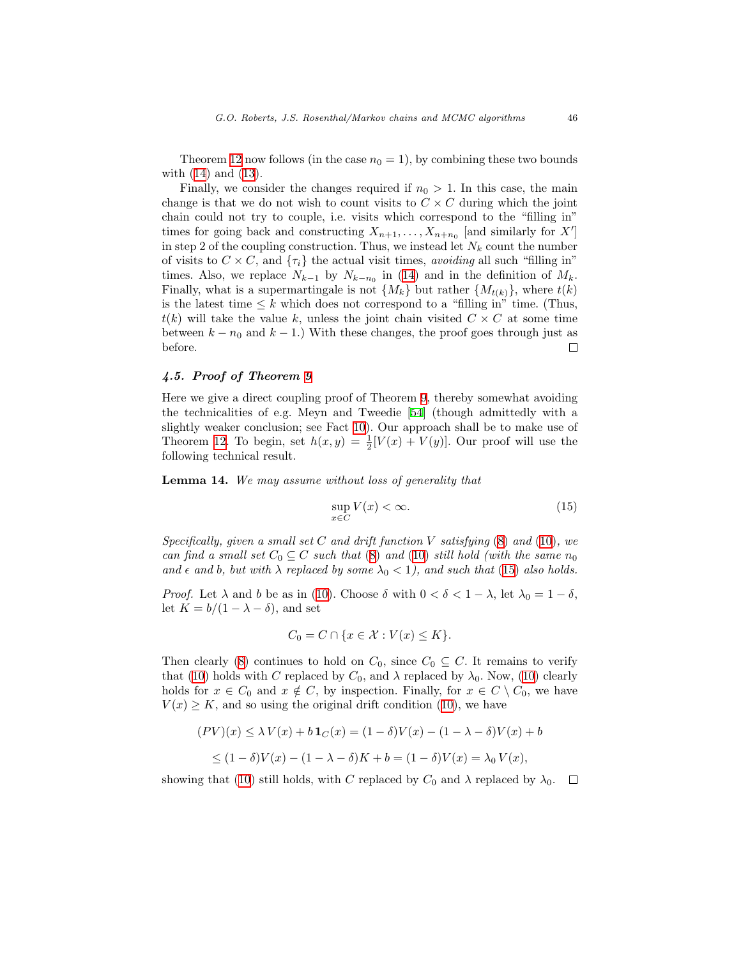Theorem [12](#page-21-0) now follows (in the case  $n_0 = 1$ ), by combining these two bounds with [\(14](#page-24-0)) and([13\)](#page-23-0).

Finally, we consider the changes required if  $n_0 > 1$ . In this case, the main change is that we do not wish to count visits to  $C \times C$  during which the joint chain could not try to couple, i.e. visits which correspond to the "filling in" times for going back and constructing  $X_{n+1}, \ldots, X_{n+n_0}$  [and similarly for X'] in step 2 of the coupling construction. Thus, we instead let  $N_k$  count the number of visits to  $C \times C$ , and  $\{\tau_i\}$  the actual visit times, *avoiding* all such "filling in" times.Also, we replace  $N_{k-1}$  by  $N_{k-n_0}$  in ([14\)](#page-24-0) and in the definition of  $M_k$ . Finally, what is a supermartingale is not  $\{M_k\}$  but rather  $\{M_{t(k)}\}$ , where  $t(k)$ is the latest time  $\leq k$  which does not correspond to a "filling in" time. (Thus,  $t(k)$  will take the value k, unless the joint chain visited  $C \times C$  at some time between  $k - n_0$  and  $k - 1$ .) With these changes, the proof goes through just as before.  $\Box$ 

# 4.5. Proof of Theorem [9](#page-18-1)

Here we give a direct coupling proof of Theorem [9,](#page-18-1) thereby somewhat avoiding the technicalities of e.g. Meyn and Tweedie [\[54](#page-48-2)] (though admittedly with a slightly weaker conclusion; see Fact [10](#page-18-2)). Our approach shall be to make use of Theorem [12.](#page-21-0) To begin, set  $h(x, y) = \frac{1}{2}[V(x) + V(y)]$ . Our proof will use the following technical result.

<span id="page-26-1"></span>Lemma 14. We may assume without loss of generality that

<span id="page-26-0"></span>
$$
\sup_{x \in C} V(x) < \infty. \tag{15}
$$

Specifically, given a small set C and drift function V satisfying  $(8)$  $(8)$  and  $(10)$  $(10)$ , we can find a small set  $C_0 \subseteq C$  such that ([8\)](#page-15-0) and [\(10](#page-18-0)) still hold (with the same  $n_0$ and  $\epsilon$  and b, but with  $\lambda$  replaced by some  $\lambda_0 < 1$ , and such that [\(15](#page-26-0)) also holds.

*Proof.* Let  $\lambda$  and b be as in [\(10](#page-18-0)). Choose  $\delta$  with  $0 < \delta < 1 - \lambda$ , let  $\lambda_0 = 1 - \delta$ , let  $K = b/(1 - \lambda - \delta)$ , and set

$$
C_0 = C \cap \{x \in \mathcal{X} : V(x) \le K\}.
$$

Then clearly [\(8](#page-15-0)) continues to hold on  $C_0$ , since  $C_0 \subseteq C$ . It remains to verify that [\(10](#page-18-0))holds with C replaced by  $C_0$ , and  $\lambda$  replaced by  $\lambda_0$ . Now, ([10\)](#page-18-0) clearly holds for  $x \in C_0$  and  $x \notin C$ , by inspection. Finally, for  $x \in C \setminus C_0$ , we have  $V(x) \geq K$  $V(x) \geq K$  $V(x) \geq K$ , and so using the original drift condition ([10\)](#page-18-0), we have

$$
(PV)(x) \le \lambda V(x) + b \mathbf{1}_C(x) = (1 - \delta)V(x) - (1 - \lambda - \delta)V(x) + b
$$
  

$$
\le (1 - \delta)V(x) - (1 - \lambda - \delta)K + b = (1 - \delta)V(x) = \lambda_0 V(x),
$$

showing that [\(10](#page-18-0)) still holds, with C replaced by  $C_0$  and  $\lambda$  replaced by  $\lambda_0$ . – □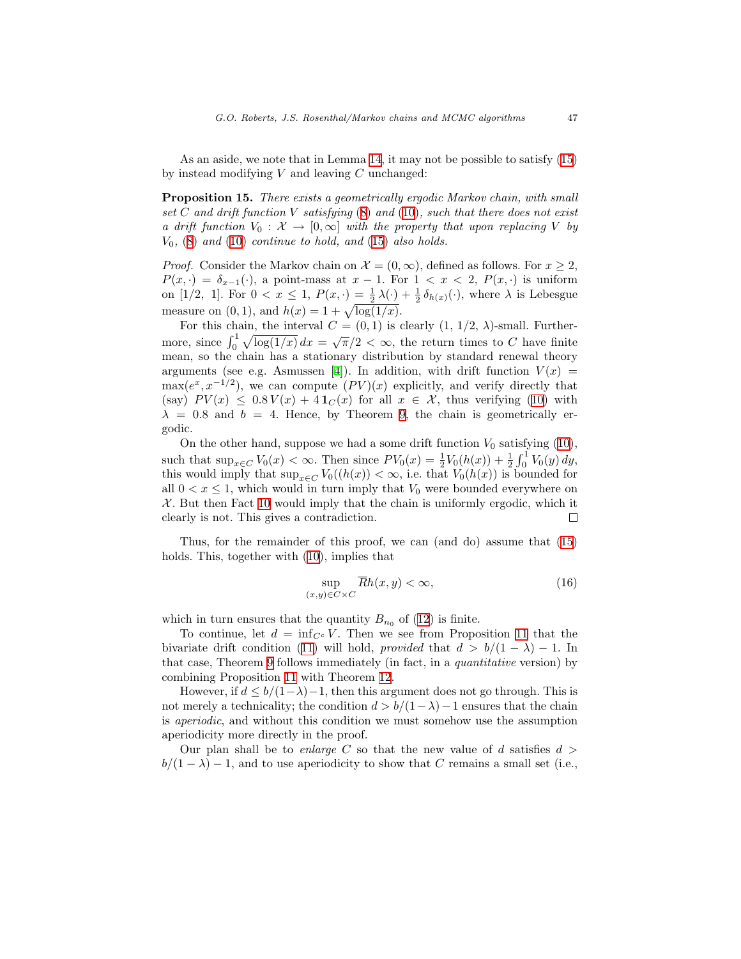As an aside, we note that in Lemma [14](#page-26-1), it may not be possible to satisfy([15\)](#page-26-0) by instead modifying  $V$  and leaving  $C$  unchanged:

Proposition 15. There exists a geometrically ergodic Markov chain, with small set  $C$  and drift function  $V$  satisfying  $(8)$  $(8)$  and  $(10)$  $(10)$ , such that there does not exist a drift function  $V_0: \mathcal{X} \to [0,\infty]$  with the property that upon replacing V by  $V_0$ , ([8\)](#page-15-0) and [\(10](#page-18-0)) continue to hold, and [\(15](#page-26-0)) also holds.

*Proof.* Consider the Markov chain on  $\mathcal{X} = (0, \infty)$ , defined as follows. For  $x \geq 2$ ,  $P(x, \cdot) = \delta_{x-1}(\cdot)$ , a point-mass at  $x-1$ . For  $1 < x < 2$ ,  $P(x, \cdot)$  is uniform on [1/2, 1]. For  $0 < x \le 1$ ,  $P(x, \cdot) = \frac{1}{2}\lambda(\cdot) + \frac{1}{2}\delta_{h(x)}(\cdot)$ , where  $\lambda$  is Lebesgue measure on  $(0, 1)$ , and  $h(x) = 1 + \sqrt{\log(1/x)}$ .

For this chain, the interval  $C = (0, 1)$  is clearly  $(1, 1/2, \lambda)$ -small. Furthermore, since  $\int_0^1 \sqrt{\log(1/x)} dx = \sqrt{\pi}/2 < \infty$ , the return times to C have finite mean, so the chain has a stationary distribution by standard renewal theory arguments (see e.g. Asmussen [\[4](#page-45-3)]). In addition, with drift function  $V(x)$  =  $\max(e^x, x^{-1/2})$ , we can compute  $(PV)(x)$  explicitly, and verify directly that (say)  $PV(x) \leq 0.8 V(x) + 4 \mathbf{1}_C(x)$  for all  $x \in \mathcal{X}$ , thus verifying [\(10](#page-18-0)) with  $\lambda = 0.8$  and  $b = 4$ . Hence, by Theorem [9](#page-18-1), the chain is geometrically ergodic.

Onthe other hand, suppose we had a some drift function  $V_0$  satisfying  $(10)$  $(10)$ , such that  $\sup_{x \in C} V_0(x) < \infty$ . Then since  $PV_0(x) = \frac{1}{2} V_0(h(x)) + \frac{1}{2} \int_0^1 V_0(y) dy$ , this would imply that  $\sup_{x \in C} V_0((h(x)) < \infty$ , i.e. that  $V_0(h(x))$  is bounded for all  $0 < x \leq 1$ , which would in turn imply that  $V_0$  were bounded everywhere on  $X$ . But then Fact [10](#page-18-2) would imply that the chain is uniformly ergodic, which it clearly is not. This gives a contradiction.  $\Box$ 

Thus, for the remainder of this proof, we can (and do) assume that([15\)](#page-26-0) holds. This, together with [\(10\)](#page-18-0), implies that

<span id="page-27-0"></span>
$$
\sup_{(x,y)\in C\times C} \overline{R}h(x,y) < \infty,\tag{16}
$$

which in turn ensures that the quantity  $B_{n_0}$  of [\(12](#page-21-2)) is finite.

To continue, let  $d = \inf_{C^c} V$ . Then we see from Proposition [11](#page-21-3) that the bivariate drift condition [\(11](#page-21-1)) will hold, provided that  $d > b/(1 - \lambda) - 1$ . In that case, Theorem [9](#page-18-1) follows immediately (in fact, in a quantitative version) by combining Proposition [11](#page-21-3) with Theorem [12](#page-21-0).

However, if  $d \leq b/(1-\lambda)-1$ , then this argument does not go through. This is not merely a technicality; the condition  $d > b/(1-\lambda)-1$  ensures that the chain is aperiodic, and without this condition we must somehow use the assumption aperiodicity more directly in the proof.

Our plan shall be to enlarge C so that the new value of d satisfies  $d >$  $b/(1 - \lambda) - 1$ , and to use aperiodicity to show that C remains a small set (i.e.,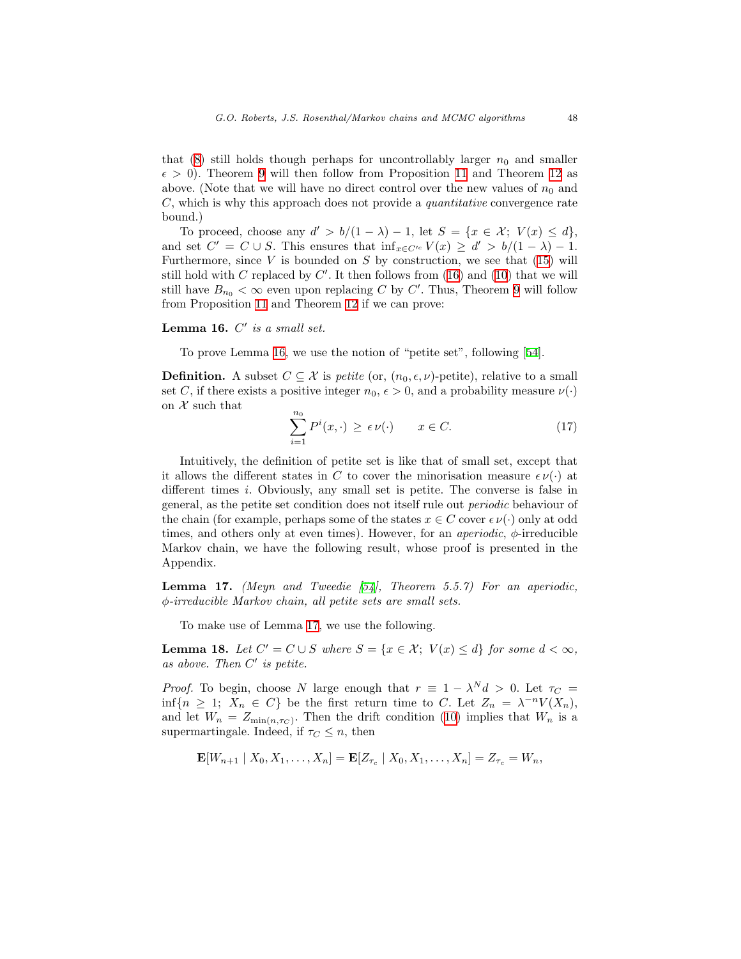that([8\)](#page-15-0) still holds though perhaps for uncontrollably larger  $n_0$  and smaller  $\epsilon > 0$ ). Theorem [9](#page-18-1) will then follow from Proposition [11](#page-21-3) and Theorem [12](#page-21-0) as above. (Note that we will have no direct control over the new values of  $n_0$  and  $C$ , which is why this approach does not provide a *quantitative* convergence rate bound.)

To proceed, choose any  $d' > b/(1 - \lambda) - 1$ , let  $S = \{x \in \mathcal{X}; V(x) \leq d\},$ and set  $C' = C \cup S$ . This ensures that  $\inf_{x \in C'^c} V(x) \ge d' > b/(1 - \lambda) - 1$ . Furthermore, since  $V$  is bounded on  $S$  by construction, we see that [\(15\)](#page-26-0) will stillhold with C replaced by  $C'$ . It then follows from ([16\)](#page-27-0) and [\(10](#page-18-0)) that we will still have  $B_{n_0} < \infty$  even upon replacing C by C'. Thus, Theorem [9](#page-18-1) will follow from Proposition [11](#page-21-3) and Theorem [12](#page-21-0) if we can prove:

# <span id="page-28-0"></span>Lemma 16.  $C'$  is a small set.

To prove Lemma [16,](#page-28-0) we use the notion of "petite set", following[[54\]](#page-48-2).

**Definition.** A subset  $C \subseteq \mathcal{X}$  is *petite* (or,  $(n_0, \epsilon, \nu)$ -petite), relative to a small set C, if there exists a positive integer  $n_0, \epsilon > 0$ , and a probability measure  $\nu(\cdot)$ on  $X$  such that

$$
\sum_{i=1}^{n_0} P^i(x, \cdot) \ge \epsilon \nu(\cdot) \qquad x \in C. \tag{17}
$$

Intuitively, the definition of petite set is like that of small set, except that it allows the different states in C to cover the minorisation measure  $\epsilon \nu(\cdot)$  at different times i. Obviously, any small set is petite. The converse is false in general, as the petite set condition does not itself rule out periodic behaviour of the chain (for example, perhaps some of the states  $x \in C$  cover  $\epsilon \nu(\cdot)$  only at odd times, and others only at even times). However, for an *aperiodic*,  $\phi$ -irreducible Markov chain, we have the following result, whose proof is presented in the Appendix.

<span id="page-28-1"></span>**Lemma 17.** (Meyn and Tweedie  $[54]$ , Theorem 5.5.7) For an aperiodic, φ-irreducible Markov chain, all petite sets are small sets.

To make use of Lemma [17](#page-28-1), we use the following.

<span id="page-28-2"></span>**Lemma 18.** Let  $C' = C \cup S$  where  $S = \{x \in \mathcal{X}; V(x) \leq d\}$  for some  $d < \infty$ , as above. Then  $C'$  is petite.

*Proof.* To begin, choose N large enough that  $r \equiv 1 - \lambda^N d > 0$ . Let  $\tau_C =$  $\inf\{n \geq 1; X_n \in C\}$  be the first return time to C. Let  $Z_n = \lambda^{-n}V(X_n)$ , and let  $W_n = Z_{\min(n,\tau_C)}$ . Then the drift condition [\(10](#page-18-0)) implies that  $W_n$  is a supermartingale. Indeed, if  $\tau_C \leq n$ , then

$$
\mathbf{E}[W_{n+1} | X_0, X_1, \dots, X_n] = \mathbf{E}[Z_{\tau_c} | X_0, X_1, \dots, X_n] = Z_{\tau_c} = W_n,
$$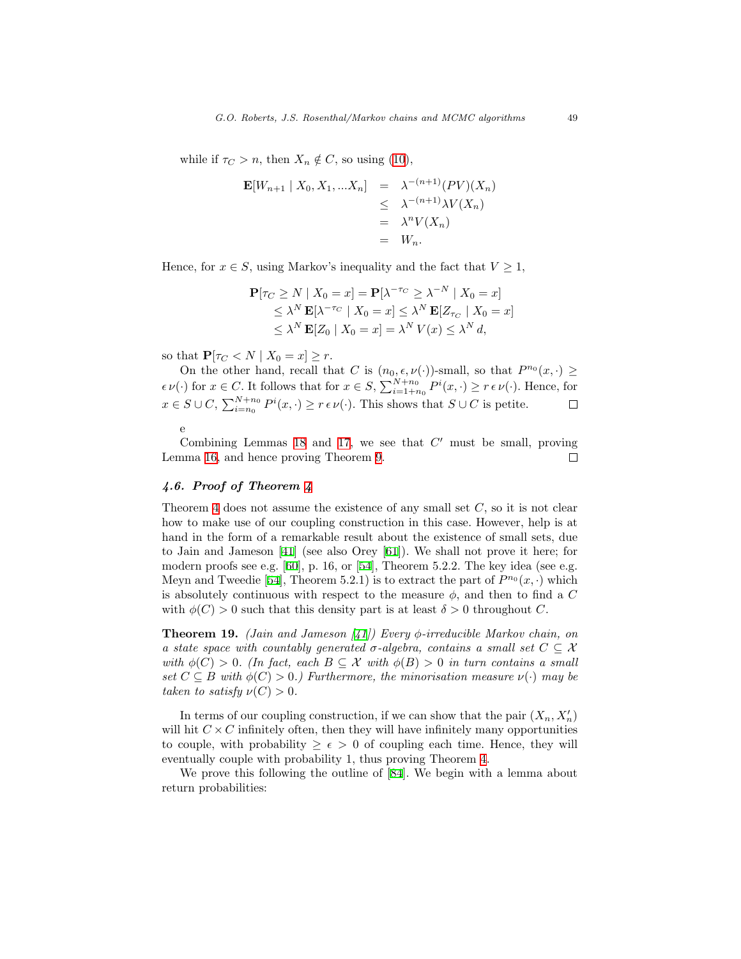whileif  $\tau_C > n$ , then  $X_n \notin C$ , so using ([10\)](#page-18-0),

$$
\begin{aligned} \mathbf{E}[W_{n+1} \mid X_0, X_1, \dots X_n] &= \lambda^{-(n+1)}(PV)(X_n) \\ &\leq \lambda^{-(n+1)}\lambda V(X_n) \\ &= \lambda^n V(X_n) \\ &= W_n. \end{aligned}
$$

Hence, for  $x \in S$ , using Markov's inequality and the fact that  $V \geq 1$ ,

$$
\mathbf{P}[\tau_C \ge N \mid X_0 = x] = \mathbf{P}[\lambda^{-\tau_C} \ge \lambda^{-N} \mid X_0 = x]
$$
  
\n
$$
\le \lambda^N \mathbf{E}[\lambda^{-\tau_C} \mid X_0 = x] \le \lambda^N \mathbf{E}[Z_{\tau_C} \mid X_0 = x]
$$
  
\n
$$
\le \lambda^N \mathbf{E}[Z_0 \mid X_0 = x] = \lambda^N V(x) \le \lambda^N d,
$$

so that  $P[\tau_C < N \mid X_0 = x] \geq r$ .

On the other hand, recall that C is  $(n_0, \epsilon, \nu(\cdot))$ -small, so that  $P^{n_0}(x, \cdot) \geq$  $\epsilon \nu(\cdot)$  for  $x \in C$ . It follows that for  $x \in S$ ,  $\sum_{i=1+n_0}^{N+n_0} P^i(x, \cdot) \ge r \epsilon \nu(\cdot)$ . Hence, for  $x \in S \cup C$ ,  $\sum_{i=n_0}^{N+n_0} P^i(x, \cdot) \ge r \epsilon \nu(\cdot)$ . This shows that  $S \cup C$  is petite.  $\Box$ e

Combining Lemmas [18](#page-28-2) and [17](#page-28-1), we see that  $C'$  must be small, proving Lemma [16](#page-28-0), and hence proving Theorem [9.](#page-18-1)  $\Box$ 

# 4.6. Proof of Theorem [4](#page-12-0)

Theorem [4](#page-12-0) does not assume the existence of any small set  $C$ , so it is not clear how to make use of our coupling construction in this case. However, help is at hand in the form of a remarkable result about the existence of small sets, due to Jain and Jameson[[41\]](#page-47-8) (see also Orey[[61\]](#page-49-2)). We shall not prove it here; for modern proofs see e.g. [\[60](#page-49-5)], p. 16, or [\[54\]](#page-48-2), Theorem 5.2.2. The key idea (see e.g. Meyn and Tweedie [\[54](#page-48-2)], Theorem 5.2.1) is to extract the part of  $P^{n_0}(x, \cdot)$  which is absolutely continuous with respect to the measure  $\phi$ , and then to find a C with  $\phi(C) > 0$  such that this density part is at least  $\delta > 0$  throughout C.

<span id="page-29-1"></span>**Theorem19.** (Jain and Jameson [[41](#page-47-8)]) Every  $\phi$ -irreducible Markov chain, on a state space with countably generated  $\sigma$ -algebra, contains a small set  $C \subseteq \mathcal{X}$ with  $\phi(C) > 0$ . (In fact, each  $B \subseteq \mathcal{X}$  with  $\phi(B) > 0$  in turn contains a small set  $C \subseteq B$  with  $\phi(C) > 0$ .) Furthermore, the minorisation measure  $\nu(\cdot)$  may be taken to satisfy  $\nu(C) > 0$ .

In terms of our coupling construction, if we can show that the pair  $(X_n, X'_n)$ will hit  $C \times C$  infinitely often, then they will have infinitely many opportunities to couple, with probability  $\geq \epsilon > 0$  of coupling each time. Hence, they will eventually couple with probability 1, thus proving Theorem [4](#page-12-0).

<span id="page-29-0"></span>We prove this following the outline of[[84\]](#page-50-13). We begin with a lemma about return probabilities: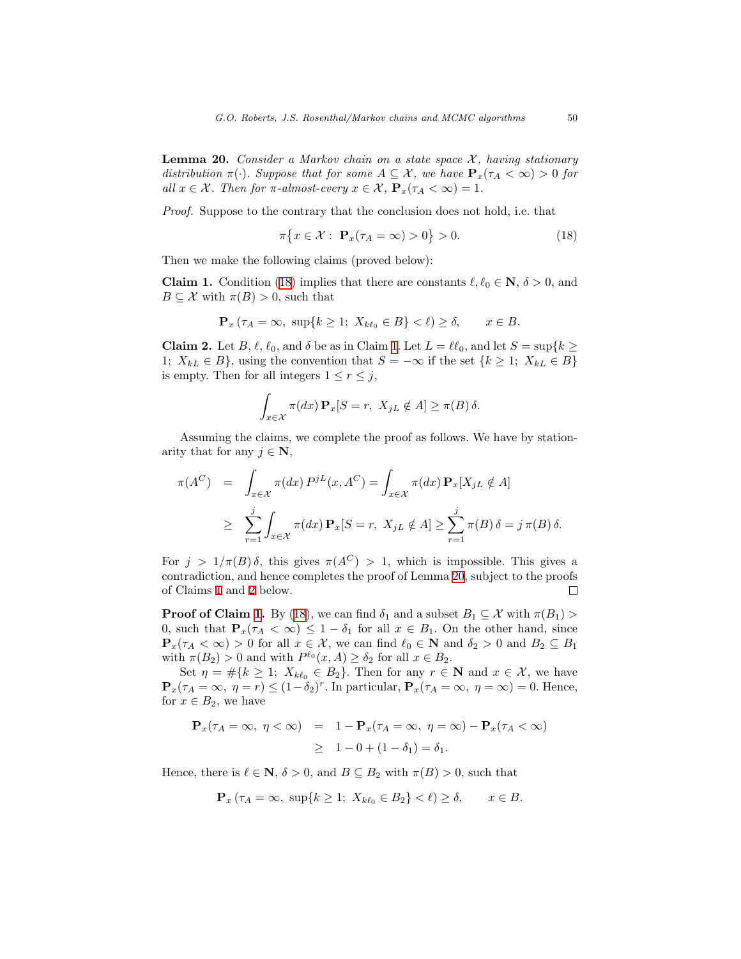**Lemma 20.** Consider a Markov chain on a state space  $\mathcal{X}$ , having stationary distribution  $\pi(\cdot)$ . Suppose that for some  $A \subseteq \mathcal{X}$ , we have  $\mathbf{P}_x(\tau_A < \infty) > 0$  for all  $x \in \mathcal{X}$ . Then for  $\pi$ -almost-every  $x \in \mathcal{X}$ ,  $\mathbf{P}_x(\tau_A < \infty) = 1$ .

Proof. Suppose to the contrary that the conclusion does not hold, i.e. that

<span id="page-30-0"></span>
$$
\pi\big\{x\in\mathcal{X}:\ \mathbf{P}_x(\tau_A=\infty)>0\big\}>0.\tag{18}
$$

Then we make the following claims (proved below):

<span id="page-30-1"></span>**Claim1.** Condition ([18\)](#page-30-0) implies that there are constants  $\ell, \ell_0 \in \mathbb{N}, \delta > 0$ , and  $B \subseteq \mathcal{X}$  with  $\pi(B) > 0$ , such that

$$
\mathbf{P}_x \left( \tau_A = \infty, \ \sup \{ k \ge 1; \ X_{k\ell_0} \in B \} < \ell \right) \ge \delta, \qquad x \in B.
$$

<span id="page-30-2"></span>**Claim 2.** Let B,  $\ell$ ,  $\ell_0$ , and  $\delta$  be as in Claim [1.](#page-30-1) Let  $L = \ell \ell_0$ , and let  $S = \sup\{k \geq \ell_0\}$ 1;  $X_{kL} \in B$ , using the convention that  $S = -\infty$  if the set  $\{k \geq 1; X_{kL} \in B\}$ is empty. Then for all integers  $1 \leq r \leq j$ ,

$$
\int_{x \in \mathcal{X}} \pi(dx) \mathbf{P}_x[S = r, \ X_{jL} \notin A] \ge \pi(B) \delta.
$$

Assuming the claims, we complete the proof as follows. We have by stationarity that for any  $j \in \mathbf{N}$ ,

$$
\pi(A^C) = \int_{x \in \mathcal{X}} \pi(dx) P^{jL}(x, A^C) = \int_{x \in \mathcal{X}} \pi(dx) \mathbf{P}_x[X_{jL} \notin A]
$$
  

$$
\geq \sum_{r=1}^j \int_{x \in \mathcal{X}} \pi(dx) \mathbf{P}_x[S = r, X_{jL} \notin A] \geq \sum_{r=1}^j \pi(B) \delta = j \pi(B) \delta.
$$

For  $j > 1/\pi(B)\delta$ , this gives  $\pi(A^C) > 1$ , which is impossible. This gives a contradiction, and hence completes the proof of Lemma [20,](#page-29-0) subject to the proofs of Claims [1](#page-30-1) and [2](#page-30-2) below.  $\Box$ 

**Proof of Claim [1](#page-30-1).**By ([18\)](#page-30-0), we can find  $\delta_1$  and a subset  $B_1 \subseteq \mathcal{X}$  with  $\pi(B_1)$ 0, such that  $P_x(\tau_A < \infty) \leq 1 - \delta_1$  for all  $x \in B_1$ . On the other hand, since  $\mathbf{P}_x(\tau_A < \infty) > 0$  for all  $x \in \mathcal{X}$ , we can find  $\ell_0 \in \mathbf{N}$  and  $\delta_2 > 0$  and  $B_2 \subseteq B_1$ with  $\pi(B_2) > 0$  and with  $P^{\ell_0}(x, A) \ge \delta_2$  for all  $x \in B_2$ .

Set  $\eta = \#\{k \geq 1; X_{k\ell_0} \in B_2\}$ . Then for any  $r \in \mathbb{N}$  and  $x \in \mathcal{X}$ , we have  $\mathbf{P}_x(\tau_A = \infty, \ \eta = r) \leq (1 - \delta_2)^r$ . In particular,  $\mathbf{P}_x(\tau_A = \infty, \ \eta = \infty) = 0$ . Hence, for  $x \in B_2$ , we have

$$
\mathbf{P}_x(\tau_A = \infty, \ \eta < \infty) = 1 - \mathbf{P}_x(\tau_A = \infty, \ \eta = \infty) - \mathbf{P}_x(\tau_A < \infty)
$$
\n
$$
\geq 1 - 0 + (1 - \delta_1) = \delta_1.
$$

Hence, there is  $\ell \in \mathbb{N}$ ,  $\delta > 0$ , and  $B \subseteq B_2$  with  $\pi(B) > 0$ , such that

$$
\mathbf{P}_x \left( \tau_A = \infty, \ \sup \{ k \ge 1; \ X_{k\ell_0} \in B_2 \} < \ell \right) \ge \delta, \qquad x \in B.
$$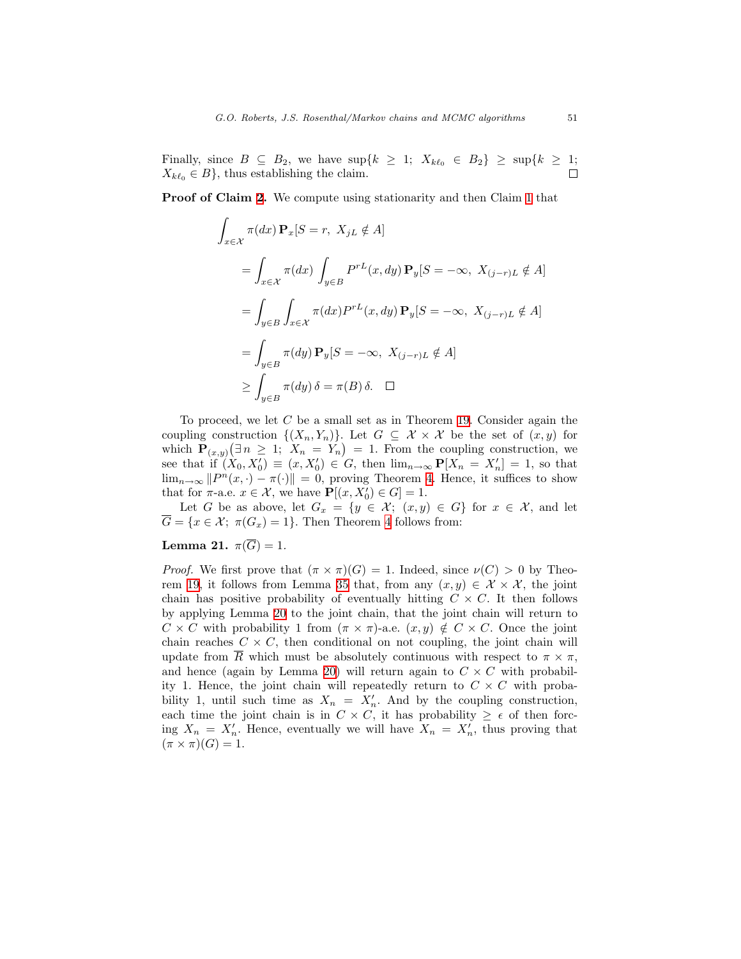Finally, since  $B \subseteq B_2$ , we have  $\sup\{k \geq 1; X_{k\ell_0} \in B_2\} \geq \sup\{k \geq 1;$  $X_{k\ell_0} \in B$ , thus establishing the claim.

Proof of Claim [2.](#page-30-2) We compute using stationarity and then Claim [1](#page-30-1) that

$$
\int_{x \in \mathcal{X}} \pi(dx) \mathbf{P}_x[S = r, X_{jL} \notin A]
$$
\n
$$
= \int_{x \in \mathcal{X}} \pi(dx) \int_{y \in B} P^{rL}(x, dy) \mathbf{P}_y[S = -\infty, X_{(j-r)L} \notin A]
$$
\n
$$
= \int_{y \in B} \int_{x \in \mathcal{X}} \pi(dx) P^{rL}(x, dy) \mathbf{P}_y[S = -\infty, X_{(j-r)L} \notin A]
$$
\n
$$
= \int_{y \in B} \pi(dy) \mathbf{P}_y[S = -\infty, X_{(j-r)L} \notin A]
$$
\n
$$
\geq \int_{y \in B} \pi(dy) \delta = \pi(B) \delta. \quad \Box
$$

To proceed, we let  $C$  be a small set as in Theorem [19](#page-29-1). Consider again the coupling construction  $\{(X_n,Y_n)\}\)$ . Let  $G \subseteq \mathcal{X} \times \mathcal{X}$  be the set of  $(x, y)$  for which  $\mathbf{P}_{(x,y)}(\exists n \geq 1; X_n = Y_n) = 1$ . From the coupling construction, we see that if  $(X_0, X_0) \equiv (x, X_0') \in G$ , then  $\lim_{n\to\infty} P[X_n = X_n'] = 1$ , so that  $\lim_{n\to\infty} ||P^n(x,\cdot) - \pi(\cdot)|| = 0$ , proving Theorem [4](#page-12-0). Hence, it suffices to show that for  $\pi$ -a.e.  $x \in \mathcal{X}$ , we have  $\mathbf{P}[(x, X_0)] \in G = 1$ .

Let G be as above, let  $G_x = \{y \in \mathcal{X}; (x, y) \in G\}$  for  $x \in \mathcal{X}$ , and let  $\overline{G} = \{x \in \mathcal{X}; \ \pi(G_x) = 1\}.$  Then Theorem [4](#page-12-0) follows from:

# Lemma 21.  $\pi(\overline{G}) = 1$ .

*Proof.* We first prove that  $(\pi \times \pi)(G) = 1$ . Indeed, since  $\nu(C) > 0$  by Theo-rem [19,](#page-29-1) it follows from Lemma [35](#page-43-0) that, from any  $(x, y) \in \mathcal{X} \times \mathcal{X}$ , the joint chain has positive probability of eventually hitting  $C \times C$ . It then follows by applying Lemma [20](#page-29-0) to the joint chain, that the joint chain will return to  $C \times C$  with probability 1 from  $(\pi \times \pi)$ -a.e.  $(x, y) \notin C \times C$ . Once the joint chain reaches  $C \times C$ , then conditional on not coupling, the joint chain will update from R which must be absolutely continuous with respect to  $\pi \times \pi$ , and hence (again by Lemma [20\)](#page-29-0) will return again to  $C \times C$  with probability 1. Hence, the joint chain will repeatedly return to  $C \times C$  with probability 1, until such time as  $X_n = X'_n$ . And by the coupling construction, each time the joint chain is in  $C \times C$ , it has probability  $\geq \epsilon$  of then forcing  $X_n = X'_n$ . Hence, eventually we will have  $X_n = X'_n$ , thus proving that  $(\pi \times \pi)(G) = 1.$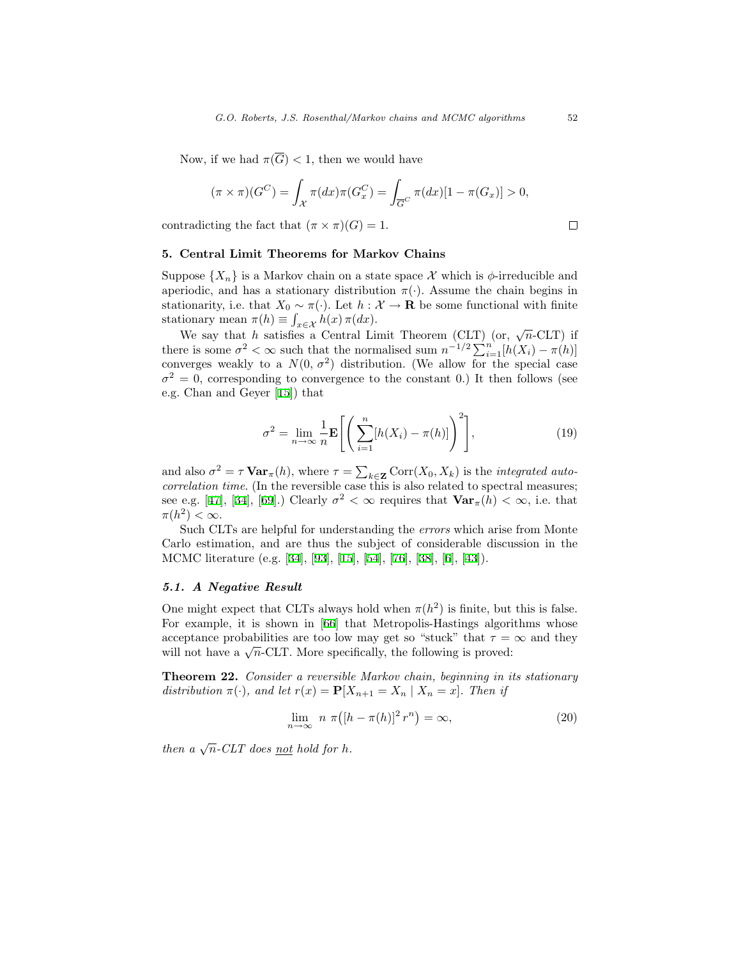Now, if we had  $\pi(\overline{G}) < 1$ , then we would have

$$
(\pi \times \pi)(G^C) = \int_{\mathcal{X}} \pi(dx)\pi(G_x^C) = \int_{\overline{G}^C} \pi(dx)[1 - \pi(G_x)] > 0,
$$

contradicting the fact that  $(\pi \times \pi)(G) = 1$ .

# <span id="page-32-0"></span>5. Central Limit Theorems for Markov Chains

Suppose  $\{X_n\}$  is a Markov chain on a state space X which is  $\phi$ -irreducible and aperiodic, and has a stationary distribution  $\pi(\cdot)$ . Assume the chain begins in stationarity, i.e. that  $X_0 \sim \pi(\cdot)$ . Let  $h : \mathcal{X} \to \mathbf{R}$  be some functional with finite stationary mean  $\pi(h) \equiv \int_{x \in \mathcal{X}} h(x) \, \pi(dx)$ .

nonary mean  $\pi(n) = \int_{x \in \mathcal{X}} n(x) \pi(dx)$ .<br>We say that h satisfies a Central Limit Theorem (CLT) (or,  $\sqrt{n}$ -CLT) if there is some  $\sigma^2 < \infty$  such that the normalised sum  $n^{-1/2} \sum_{i=1}^{n} [h(X_i) - \pi(h)]$ converges weakly to a  $N(0, \sigma^2)$  distribution. (We allow for the special case  $\sigma^2 = 0$ , corresponding to convergence to the constant 0.) It then follows (see e.g. Chan and Geyer[[15\]](#page-45-0)) that

<span id="page-32-1"></span>
$$
\sigma^2 = \lim_{n \to \infty} \frac{1}{n} \mathbf{E} \left[ \left( \sum_{i=1}^n [h(X_i) - \pi(h)] \right)^2 \right],\tag{19}
$$

and also  $\sigma^2 = \tau \mathbf{Var}_{\pi}(h)$ , where  $\tau = \sum_{k \in \mathbf{Z}} \text{Corr}(X_0, X_k)$  is the *integrated auto* $correlation time.$  (In the reversible case this is also related to spectral measures; seee.g. [[47\]](#page-48-12), [\[34](#page-47-9)], [\[69](#page-49-1)].) Clearly  $\sigma^2 < \infty$  requires that  $\text{Var}_{\pi}(h) < \infty$ , i.e. that  $\pi(h^2) < \infty$ .

Such CLTs are helpful for understanding the errors which arise from Monte Carlo estimation, and are thus the subject of considerable discussion in the MCMC literature (e.g. [\[34](#page-47-9)], [\[93\]](#page-51-0),[[15\]](#page-45-0), [\[54](#page-48-2)],[[76\]](#page-50-8), [\[38](#page-47-7)],[[6\]](#page-45-9),[[43\]](#page-47-10)).

#### 5.1. A Negative Result

One might expect that CLTs always hold when  $\pi(h^2)$  is finite, but this is false. For example, it is shown in [\[66](#page-49-10)] that Metropolis-Hastings algorithms whose acceptance probabilities are too low may get so "stuck" that  $\tau = \infty$  and they acceptance probabilities are too low may get so "stuck" that  $\tau =$  will not have a  $\sqrt{n}$ -CLT. More specifically, the following is proved:

<span id="page-32-3"></span>**Theorem 22.** Consider a reversible Markov chain, beginning in its stationary distribution  $\pi(\cdot)$ , and let  $r(x) = \mathbf{P}[X_{n+1} = X_n | X_n = x]$ . Then if

<span id="page-32-2"></span>
$$
\lim_{n \to \infty} n \pi \big( [h - \pi(h)]^2 r^n \big) = \infty,
$$
\n(20)

then a  $\sqrt{n}$ -CLT does <u>not</u> hold for h.

 $\Box$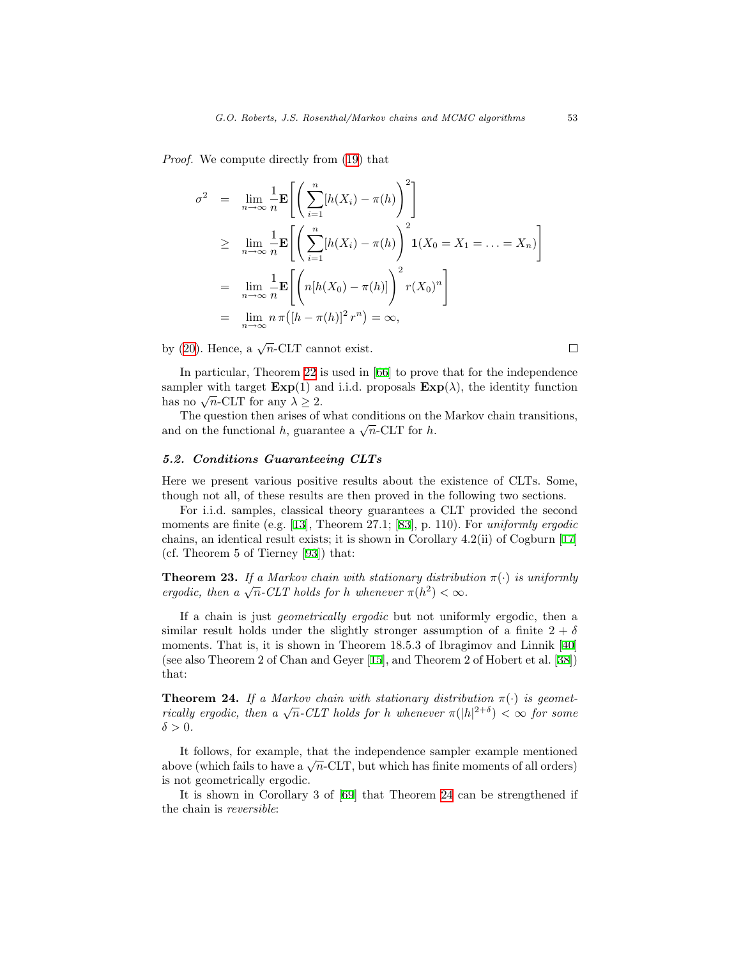Proof. We compute directly from [\(19](#page-32-1)) that

$$
\sigma^2 = \lim_{n \to \infty} \frac{1}{n} \mathbf{E} \left[ \left( \sum_{i=1}^n [h(X_i) - \pi(h)]^2 \right] \right]
$$
  
\n
$$
\geq \lim_{n \to \infty} \frac{1}{n} \mathbf{E} \left[ \left( \sum_{i=1}^n [h(X_i) - \pi(h)] \right)^2 \mathbf{1}(X_0 = X_1 = \dots = X_n) \right]
$$
  
\n
$$
= \lim_{n \to \infty} \frac{1}{n} \mathbf{E} \left[ \left( n[h(X_0) - \pi(h)] \right)^2 r(X_0)^n \right]
$$
  
\n
$$
= \lim_{n \to \infty} n \pi([h - \pi(h)]^2 r^n) = \infty,
$$

by [\(20](#page-32-2)). Hence, a  $\sqrt{n}$ -CLT cannot exist.

In particular, Theorem [22](#page-32-3) is used in [\[66](#page-49-10)] to prove that for the independence sampler with target  $\text{Exp}(1)$  and i.i.d. proposals  $\text{Exp}(\lambda)$ , the identity function sampler with target  $\text{Exp}(1)$  and has no  $\sqrt{n}$ -CLT for any  $\lambda \geq 2$ .

The question then arises of what conditions on the Markov chain transitions, The question then arises of what conditions on the functional h, guarantee a  $\sqrt{n}$ -CLT for h.

# 5.2. Conditions Guaranteeing CLTs

Here we present various positive results about the existence of CLTs. Some, though not all, of these results are then proved in the following two sections.

For i.i.d. samples, classical theory guarantees a CLT provided the second moments are finite (e.g. [\[13](#page-45-10)], Theorem 27.1; [\[83](#page-50-14)], p. 110). For *uniformly ergodic* chains, an identical result exists; it is shown in Corollary 4.2(ii) of Cogburn[[17\]](#page-46-11) (cf. Theorem 5 of Tierney[[93\]](#page-51-0)) that:

<span id="page-33-2"></span>**Theorem 23.** If a Markov chain with stationary distribution  $\pi(\cdot)$  is uniformly **Theorem 23.** If a Markov chain with stationary distributergodic, then a  $\sqrt{n}$ -CLT holds for h whenever  $\pi(h^2) < \infty$ .

If a chain is just geometrically ergodic but not uniformly ergodic, then a similar result holds under the slightly stronger assumption of a finite  $2 + \delta$ moments. That is, it is shown in Theorem 18.5.3 of Ibragimov and Linnik[[40\]](#page-47-11) (see also Theorem 2 of Chan and Geyer[[15\]](#page-45-0), and Theorem 2 of Hobert et al.[[38\]](#page-47-7)) that:

<span id="page-33-0"></span>**Theorem 24.** If a Markov chain with stationary distribution  $\pi(\cdot)$  is geomet-**Theorem 24.** If a Markov chain with stationary distribution  $\pi(\cdot)$  is geometrically ergodic, then a  $\sqrt{n}$ -CLT holds for h whenever  $\pi(|h|^{2+\delta}) < \infty$  for some  $\delta > 0$ .

It follows, for example, that the independence sampler example mentioned It follows, for example, that the independence sampler example mentioned above (which fails to have a  $\sqrt{n}$ -CLT, but which has finite moments of all orders) is not geometrically ergodic.

<span id="page-33-1"></span>It is shown in Corollary 3 of[[69\]](#page-49-1) that Theorem [24](#page-33-0) can be strengthened if the chain is reversible:

 $\Box$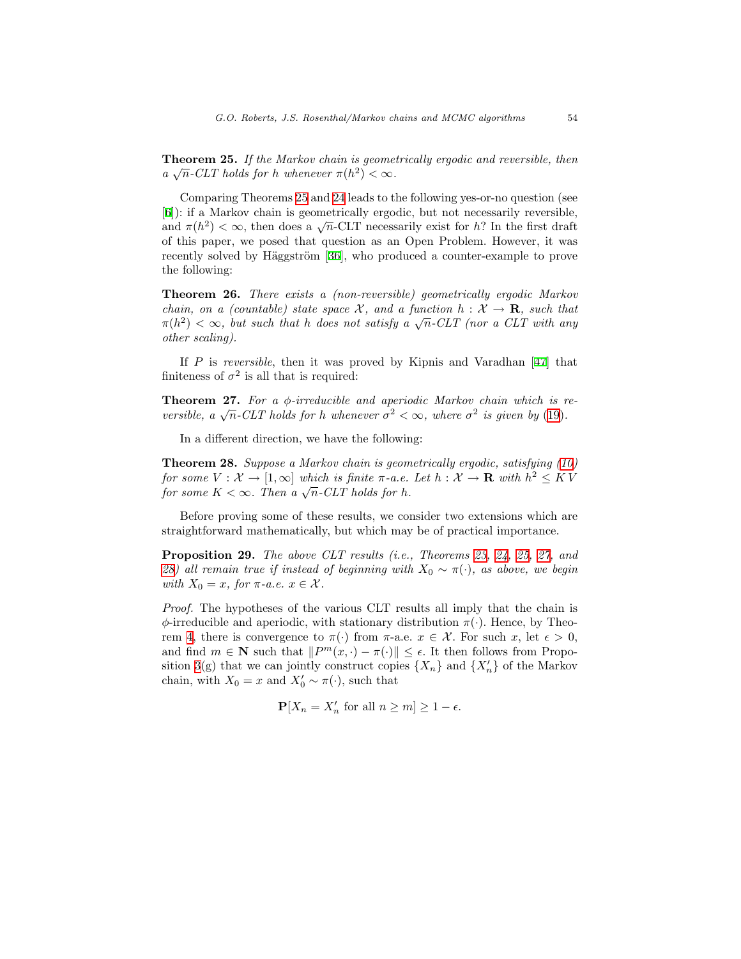Theorem 25. If the Markov chain is geometrically ergodic and reversible, then  $a \sqrt{n}$ -CLT holds for h whenever  $\pi(h^2) < \infty$ .

Comparing Theorems [25](#page-33-1) and [24](#page-33-0) leads to the following yes-or-no question (see [[6\]](#page-45-9)): if a Markov chain is geometrically ergodic, but not necessarily reversible, (b)): it a Markov chain is geometrically ergodic, but not necessarily reversible, and  $\pi(h^2) < \infty$ , then does a  $\sqrt{n}$ -CLT necessarily exist for h? In the first draft of this paper, we posed that question as an Open Problem. However, it was recently solved by Häggström [\[36](#page-47-12)], who produced a counter-example to prove the following:

Theorem 26. There exists a (non-reversible) geometrically ergodic Markov chain, on a (countable) state space X, and a function  $h: X \to \mathbf{R}$ , such that chain, on a (countable) state space X, and a function  $h: X \to \mathbf{R}$ , such that  $\pi(h^2) < \infty$ , but such that h does not satisfy a  $\sqrt{n}$ -CLT (nor a CLT with any other scaling).

If $P$  is reversible, then it was proved by Kipnis and Varadhan [[47\]](#page-48-12) that finiteness of  $\sigma^2$  is all that is required:

<span id="page-34-0"></span>**Theorem 27.** For a  $\phi$ -irreducible and aperiodic Markov chain which is re-**Theorem 27.** For a  $\phi$ -irreducible and aperiodic Markov chain which is r versible, a  $\sqrt{n}$ -CLT holds for h whenever  $\sigma^2 < \infty$ , where  $\sigma^2$  is given by ([19\)](#page-32-1).

In a different direction, we have the following:

<span id="page-34-1"></span>Theorem 28. Suppose a Markov chain is geometrically ergodic, satisfying [\(10](#page-18-0)) for some  $V: \mathcal{X} \to [1,\infty]$  which is finite  $\pi$ -a.e. Let  $h: \mathcal{X} \to \mathbf{R}$  with  $h^2 \leq K V$ for some  $V: \mathcal{X} \to [1,\infty]$  which is finite  $\pi$ -a.e.<br>for some  $K < \infty$ . Then a  $\sqrt{n}$ -CLT holds for h.

Before proving some of these results, we consider two extensions which are straightforward mathematically, but which may be of practical importance.

Proposition 29. The above CLT results (i.e., Theorems [23](#page-33-2), [24,](#page-33-0) [25](#page-33-1), [27](#page-34-0), and [28\)](#page-34-1) all remain true if instead of beginning with  $X_0 \sim \pi(\cdot)$ , as above, we begin with  $X_0 = x$ , for  $\pi$ -a.e.  $x \in \mathcal{X}$ .

Proof. The hypotheses of the various CLT results all imply that the chain is  $\phi$ -irreducible and aperiodic, with stationary distribution  $\pi(\cdot)$ . Hence, by Theo-rem [4](#page-12-0), there is convergence to  $\pi(\cdot)$  from  $\pi$ -a.e.  $x \in \mathcal{X}$ . For such x, let  $\epsilon > 0$ , and find  $m \in \mathbb{N}$  such that  $||P^m(x, \cdot) - \pi(\cdot)|| \leq \epsilon$ . It then follows from Propo-sition [3](#page-8-1)(g) that we can jointly construct copies  $\{X_n\}$  and  $\{X'_n\}$  of the Markov chain, with  $X_0 = x$  and  $X'_0 \sim \pi(\cdot)$ , such that

$$
\mathbf{P}[X_n = X'_n \text{ for all } n \ge m] \ge 1 - \epsilon.
$$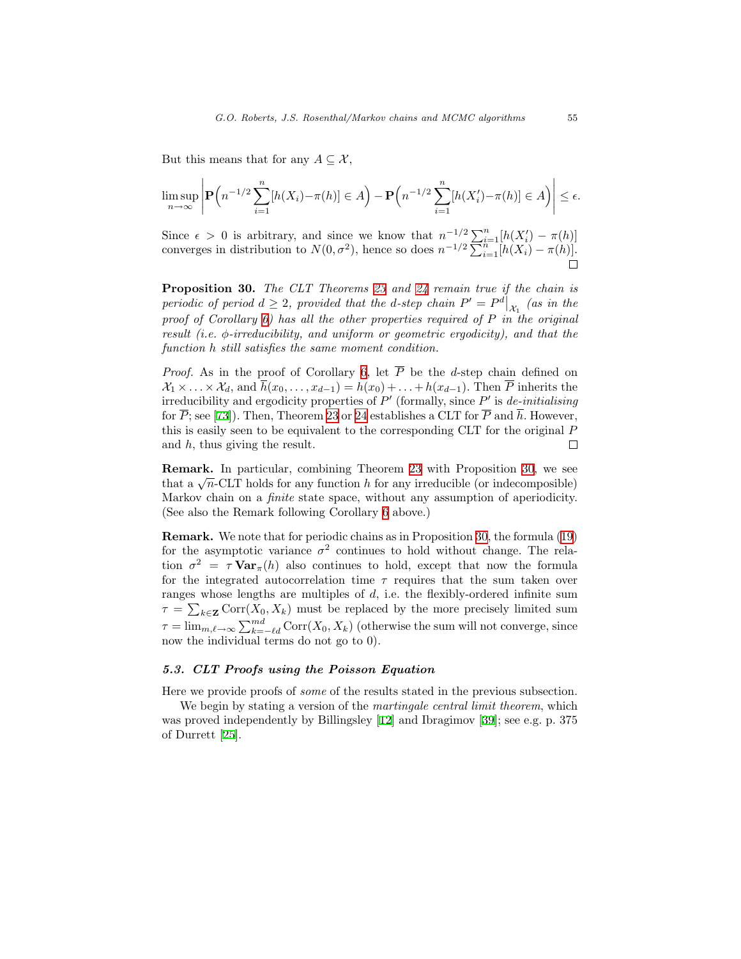But this means that for any  $A \subseteq \mathcal{X}$ ,

$$
\limsup_{n\to\infty}\left|\mathbf{P}\left(n^{-1/2}\sum_{i=1}^n[h(X_i)-\pi(h)]\in A\right)-\mathbf{P}\left(n^{-1/2}\sum_{i=1}^n[h(X'_i)-\pi(h)]\in A\right)\right|\leq\epsilon.
$$

Since  $\epsilon > 0$  is arbitrary, and since we know that  $n^{-1/2} \sum_{i=1}^n [h(X_i') - \pi(h)]$ converges in distribution to  $N(0, \sigma^2)$ , hence so does  $n^{-1/2} \sum_{i=1}^{n} [h(X_i) - \pi(h)]$ .

<span id="page-35-0"></span>Proposition 30. The CLT Theorems [23](#page-33-2) and [24](#page-33-0) remain true if the chain is periodic of period  $d \geq 2$ , provided that the d-step chain  $P' = P^d|_{\mathcal{X}_1}$  (as in the proof of Corollary [6\)](#page-13-2) has all the other properties required of  $P$  in the original result (i.e.  $\phi$ -irreducibility, and uniform or geometric ergodicity), and that the function h still satisfies the same moment condition.

*Proof.* As in the proof of Corollary [6](#page-13-2), let  $\overline{P}$  be the d-step chain defined on  $\mathcal{X}_1 \times \ldots \times \mathcal{X}_d$ , and  $\overline{h}(x_0, \ldots, x_{d-1}) = h(x_0) + \ldots + h(x_{d-1})$ . Then  $\overline{P}$  inherits the irreducibility and ergodicity properties of  $P'$  (formally, since  $P'$  is de-initialising for  $\overline{P}$ ; see [\[73\]](#page-49-11)). Then, Theorem [23](#page-33-2) or [24](#page-33-0) establishes a CLT for  $\overline{P}$  and  $\overline{h}$ . However, this is easily seen to be equivalent to the corresponding CLT for the original P and  $h$ , thus giving the result. П

Remark. In particular, combining Theorem [23](#page-33-2) with Proposition [30,](#page-35-0) we see **Remark.** In particular, combining Theorem 23 with Proposition 30, we see that a  $\sqrt{n}$ -CLT holds for any function h for any irreducible (or indecomposible) Markov chain on a finite state space, without any assumption of aperiodicity. (See also the Remark following Corollary [6](#page-13-2) above.)

Remark. We note that for periodic chains as in Proposition [30](#page-35-0), the formula([19\)](#page-32-1) for the asymptotic variance  $\sigma^2$  continues to hold without change. The relation  $\sigma^2 = \tau \mathbf{Var}_{\pi}(h)$  also continues to hold, except that now the formula for the integrated autocorrelation time  $\tau$  requires that the sum taken over ranges whose lengths are multiples of  $d$ , i.e. the flexibly-ordered infinite sum  $\tau = \sum_{k \in \mathbf{Z}} \text{Corr}(X_0, X_k)$  must be replaced by the more precisely limited sum  $\tau = \lim_{m,\ell \to \infty} \sum_{k=-\ell d}^{md} \text{Corr}(X_0, X_k)$  (otherwise the sum will not converge, since now the individual terms do not go to 0).

# 5.3. CLT Proofs using the Poisson Equation

Here we provide proofs of some of the results stated in the previous subsection.

We begin by stating a version of the *martingale central limit theorem*, which was proved independently by Billingsley[[12\]](#page-45-11) and Ibragimov[[39\]](#page-47-13); see e.g. p. 375 of Durrett [\[25](#page-46-12)].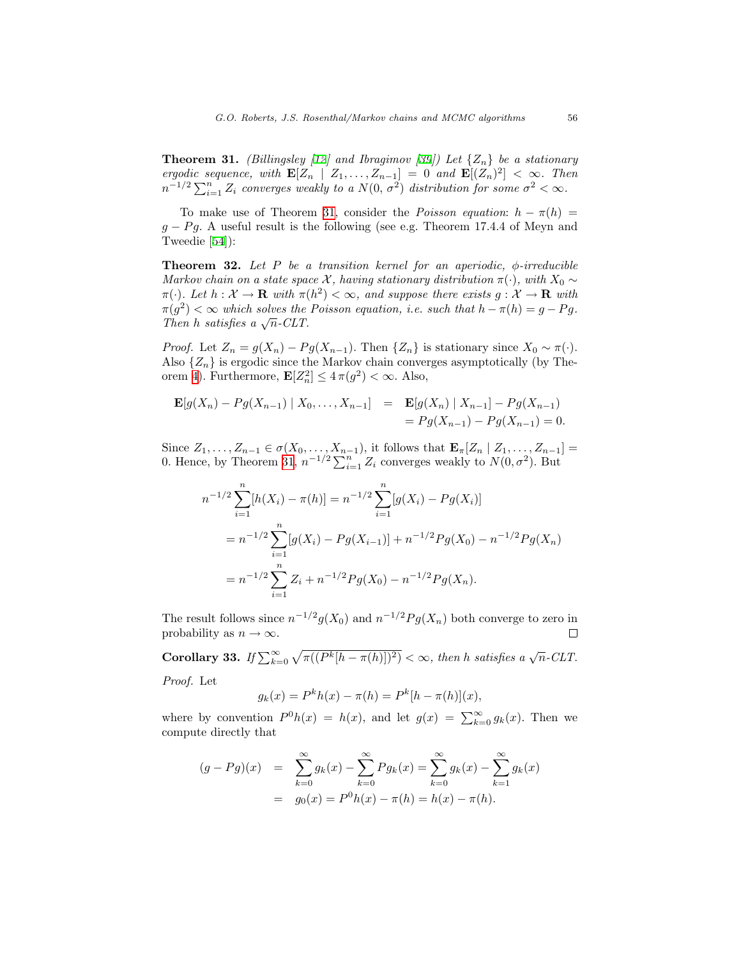<span id="page-36-0"></span>**Theorem 31.** (Billingsley [\[12](#page-45-11)] and Ibragimov [\[39\]](#page-47-13)) Let  $\{Z_n\}$  be a stationary ergodic sequence, with  $\mathbf{E}[Z_n | Z_1, \ldots, Z_{n-1}] = 0$  and  $\mathbf{E}[(Z_n)^2] < \infty$ . Then  $n^{-1/2} \sum_{i=1}^{n} Z_i$  converges weakly to a  $N(0, \sigma^2)$  distribution for some  $\sigma^2 < \infty$ .

To make use of Theorem [31,](#page-36-0) consider the *Poisson equation:*  $h - \pi(h) =$  $g - Pg$ . A useful result is the following (see e.g. Theorem 17.4.4 of Meyn and Tweedie[[54\]](#page-48-2)):

<span id="page-36-1"></span>**Theorem 32.** Let P be a transition kernel for an aperiodic,  $\phi$ -irreducible Markov chain on a state space X, having stationary distribution  $\pi(\cdot)$ , with  $X_0 \sim$  $\pi(\cdot)$ . Let  $h: \mathcal{X} \to \mathbf{R}$  with  $\pi(h^2) < \infty$ , and suppose there exists  $g: \mathcal{X} \to \mathbf{R}$  with  $\pi(g^2) < \infty$  which solves the Poisson equation, i.e. such that  $h - \pi(h) = g - Pg$ .  $\pi(g^2) < \infty$  which solves the<br>Then h satisfies a  $\sqrt{n}$ -CLT.

*Proof.* Let  $Z_n = g(X_n) - Pg(X_{n-1})$ . Then  $\{Z_n\}$  is stationary since  $X_0 \sim \pi(\cdot)$ . Also  $\{Z_n\}$  is ergodic since the Markov chain converges asymptotically (by The-orem [4\)](#page-12-0). Furthermore,  $\mathbf{E}[Z_n^2] \leq 4\pi(g^2) < \infty$ . Also,

$$
\mathbf{E}[g(X_n) - Pg(X_{n-1}) | X_0, \dots, X_{n-1}] = \mathbf{E}[g(X_n) | X_{n-1}] - Pg(X_{n-1})
$$
  
=  $Pg(X_{n-1}) - Pg(X_{n-1}) = 0.$ 

Since  $Z_1, \ldots, Z_{n-1} \in \sigma(X_0, \ldots, X_{n-1})$ , it follows that  $\mathbf{E}_{\pi}[Z_n | Z_1, \ldots, Z_{n-1}] =$ 0. Hence, by Theorem [31](#page-36-0),  $n^{-1/2} \sum_{i=1}^{n} Z_i$  converges weakly to  $N(0, \sigma^2)$ . But

$$
n^{-1/2} \sum_{i=1}^{n} [h(X_i) - \pi(h)] = n^{-1/2} \sum_{i=1}^{n} [g(X_i) - Pg(X_i)]
$$
  
=  $n^{-1/2} \sum_{i=1}^{n} [g(X_i) - Pg(X_{i-1})] + n^{-1/2} Pg(X_0) - n^{-1/2} Pg(X_n)$   
=  $n^{-1/2} \sum_{i=1}^{n} Z_i + n^{-1/2} Pg(X_0) - n^{-1/2} Pg(X_n).$ 

The result follows since  $n^{-1/2}g(X_0)$  and  $n^{-1/2}Pg(X_n)$  both converge to zero in probability as  $n \to \infty$ .  $\Box$ 

<span id="page-36-2"></span>Corollary 33. If  $\sum_{k=0}^{\infty} \sqrt{\pi((P^k[h-\pi(h)])^2)} < \infty$ , then h satisfies a  $\sqrt{n}$ -CLT.

Proof. Let

$$
g_k(x) = P^k h(x) - \pi(h) = P^k [h - \pi(h)](x),
$$

where by convention  $P^0h(x) = h(x)$ , and let  $g(x) = \sum_{k=0}^{\infty} g_k(x)$ . Then we compute directly that

$$
(g - Pg)(x) = \sum_{k=0}^{\infty} g_k(x) - \sum_{k=0}^{\infty} Pg_k(x) = \sum_{k=0}^{\infty} g_k(x) - \sum_{k=1}^{\infty} g_k(x)
$$
  
=  $g_0(x) = P^0 h(x) - \pi(h) = h(x) - \pi(h).$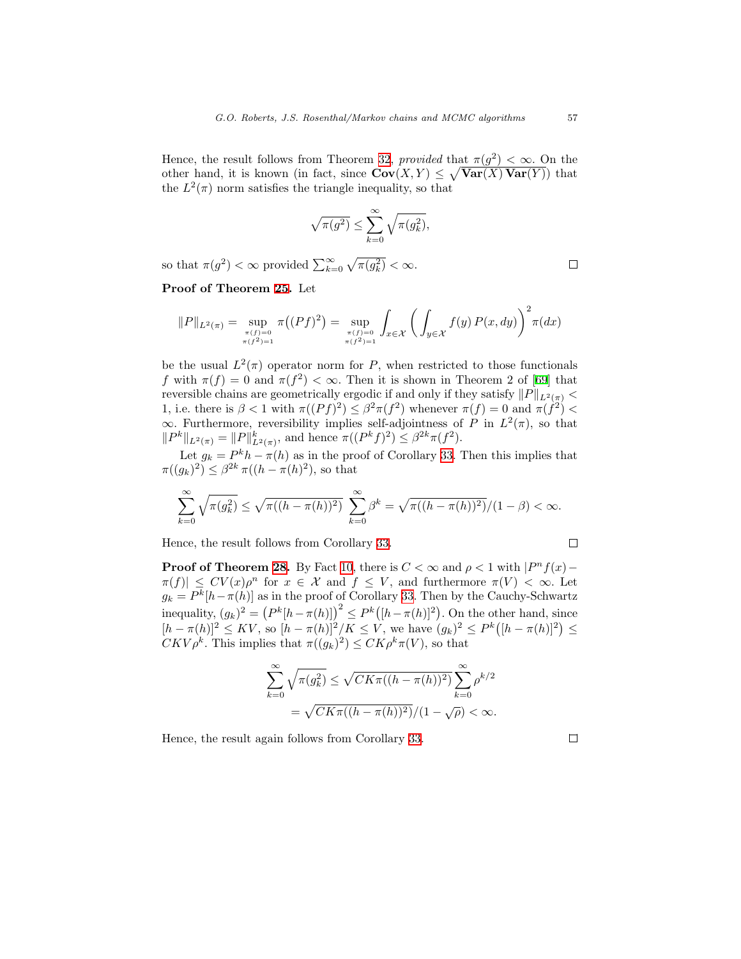Hence, the result follows from Theorem [32,](#page-36-1) provided that  $\pi(g^2) < \infty$ . On the other hand, it is known (in fact, since  $Cov(X, Y) \leq \sqrt{Var(X) Var(Y)}$ ) that the  $L^2(\pi)$  norm satisfies the triangle inequality, so that

$$
\sqrt{\pi(g^2)} \le \sum_{k=0}^{\infty} \sqrt{\pi(g_k^2)},
$$

so that  $\pi(g^2) < \infty$  provided  $\sum_{k=0}^{\infty} \sqrt{\pi(g_k^2)} < \infty$ .

Proof of Theorem [25.](#page-33-1) Let

$$
\|P\|_{L^2(\pi)} = \sup_{\substack{\pi(f)=0 \\ \pi(f^2)=1}} \pi((Pf)^2) = \sup_{\substack{\pi(f)=0 \\ \pi(f^2)=1}} \int_{x \in \mathcal{X}} \left( \int_{y \in \mathcal{X}} f(y) P(x, dy) \right)^2 \pi(dx)
$$

be the usual  $L^2(\pi)$  operator norm for P, when restricted to those functionals fwith  $\pi(f) = 0$  and  $\pi(f^2) < \infty$ . Then it is shown in Theorem 2 of [[69\]](#page-49-1) that reversible chains are geometrically ergodic if and only if they satisfy  $||P||_{L^2(\pi)} <$ 1, i.e. there is  $\beta < 1$  with  $\pi((Pf)^2) \leq \beta^2 \pi(f^2)$  whenever  $\pi(f) = 0$  and  $\pi(f^2) <$  $\infty$ . Furthermore, reversibility implies self-adjointness of P in  $L^2(\pi)$ , so that  $||P^k||_{L^2(\pi)} = ||P||_{L^2(\pi)}^k$ , and hence  $\pi((P^k f)^2) \leq \beta^{2k}\pi(f^2)$ .

Let  $g_k = P^k h - \pi(h)$  as in the proof of Corollary [33](#page-36-2). Then this implies that  $\pi((g_k)^2) \leq \beta^{2k} \pi((h - \pi(h)^2)),$  so that

$$
\sum_{k=0}^{\infty} \sqrt{\pi(g_k^2)} \le \sqrt{\pi((h - \pi(h))^2)} \sum_{k=0}^{\infty} \beta^k = \sqrt{\pi((h - \pi(h))^2)} / (1 - \beta) < \infty.
$$

Hence, the result follows from Corollary [33](#page-36-2).

**Proof of Theorem [28.](#page-34-1)** By Fact [10,](#page-18-2) there is  $C < \infty$  and  $\rho < 1$  with  $|P^n f(x) - P_n f(x)|$  $\pi(f)| \leq CV(x)\rho^n$  for  $x \in \mathcal{X}$  and  $f \leq V$ , and furthermore  $\pi(V) < \infty$ . Let  $g_k = P^k[h - \pi(h)]$  as in the proof of Corollary [33.](#page-36-2) Then by the Cauchy-Schwartz inequality,  $(g_k)^2 = (P^k[h - \pi(h)])^2 \le P^k([h - \pi(h)]^2)$ . On the other hand, since  $[h - \pi(h)]^2 \leq KV$ , so  $[h - \pi(h)]^2/K \leq V$ , we have  $(g_k)^2 \leq P^k([h - \pi(h)]^2) \leq$  $CKV\rho^k$ . This implies that  $\pi((g_k)^2) \leq CK\rho^k \pi(V)$ , so that

$$
\sum_{k=0}^{\infty} \sqrt{\pi(g_k^2)} \le \sqrt{CK\pi((h-\pi(h))^2)} \sum_{k=0}^{\infty} \rho^{k/2}
$$
  
=  $\sqrt{CK\pi((h-\pi(h))^2)/(1-\sqrt{\rho})} < \infty.$ 

Hence, the result again follows from Corollary [33.](#page-36-2)

 $\Box$ 

 $\Box$ 

 $\Box$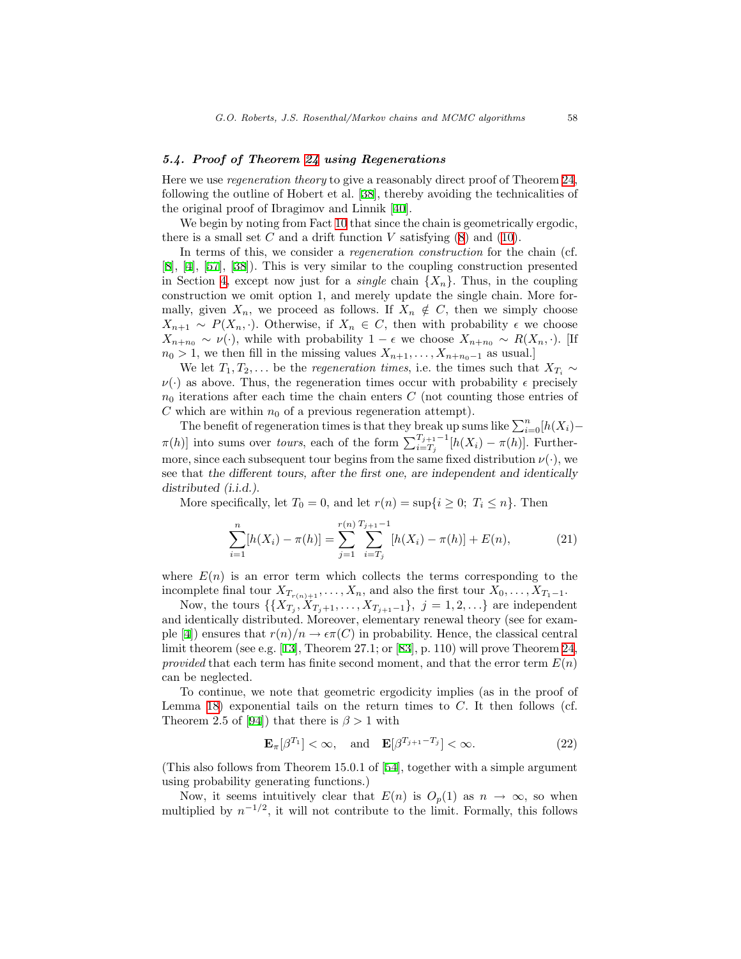# <span id="page-38-0"></span>5.4. Proof of Theorem [24](#page-33-0) using Regenerations

Here we use regeneration theory to give a reasonably direct proof of Theorem [24,](#page-33-0) following the outline of Hobert et al.[[38\]](#page-47-7), thereby avoiding the technicalities of the original proof of Ibragimov and Linnik [\[40](#page-47-11)].

We begin by noting from Fact [10](#page-18-2) that since the chain is geometrically ergodic, thereis a small set  $C$  and a drift function  $V$  satisfying  $(8)$  and  $(10)$  $(10)$  $(10)$ .

In terms of this, we consider a *regeneration construction* for the chain (cf. [[8\]](#page-45-2),[[4\]](#page-45-3), [\[57](#page-48-1)], [\[38](#page-47-7)]). This is very similar to the coupling construction presented in Section [4](#page-22-0), except now just for a *single* chain  $\{X_n\}$ . Thus, in the coupling construction we omit option 1, and merely update the single chain. More formally, given  $X_n$ , we proceed as follows. If  $X_n \notin C$ , then we simply choose  $X_{n+1} \sim P(X_n, \cdot)$ . Otherwise, if  $X_n \in C$ , then with probability  $\epsilon$  we choose  $X_{n+n_0} \sim \nu(\cdot)$ , while with probability  $1 - \epsilon$  we choose  $X_{n+n_0} \sim R(X_n, \cdot)$ . [If  $n_0 > 1$ , we then fill in the missing values  $X_{n+1}, \ldots, X_{n+n_0-1}$  as usual.]

We let  $T_1, T_2, \ldots$  be the *regeneration times*, i.e. the times such that  $X_{T_i} \sim$  $\nu(\cdot)$  as above. Thus, the regeneration times occur with probability  $\epsilon$  precisely  $n_0$  iterations after each time the chain enters C (not counting those entries of C which are within  $n_0$  of a previous regeneration attempt).

The benefit of regeneration times is that they break up sums like  $\sum_{i=0}^{n} [h(X_i) \pi(h)$ ] into sums over *tours*, each of the form  $\sum_{i=T_j}^{T_{j+1}-1} [h(X_i) - \pi(h)]$ . Furthermore, since each subsequent tour begins from the same fixed distribution  $\nu(\cdot)$ , we see that the different tours, after the first one, are independent and identically distributed (i.i.d.).

More specifically, let  $T_0 = 0$ , and let  $r(n) = \sup\{i \geq 0; T_i \leq n\}$ . Then

<span id="page-38-2"></span>
$$
\sum_{i=1}^{n} [h(X_i) - \pi(h)] = \sum_{j=1}^{r(n)} \sum_{i=T_j}^{T_{j+1}-1} [h(X_i) - \pi(h)] + E(n), \tag{21}
$$

where  $E(n)$  is an error term which collects the terms corresponding to the incomplete final tour  $X_{T_{r(n)+1}}, \ldots, X_n$ , and also the first tour  $X_0, \ldots, X_{T_1-1}$ .

Now, the tours  $\{\{X_{T_j}, X_{T_j+1}, \ldots, X_{T_{j+1}-1}\}, j = 1, 2, \ldots\}$  are independent and identically distributed. Moreover, elementary renewal theory (see for exam-ple [\[4](#page-45-3)]) ensures that  $r(n)/n \to \epsilon \pi(C)$  in probability. Hence, the classical central limit theorem (see e.g.[[13\]](#page-45-10), Theorem 27.1; or[[83\]](#page-50-14), p. 110) will prove Theorem [24,](#page-33-0) provided that each term has finite second moment, and that the error term  $E(n)$ can be neglected.

To continue, we note that geometric ergodicity implies (as in the proof of Lemma [18\)](#page-28-2) exponential tails on the return times to  $C$ . It then follows (cf. Theorem 2.5 of [\[94\]](#page-51-3)) that there is  $\beta > 1$  with

<span id="page-38-1"></span>
$$
\mathbf{E}_{\pi}[\beta^{T_1}] < \infty, \quad \text{and} \quad \mathbf{E}[\beta^{T_{j+1}-T_j}] < \infty.
$$
 (22)

(This also follows from Theorem 15.0.1 of [\[54](#page-48-2)], together with a simple argument using probability generating functions.)

Now, it seems intuitively clear that  $E(n)$  is  $O_p(1)$  as  $n \to \infty$ , so when multiplied by  $n^{-1/2}$ , it will not contribute to the limit. Formally, this follows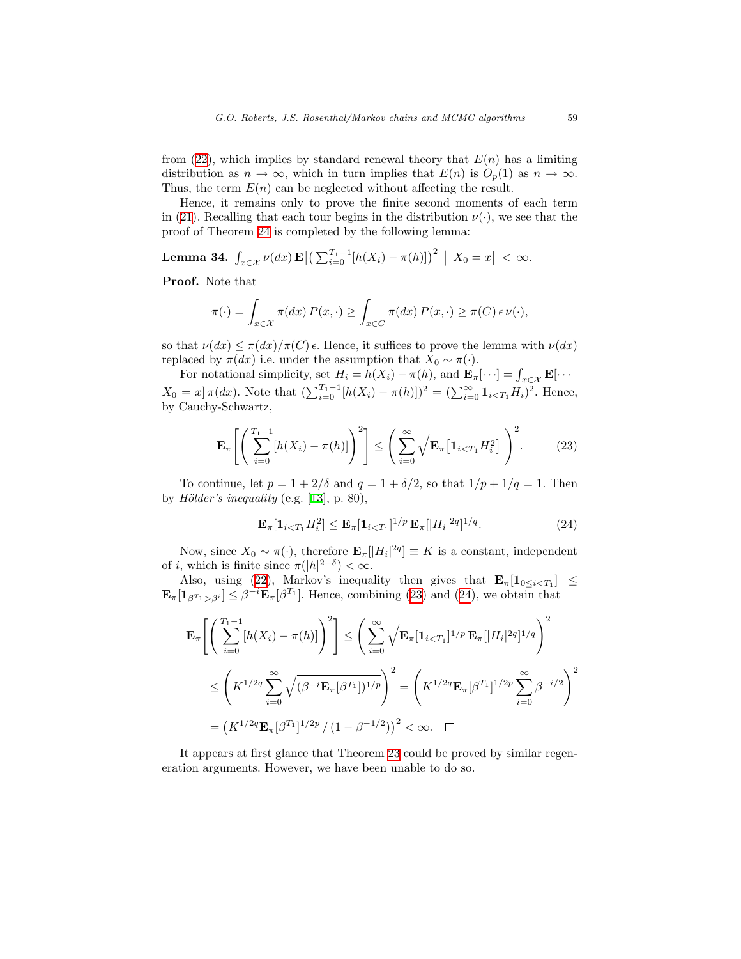from([22\)](#page-38-1), which implies by standard renewal theory that  $E(n)$  has a limiting distribution as  $n \to \infty$ , which in turn implies that  $E(n)$  is  $O_p(1)$  as  $n \to \infty$ . Thus, the term  $E(n)$  can be neglected without affecting the result.

Hence, it remains only to prove the finite second moments of each term in [\(21](#page-38-2)). Recalling that each tour begins in the distribution  $\nu(\cdot)$ , we see that the proof of Theorem [24](#page-33-0) is completed by the following lemma:

Lemma 34.  $\int_{x \in \mathcal{X}} \nu(dx) \mathbf{E} \big[ \big( \sum_{i=0}^{T_1-1} [h(X_i) - \pi(h)] \big)^2 \big| X_0 = x \big] < \infty$ .

Proof. Note that

$$
\pi(\cdot) = \int_{x \in \mathcal{X}} \pi(dx) P(x, \cdot) \ge \int_{x \in C} \pi(dx) P(x, \cdot) \ge \pi(C) \epsilon \nu(\cdot),
$$

so that  $\nu(dx) \leq \pi(dx)/\pi(C)$   $\epsilon$ . Hence, it suffices to prove the lemma with  $\nu(dx)$ replaced by  $\pi(dx)$  i.e. under the assumption that  $X_0 \sim \pi(\cdot)$ .

For notational simplicity, set  $H_i = h(X_i) - \pi(h)$ , and  $\mathbf{E}_{\pi}[\cdots] = \int_{x \in \mathcal{X}} \mathbf{E}[\cdots]$  $X_0 = x \pi(dx)$ . Note that  $(\sum_{i=0}^{T_1-1} [h(X_i) - \pi(h)])^2 = (\sum_{i=0}^{\infty} \mathbf{1}_{i \le T_1} H_i)^2$ . Hence, by Cauchy-Schwartz,

<span id="page-39-0"></span>
$$
\mathbf{E}_{\pi}\left[\left(\sum_{i=0}^{T_1-1} [h(X_i) - \pi(h)]\right)^2\right] \le \left(\sum_{i=0}^{\infty} \sqrt{\mathbf{E}_{\pi}\left[\mathbf{1}_{i
$$

To continue, let  $p = 1 + 2/\delta$  and  $q = 1 + \delta/2$ , so that  $1/p + 1/q = 1$ . Then byHölder's inequality (e.g.  $[13]$  $[13]$ , p. 80),

<span id="page-39-1"></span>
$$
\mathbf{E}_{\pi}[\mathbf{1}_{i (24)
$$

Now, since  $X_0 \sim \pi(\cdot)$ , therefore  $\mathbf{E}_{\pi}[[H_i]^{2q}] \equiv K$  is a constant, independent of *i*, which is finite since  $\pi(|h|^{2+\delta}) < \infty$ .

Also,using ([22\)](#page-38-1), Markov's inequality then gives that  $\mathbf{E}_{\pi}[\mathbf{1}_{0 \leq i < T_1}] \leq$  $\mathbf{E}_{\pi}[\mathbf{1}_{\beta^{T_1}>\beta^i}] \leq \beta^{-i}\mathbf{E}_{\pi}[\beta^{T_1}]$ . Hence, combining [\(23](#page-39-0)) and [\(24](#page-39-1)), we obtain that

$$
\mathbf{E}_{\pi} \Bigg[ \Bigg( \sum_{i=0}^{T_1 - 1} [h(X_i) - \pi(h)] \Bigg)^2 \Bigg] \leq \Bigg( \sum_{i=0}^{\infty} \sqrt{\mathbf{E}_{\pi} [\mathbf{1}_{i \leq T_1}]^{1/p} \mathbf{E}_{\pi} [|H_i|^{2q}]^{1/q}} \Bigg)^2
$$
  

$$
\leq \Bigg( K^{1/2q} \sum_{i=0}^{\infty} \sqrt{(\beta^{-i} \mathbf{E}_{\pi} [\beta^{T_1}])^{1/p}} \Bigg)^2 = \Bigg( K^{1/2q} \mathbf{E}_{\pi} [\beta^{T_1}]^{1/2p} \sum_{i=0}^{\infty} \beta^{-i/2} \Bigg)^2
$$
  

$$
= \big( K^{1/2q} \mathbf{E}_{\pi} [\beta^{T_1}]^{1/2p} / (1 - \beta^{-1/2}) \big)^2 < \infty. \quad \square
$$

It appears at first glance that Theorem [23](#page-33-2) could be proved by similar regeneration arguments. However, we have been unable to do so.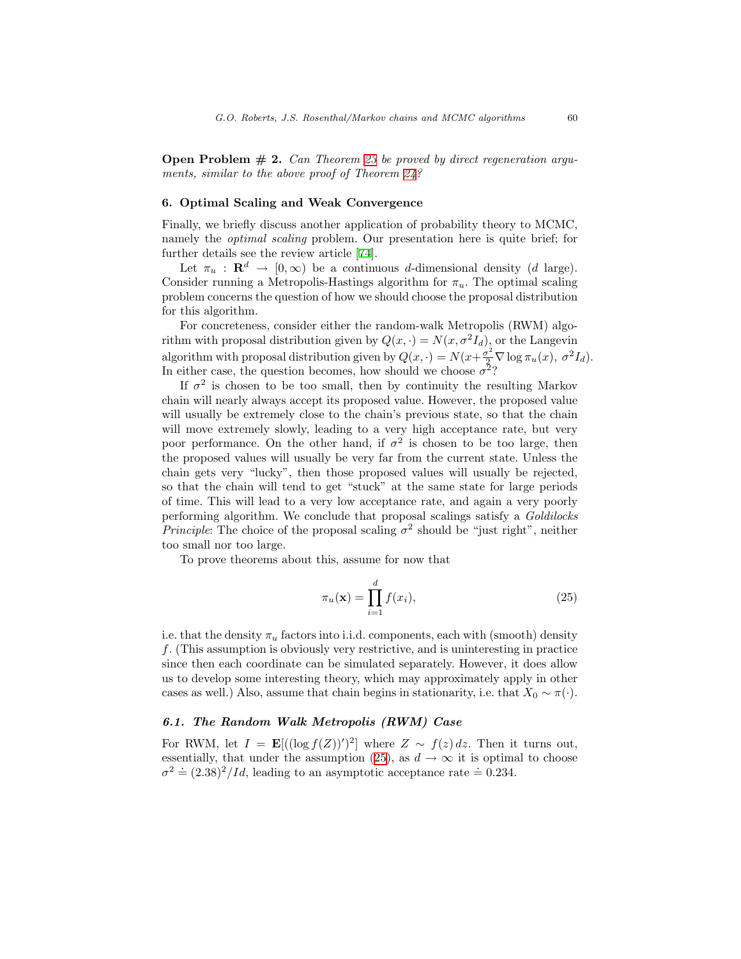**Open Problem**  $# 2$ **.** Can Theorem [23](#page-33-2) be proved by direct regeneration arguments, similar to the above proof of Theorem [24?](#page-33-0)

#### <span id="page-40-0"></span>6. Optimal Scaling and Weak Convergence

Finally, we briefly discuss another application of probability theory to MCMC, namely the optimal scaling problem. Our presentation here is quite brief; for further details see the review article[[74\]](#page-49-12).

Let  $\pi_u : \mathbf{R}^d \to [0, \infty)$  be a continuous d-dimensional density (d large). Consider running a Metropolis-Hastings algorithm for  $\pi_u$ . The optimal scaling problem concerns the question of how we should choose the proposal distribution for this algorithm.

For concreteness, consider either the random-walk Metropolis (RWM) algorithm with proposal distribution given by  $Q(x, \cdot) = N(x, \sigma^2 I_d)$ , or the Langevin algorithm with proposal distribution given by  $Q(x, \cdot) = N(x + \frac{\sigma^2}{2} \nabla \log \pi_u(x), \sigma^2 I_d)$ . In either case, the question becomes, how should we choose  $\sigma^2$ ?

If  $\sigma^2$  is chosen to be too small, then by continuity the resulting Markov chain will nearly always accept its proposed value. However, the proposed value will usually be extremely close to the chain's previous state, so that the chain will move extremely slowly, leading to a very high acceptance rate, but very poor performance. On the other hand, if  $\sigma^2$  is chosen to be too large, then the proposed values will usually be very far from the current state. Unless the chain gets very "lucky", then those proposed values will usually be rejected, so that the chain will tend to get "stuck" at the same state for large periods of time. This will lead to a very low acceptance rate, and again a very poorly performing algorithm. We conclude that proposal scalings satisfy a Goldilocks *Principle*: The choice of the proposal scaling  $\sigma^2$  should be "just right", neither too small nor too large.

To prove theorems about this, assume for now that

<span id="page-40-1"></span>
$$
\pi_u(\mathbf{x}) = \prod_{i=1}^d f(x_i),\tag{25}
$$

i.e. that the density  $\pi_u$  factors into i.i.d. components, each with (smooth) density f. (This assumption is obviously very restrictive, and is uninteresting in practice since then each coordinate can be simulated separately. However, it does allow us to develop some interesting theory, which may approximately apply in other cases as well.) Also, assume that chain begins in stationarity, i.e. that  $X_0 \sim \pi(\cdot)$ .

#### 6.1. The Random Walk Metropolis (RWM) Case

For RWM, let  $I = \mathbf{E}[(\log f(Z))^{\prime})^2]$  where  $Z \sim f(z) dz$ . Then it turns out, essentially, that under the assumption [\(25](#page-40-1)), as  $d \to \infty$  it is optimal to choose  $\sigma^2 = (2.38)^2 / Id$ , leading to an asymptotic acceptance rate = 0.234.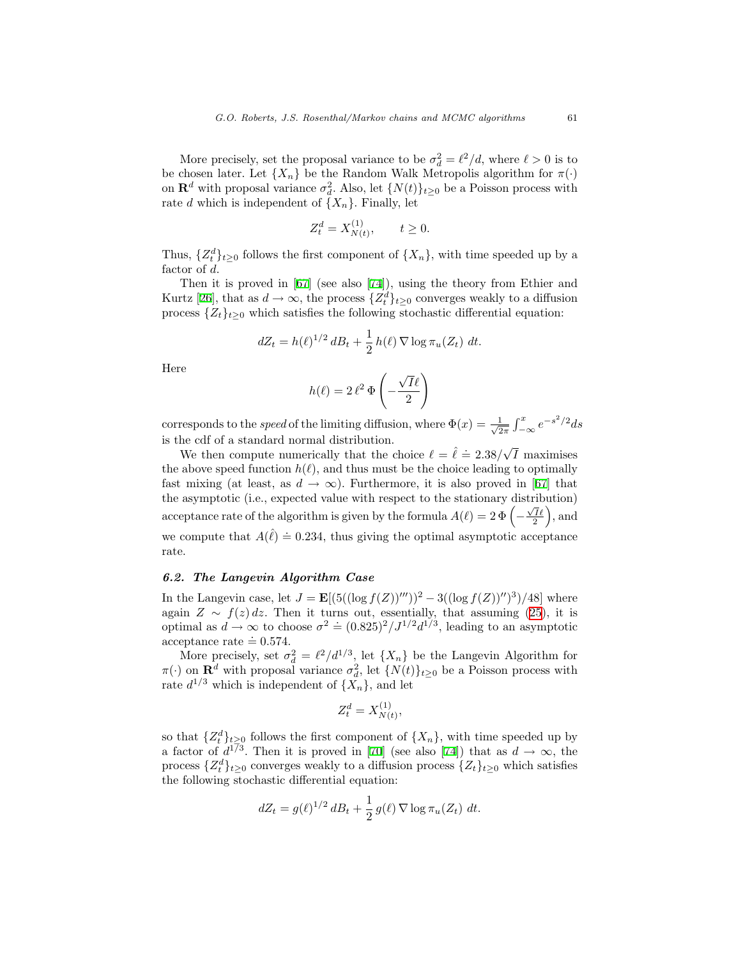More precisely, set the proposal variance to be  $\sigma_d^2 = \ell^2/d$ , where  $\ell > 0$  is to be chosen later. Let  $\{X_n\}$  be the Random Walk Metropolis algorithm for  $\pi(\cdot)$ on  $\mathbf{R}^d$  with proposal variance  $\sigma_d^2$ . Also, let  $\{N(t)\}_{t\geq 0}$  be a Poisson process with rate d which is independent of  $\{X_n\}$ . Finally, let

$$
Z_t^d = X_{N(t)}^{(1)}, \qquad t \ge 0.
$$

Thus,  $\{Z_t^d\}_{t\geq 0}$  follows the first component of  $\{X_n\}$ , with time speeded up by a factor of d.

Thenit is proved in  $[67]$  $[67]$  (see also  $[74]$  $[74]$ ), using the theory from Ethier and Kurtz [\[26](#page-46-13)], that as  $d \to \infty$ , the process  $\{Z_t^d\}_{t \geq 0}$  converges weakly to a diffusion process  $\{Z_t\}_{t\geq 0}$  which satisfies the following stochastic differential equation:

$$
dZ_t = h(\ell)^{1/2} dB_t + \frac{1}{2} h(\ell) \nabla \log \pi_u(Z_t) dt.
$$

Here

$$
h(\ell) = 2 \,\ell^2 \,\Phi\left(-\frac{\sqrt{I}\ell}{2}\right)
$$

corresponds to the *speed* of the limiting diffusion, where  $\Phi(x) = \frac{1}{\sqrt{2}}$  $\frac{1}{2\pi} \int_{-\infty}^{x} e^{-s^2/2} ds$ is the cdf of a standard normal distribution.

We then compute numerically that the choice  $\ell = \hat{\ell} = 2.38/\sqrt{I}$  maximises the above speed function  $h(\ell)$ , and thus must be the choice leading to optimally fast mixing (at least, as  $d \to \infty$ ). Furthermore, it is also proved in [\[67](#page-49-13)] that the asymptotic (i.e., expected value with respect to the stationary distribution) acceptance rate of the algorithm is given by the formula  $A(\ell) = 2 \Phi\left(-\frac{\sqrt{I}\ell}{2}\right)$ , and we compute that  $A(\hat{\ell}) = 0.234$ , thus giving the optimal asymptotic acceptance rate.

# 6.2. The Langevin Algorithm Case

In the Langevin case, let  $J = \mathbf{E}[(5((\log f(Z))'''))^2 - 3((\log f(Z))'')^3)/48]$  where again $Z \sim f(z) dz$ . Then it turns out, essentially, that assuming ([25\)](#page-40-1), it is optimal as  $d \to \infty$  to choose  $\sigma^2 = (0.825)^2 / J^{1/2} d^{1/3}$ , leading to an asymptotic acceptance rate  $\dot{=} 0.574$ .

More precisely, set  $\sigma_d^2 = \ell^2/d^{1/3}$ , let  $\{X_n\}$  be the Langevin Algorithm for  $\pi(\cdot)$  on  $\mathbf{R}^d$  with proposal variance  $\sigma_d^2$ , let  $\{N(t)\}_{t\geq0}$  be a Poisson process with rate  $d^{1/3}$  which is independent of  $\{X_n\}$ , and let

$$
Z_t^d = X_{N(t)}^{(1)},
$$

so that  $\{Z_t^d\}_{t\geq 0}$  follows the first component of  $\{X_n\}$ , with time speeded up by afactor of  $d^{1/3}$ . Then it is proved in [[70\]](#page-49-14) (see also [\[74](#page-49-12)]) that as  $d \to \infty$ , the process  $\{Z_t^d\}_{t\geq 0}$  converges weakly to a diffusion process  $\{Z_t\}_{t\geq 0}$  which satisfies the following stochastic differential equation:

$$
dZ_t = g(\ell)^{1/2} dB_t + \frac{1}{2} g(\ell) \nabla \log \pi_u(Z_t) dt.
$$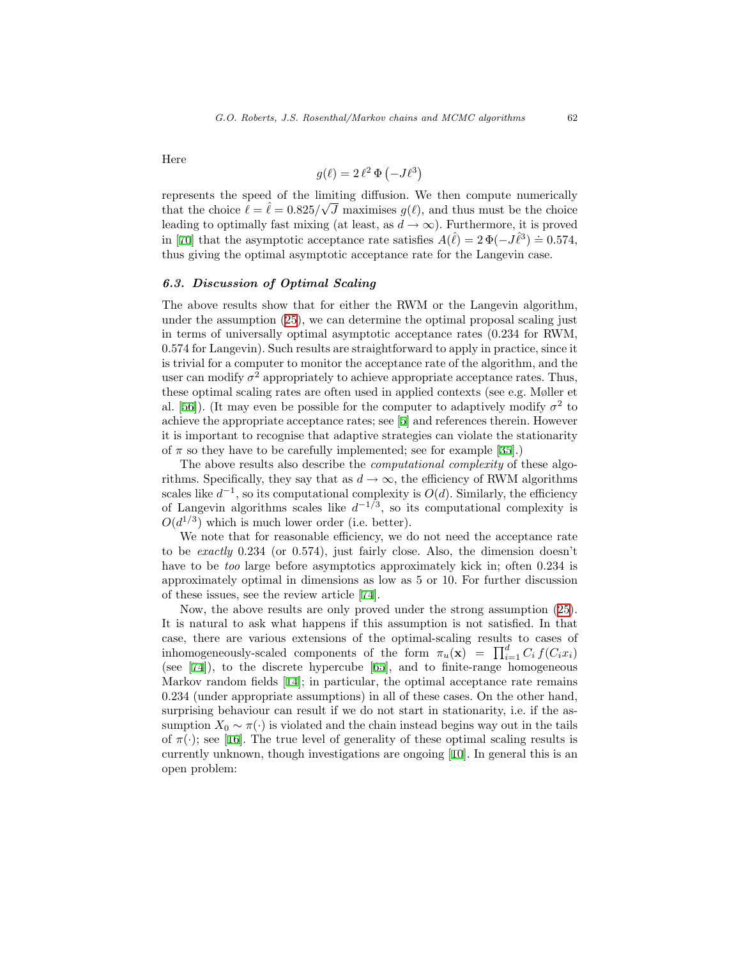Here

$$
g(\ell) = 2\,\ell^2\,\Phi(-J\ell^3)
$$

represents the speed of the limiting diffusion. We then compute numerically that the choice  $\ell = \hat{\ell} = 0.825/\sqrt{J}$  maximises  $g(\ell)$ , and thus must be the choice leading to optimally fast mixing (at least, as  $d \to \infty$ ). Furthermore, it is proved in [\[70](#page-49-14)] that the asymptotic acceptance rate satisfies  $A(\hat{\ell}) = 2 \Phi(-J \hat{\ell}^3) = 0.574$ , thus giving the optimal asymptotic acceptance rate for the Langevin case.

## 6.3. Discussion of Optimal Scaling

The above results show that for either the RWM or the Langevin algorithm, under the assumption([25\)](#page-40-1), we can determine the optimal proposal scaling just in terms of universally optimal asymptotic acceptance rates (0.234 for RWM, 0.574 for Langevin). Such results are straightforward to apply in practice, since it is trivial for a computer to monitor the acceptance rate of the algorithm, and the user can modify  $\sigma^2$  appropriately to achieve appropriate acceptance rates. Thus, these optimal scaling rates are often used in applied contexts (see e.g. Møller et al. [\[56](#page-48-13)]). (It may even be possible for the computer to adaptively modify  $\sigma^2$  to achieve the appropriate acceptance rates; see [\[5\]](#page-45-12) and references therein. However it is important to recognise that adaptive strategies can violate the stationarity of  $\pi$  so they have to be carefully implemented; see for example [\[35](#page-47-14)].)

The above results also describe the *computational complexity* of these algorithms. Specifically, they say that as  $d \to \infty$ , the efficiency of RWM algorithms scales like  $d^{-1}$ , so its computational complexity is  $O(d)$ . Similarly, the efficiency of Langevin algorithms scales like  $d^{-1/3}$ , so its computational complexity is  $O(d^{1/3})$  which is much lower order (i.e. better).

We note that for reasonable efficiency, we do not need the acceptance rate to be exactly 0.234 (or 0.574), just fairly close. Also, the dimension doesn't have to be too large before asymptotics approximately kick in; often 0.234 is approximately optimal in dimensions as low as 5 or 10. For further discussion of these issues, see the review article [\[74\]](#page-49-12).

Now, the above results are only proved under the strong assumption([25\)](#page-40-1). It is natural to ask what happens if this assumption is not satisfied. In that case, there are various extensions of the optimal-scaling results to cases of inhomogeneously-scaled components of the form  $\pi_u(\mathbf{x}) = \prod_{i=1}^d C_i f(C_i x_i)$ (see[[74\]](#page-49-12)), to the discrete hypercube[[65\]](#page-49-15), and to finite-range homogeneous Markov random fields [\[14](#page-45-13)]; in particular, the optimal acceptance rate remains 0.234 (under appropriate assumptions) in all of these cases. On the other hand, surprising behaviour can result if we do not start in stationarity, i.e. if the assumption  $X_0 \sim \pi(\cdot)$  is violated and the chain instead begins way out in the tails of $\pi(\cdot)$ ; see [[16\]](#page-46-14). The true level of generality of these optimal scaling results is currently unknown, though investigations are ongoing [\[10](#page-45-14)]. In general this is an open problem: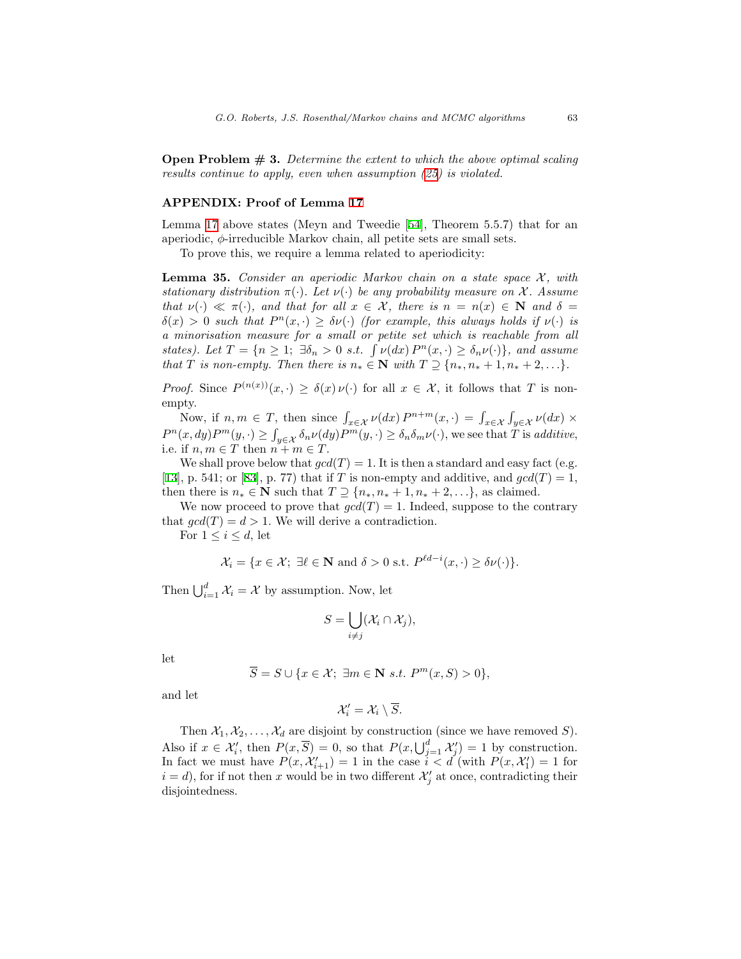**Open Problem**  $\#$  **3.** Determine the extent to which the above optimal scaling results continue to apply, even when assumption [\(25\)](#page-40-1) is violated.

# APPENDIX: Proof of Lemma [17](#page-28-1)

Lemma [17](#page-28-1) above states (Meyn and Tweedie[[54](#page-48-2)], Theorem 5.5.7) that for an aperiodic,  $\phi$ -irreducible Markov chain, all petite sets are small sets.

To prove this, we require a lemma related to aperiodicity:

<span id="page-43-0"></span>**Lemma 35.** Consider an aperiodic Markov chain on a state space  $\mathcal{X}$ , with stationary distribution  $\pi(\cdot)$ . Let  $\nu(\cdot)$  be any probability measure on X. Assume that  $\nu(\cdot) \ll \pi(\cdot)$ , and that for all  $x \in \mathcal{X}$ , there is  $n = n(x) \in \mathbb{N}$  and  $\delta =$  $\delta(x) > 0$  such that  $P^{n}(x, \cdot) \geq \delta \nu(\cdot)$  (for example, this always holds if  $\nu(\cdot)$  is a minorisation measure for a small or petite set which is reachable from all states). Let  $T = \{n \geq 1; \exists \delta_n > 0 \text{ s.t. } \int \nu(dx) P^n(x, \cdot) \geq \delta_n \nu(\cdot)\}\$ , and assume that T is non-empty. Then there is  $n_* \in \mathbb{N}$  with  $T \supseteq \{n_*, n_* + 1, n_* + 2, \ldots\}.$ 

*Proof.* Since  $P^{(n(x))}(x, \cdot) \geq \delta(x) \nu(\cdot)$  for all  $x \in \mathcal{X}$ , it follows that T is nonempty.

Now, if  $n, m \in T$ , then since  $\int_{x \in \mathcal{X}} \nu(dx) P^{n+m}(x, \cdot) = \int_{x \in \mathcal{X}} \int_{y \in \mathcal{X}} \nu(dx) \times$  $P^{n}(x, dy)P^{m}(y, \cdot) \geq \int_{y \in \mathcal{X}} \delta_n \nu(dy)P^{m}(y, \cdot) \geq \delta_n \delta_m \nu(\cdot)$ , we see that T is additive, i.e. if  $n, m \in T$  then  $n + m \in T$ .

We shall prove below that  $gcd(T) = 1$ . It is then a standard and easy fact (e.g. [[13](#page-45-10)],p. 541; or [[83\]](#page-50-14), p. 77) that if T is non-empty and additive, and  $gcd(T) = 1$ , then there is  $n_* \in \mathbb{N}$  such that  $T \supseteq \{n_*, n_* + 1, n_* + 2, \ldots\}$ , as claimed.

We now proceed to prove that  $gcd(T) = 1$ . Indeed, suppose to the contrary that  $\gcd(T) = d > 1$ . We will derive a contradiction.

For  $1 \leq i \leq d$ , let

$$
\mathcal{X}_i = \{x \in \mathcal{X}; \ \exists \ell \in \mathbf{N} \text{ and } \delta > 0 \text{ s.t. } P^{\ell d - i}(x, \cdot) \ge \delta \nu(\cdot) \}.
$$

Then  $\bigcup_{i=1}^d \mathcal{X}_i = \mathcal{X}$  by assumption. Now, let

$$
S=\bigcup_{i\neq j}(\mathcal{X}_i\cap\mathcal{X}_j),
$$

let

$$
\overline{S} = S \cup \{x \in \mathcal{X}; \ \exists m \in \mathbf{N} \ s.t. \ P^m(x, S) > 0\},\
$$

and let

$$
\mathcal{X}'_i = \mathcal{X}_i \setminus \overline{S}.
$$

Then  $X_1, X_2, \ldots, X_d$  are disjoint by construction (since we have removed S). Also if  $x \in \mathcal{X}'_i$ , then  $P(x,\overline{S}) = 0$ , so that  $P(x,\bigcup_{j=1}^d \mathcal{X}'_j) = 1$  by construction. In fact we must have  $P(x, \mathcal{X}'_{i+1}) = 1$  in the case  $i < d$  (with  $P(x, \mathcal{X}'_1) = 1$  for  $i = d$ , for if not then x would be in two different  $\mathcal{X}'_j$  at once, contradicting their disjointedness.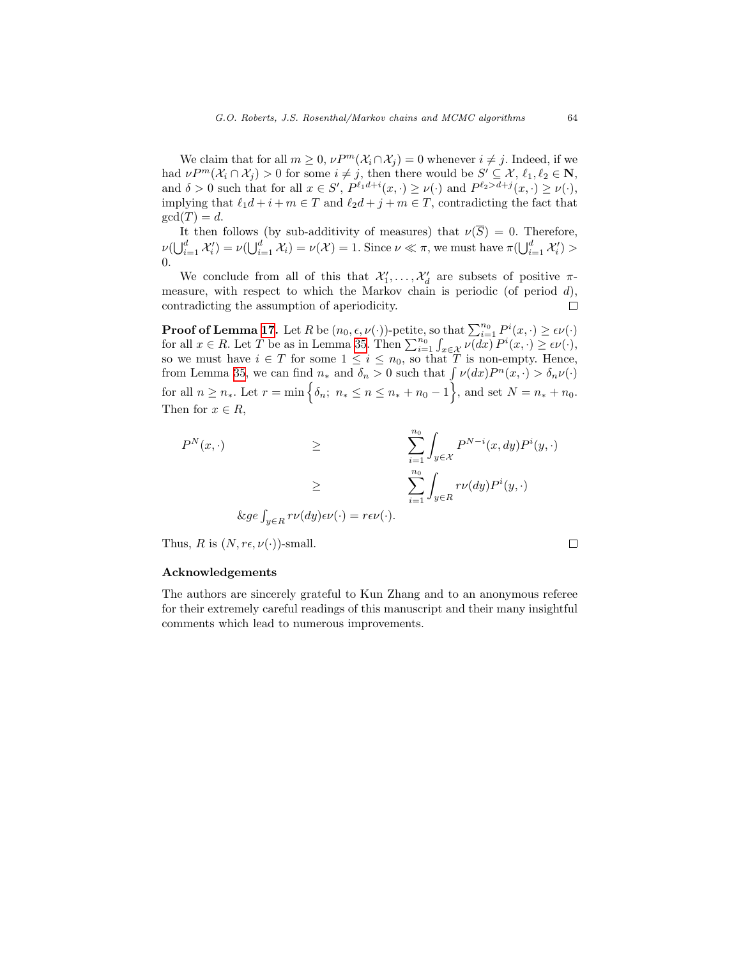We claim that for all  $m \geq 0$ ,  $\nu P^m(\mathcal{X}_i \cap \mathcal{X}_j) = 0$  whenever  $i \neq j$ . Indeed, if we had  $\nu P^m(\mathcal{X}_i \cap \mathcal{X}_j) > 0$  for some  $i \neq j$ , then there would be  $S' \subseteq \mathcal{X}, \ell_1, \ell_2 \in \mathbb{N}$ , and  $\delta > 0$  such that for all  $x \in S'$ ,  $P^{\ell_1 d+i}(x, \cdot) \ge \nu(\cdot)$  and  $P^{\ell_2 > d+j}(x, \cdot) \ge \nu(\cdot)$ , implying that  $\ell_1 d + i + m \in T$  and  $\ell_2 d + j + m \in T$ , contradicting the fact that  $gcd(T) = d$ .

It then follows (by sub-additivity of measures) that  $\nu(\overline{S}) = 0$ . Therefore,  $\nu(\bigcup_{i=1}^d \mathcal{X}'_i) = \nu(\bigcup_{i=1}^d \mathcal{X}_i) = \nu(\mathcal{X}) = 1.$  Since  $\nu \ll \pi$ , we must have  $\pi(\bigcup_{i=1}^d \mathcal{X}'_i) >$ 0.

We conclude from all of this that  $\mathcal{X}'_1, \ldots, \mathcal{X}'_d$  are subsets of positive  $\pi$ measure, with respect to which the Markov chain is periodic (of period  $d$ ), contradicting the assumption of aperiodicity.  $\Box$ 

**Proof of Lemma [17](#page-28-1).** Let R be  $(n_0, \epsilon, \nu(\cdot))$ -petite, so that  $\sum_{i=1}^{n_0} P^i(x, \cdot) \ge \epsilon \nu(\cdot)$ for all  $x \in R$ . Let T be as in Lemma [35](#page-43-0). Then  $\sum_{i=1}^{n_0} \int_{x \in \mathcal{X}} \nu(dx) P^i(x, \cdot) \geq \epsilon \nu(\cdot),$ so we must have  $i \in T$  for some  $1 \leq i \leq n_0$ , so that T is non-empty. Hence, from Lemma [35](#page-43-0), we can find  $n_*$  and  $\delta_n > 0$  such that  $\int \nu(dx) P^n(x, \cdot) > \delta_n \nu(\cdot)$ for all  $n \geq n_*$ . Let  $r = \min\left\{\delta_n; n_* \leq n \leq n_* + n_0 - 1\right\}$ , and set  $N = n_* + n_0$ . Then for  $x \in R$ ,

$$
P^{N}(x, \cdot) \geq \sum_{i=1}^{n_0} \int_{y \in \mathcal{X}} P^{N-i}(x, dy) P^{i}(y, \cdot)
$$
  

$$
\geq \sum_{i=1}^{n_0} \int_{y \in \mathcal{X}} r\nu(dy) P^{i}(y, \cdot)
$$
  

$$
\& ge \int_{y \in \mathcal{X}} r\nu(dy) \in \mathcal{U}(\cdot) = r\epsilon \nu(\cdot).
$$

Thus, R is  $(N, r\epsilon, \nu(\cdot))$ -small.

 $\Box$ 

# Acknowledgements

The authors are sincerely grateful to Kun Zhang and to an anonymous referee for their extremely careful readings of this manuscript and their many insightful comments which lead to numerous improvements.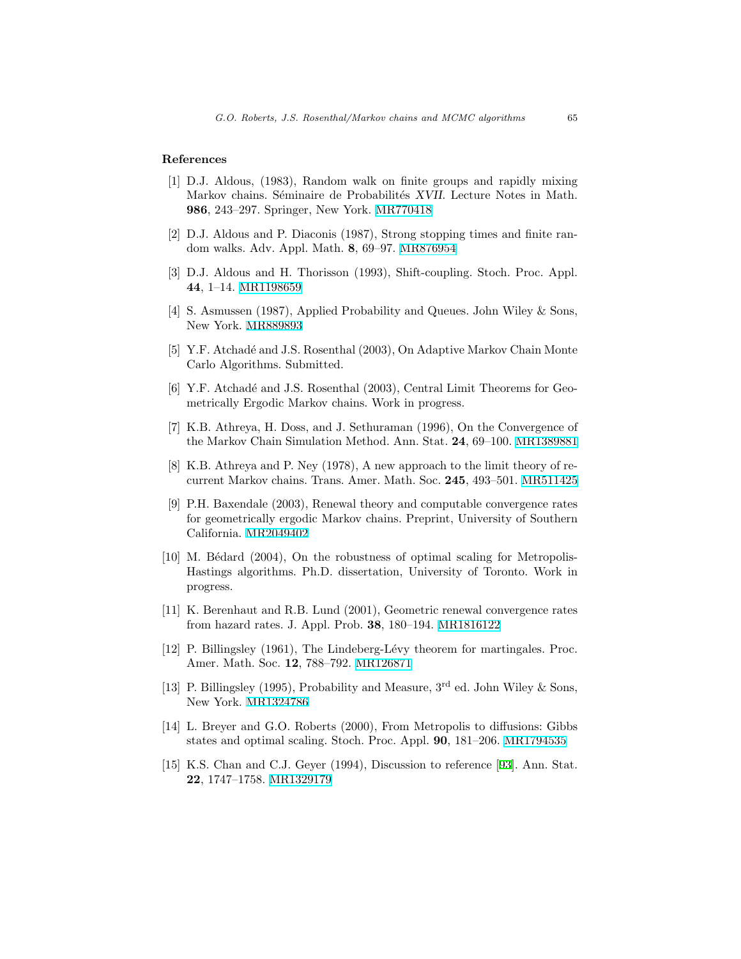# <span id="page-45-7"></span>References

- [1] D.J. Aldous, (1983), Random walk on finite groups and rapidly mixing Markov chains. Séminaire de Probabilités XVII. Lecture Notes in Math. 986, 243–297. Springer, New York. [MR770418](http://www.ams.org/mathscinet-getitem?mr=770418)
- <span id="page-45-8"></span>[2] D.J. Aldous and P. Diaconis (1987), Strong stopping times and finite random walks. Adv. Appl. Math. 8, 69–97. [MR876954](http://www.ams.org/mathscinet-getitem?mr=876954)
- <span id="page-45-1"></span>[3] D.J. Aldous and H. Thorisson (1993), Shift-coupling. Stoch. Proc. Appl. 44, 1–14. [MR1198659](http://www.ams.org/mathscinet-getitem?mr=1198659)
- <span id="page-45-3"></span>[4] S. Asmussen (1987), Applied Probability and Queues. John Wiley & Sons, New York. [MR889893](http://www.ams.org/mathscinet-getitem?mr=889893)
- <span id="page-45-12"></span>[5] Y.F. Atchadé and J.S. Rosenthal (2003), On Adaptive Markov Chain Monte Carlo Algorithms. Submitted.
- <span id="page-45-9"></span>[6] Y.F. Atchad´e and J.S. Rosenthal (2003), Central Limit Theorems for Geometrically Ergodic Markov chains. Work in progress.
- <span id="page-45-4"></span>[7] K.B. Athreya, H. Doss, and J. Sethuraman (1996), On the Convergence of the Markov Chain Simulation Method. Ann. Stat. 24, 69–100. [MR1389881](http://www.ams.org/mathscinet-getitem?mr=1389881)
- <span id="page-45-2"></span>[8] K.B. Athreya and P. Ney (1978), A new approach to the limit theory of recurrent Markov chains. Trans. Amer. Math. Soc. 245, 493–501. [MR511425](http://www.ams.org/mathscinet-getitem?mr=511425)
- <span id="page-45-6"></span>[9] P.H. Baxendale (2003), Renewal theory and computable convergence rates for geometrically ergodic Markov chains. Preprint, University of Southern California. [MR2049402](http://www.ams.org/mathscinet-getitem?mr=2049402)
- <span id="page-45-14"></span>[10] M. Bédard (2004), On the robustness of optimal scaling for Metropolis-Hastings algorithms. Ph.D. dissertation, University of Toronto. Work in progress.
- <span id="page-45-5"></span>[11] K. Berenhaut and R.B. Lund (2001), Geometric renewal convergence rates from hazard rates. J. Appl. Prob. 38, 180–194. [MR1816122](http://www.ams.org/mathscinet-getitem?mr=1816122)
- <span id="page-45-11"></span>[12] P. Billingsley (1961), The Lindeberg-L´evy theorem for martingales. Proc. Amer. Math. Soc. 12, 788–792. [MR126871](http://www.ams.org/mathscinet-getitem?mr=126871)
- <span id="page-45-10"></span>[13] P. Billingsley (1995), Probability and Measure,  $3<sup>rd</sup>$  ed. John Wiley & Sons, New York. [MR1324786](http://www.ams.org/mathscinet-getitem?mr=1324786)
- <span id="page-45-13"></span>[14] L. Breyer and G.O. Roberts (2000), From Metropolis to diffusions: Gibbs states and optimal scaling. Stoch. Proc. Appl. 90, 181–206. [MR1794535](http://www.ams.org/mathscinet-getitem?mr=1794535)
- <span id="page-45-0"></span>[15] K.S. Chan and C.J. Geyer (1994), Discussion to reference[[93\]](#page-51-0). Ann. Stat. 22, 1747–1758. [MR1329179](http://www.ams.org/mathscinet-getitem?mr=1329179)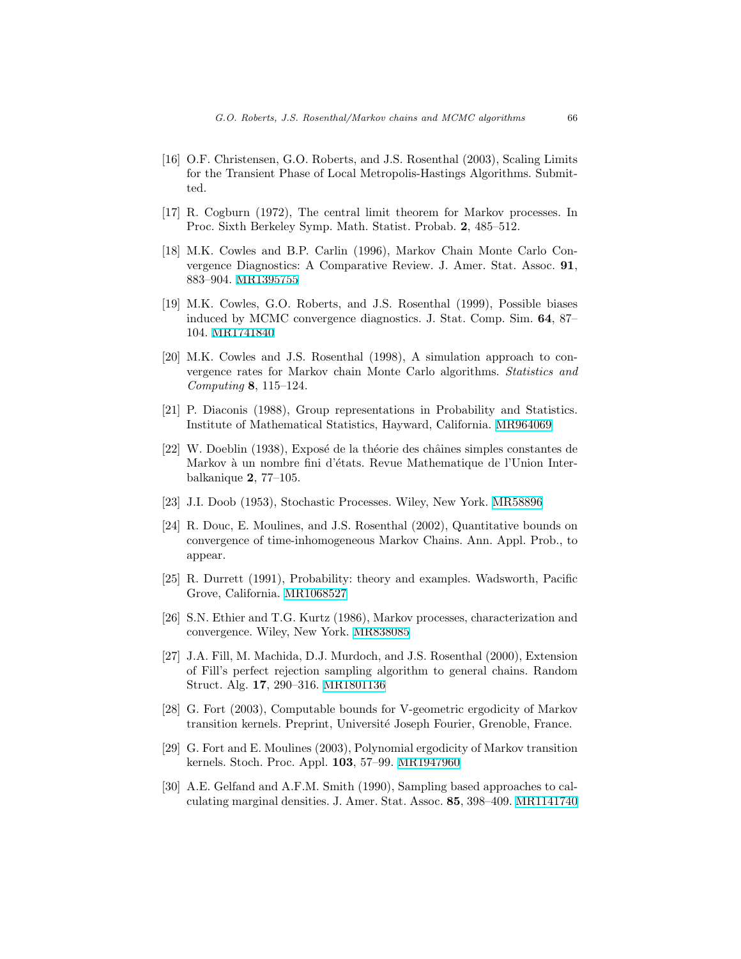- <span id="page-46-14"></span>[16] O.F. Christensen, G.O. Roberts, and J.S. Rosenthal (2003), Scaling Limits for the Transient Phase of Local Metropolis-Hastings Algorithms. Submitted.
- <span id="page-46-11"></span>[17] R. Cogburn (1972), The central limit theorem for Markov processes. In Proc. Sixth Berkeley Symp. Math. Statist. Probab. 2, 485–512.
- <span id="page-46-7"></span>[18] M.K. Cowles and B.P. Carlin (1996), Markov Chain Monte Carlo Convergence Diagnostics: A Comparative Review. J. Amer. Stat. Assoc. 91, 883–904. [MR1395755](http://www.ams.org/mathscinet-getitem?mr=1395755)
- <span id="page-46-8"></span>[19] M.K. Cowles, G.O. Roberts, and J.S. Rosenthal (1999), Possible biases induced by MCMC convergence diagnostics. J. Stat. Comp. Sim. 64, 87– 104. [MR1741840](http://www.ams.org/mathscinet-getitem?mr=1741840)
- <span id="page-46-1"></span>[20] M.K. Cowles and J.S. Rosenthal (1998), A simulation approach to convergence rates for Markov chain Monte Carlo algorithms. Statistics and Computing 8, 115–124.
- <span id="page-46-10"></span>[21] P. Diaconis (1988), Group representations in Probability and Statistics. Institute of Mathematical Statistics, Hayward, California. [MR964069](http://www.ams.org/mathscinet-getitem?mr=964069)
- <span id="page-46-2"></span>[22] W. Doeblin (1938), Exposé de la théorie des châines simples constantes de Markov à un nombre fini d'états. Revue Mathematique de l'Union Interbalkanique 2, 77–105.
- <span id="page-46-3"></span>[23] J.I. Doob (1953), Stochastic Processes. Wiley, New York. [MR58896](http://www.ams.org/mathscinet-getitem?mr=58896)
- <span id="page-46-4"></span>[24] R. Douc, E. Moulines, and J.S. Rosenthal (2002), Quantitative bounds on convergence of time-inhomogeneous Markov Chains. Ann. Appl. Prob., to appear.
- <span id="page-46-12"></span>[25] R. Durrett (1991), Probability: theory and examples. Wadsworth, Pacific Grove, California. [MR1068527](http://www.ams.org/mathscinet-getitem?mr=1068527)
- <span id="page-46-13"></span>[26] S.N. Ethier and T.G. Kurtz (1986), Markov processes, characterization and convergence. Wiley, New York. [MR838085](http://www.ams.org/mathscinet-getitem?mr=838085)
- <span id="page-46-9"></span>[27] J.A. Fill, M. Machida, D.J. Murdoch, and J.S. Rosenthal (2000), Extension of Fill's perfect rejection sampling algorithm to general chains. Random Struct. Alg. 17, 290–316. [MR1801136](http://www.ams.org/mathscinet-getitem?mr=1801136)
- <span id="page-46-6"></span>[28] G. Fort (2003), Computable bounds for V-geometric ergodicity of Markov transition kernels. Preprint, Université Joseph Fourier, Grenoble, France.
- <span id="page-46-5"></span>[29] G. Fort and E. Moulines (2003), Polynomial ergodicity of Markov transition kernels. Stoch. Proc. Appl. 103, 57–99. [MR1947960](http://www.ams.org/mathscinet-getitem?mr=1947960)
- <span id="page-46-0"></span>[30] A.E. Gelfand and A.F.M. Smith (1990), Sampling based approaches to calculating marginal densities. J. Amer. Stat. Assoc. 85, 398–409. [MR1141740](http://www.ams.org/mathscinet-getitem?mr=1141740)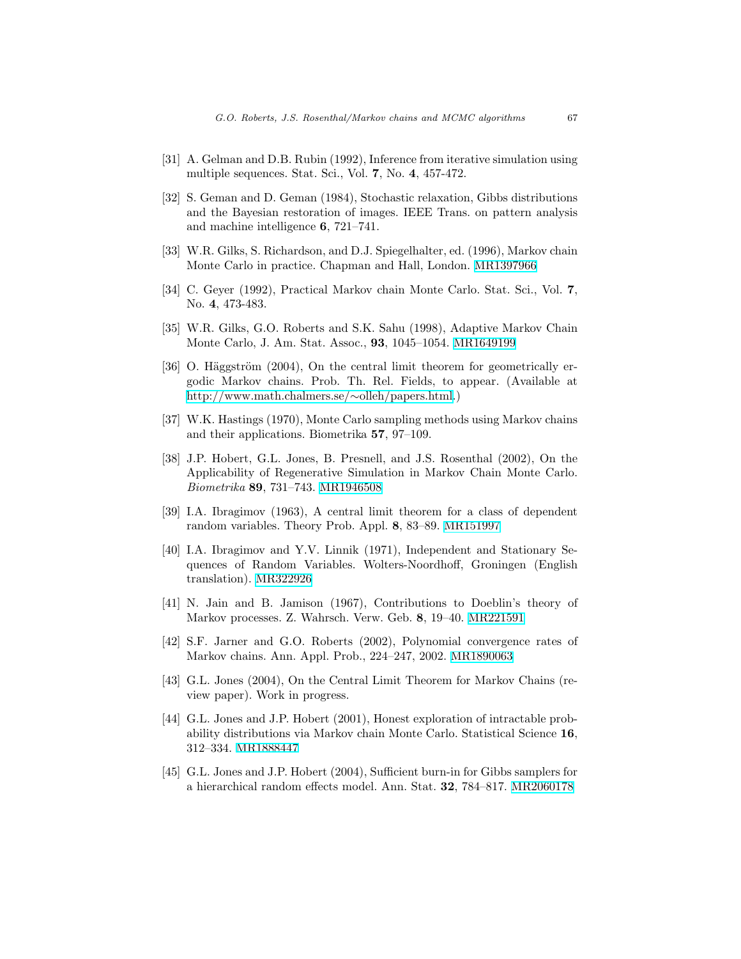- <span id="page-47-6"></span>[31] A. Gelman and D.B. Rubin (1992), Inference from iterative simulation using multiple sequences. Stat. Sci., Vol. 7, No. 4, 457-472.
- <span id="page-47-1"></span>[32] S. Geman and D. Geman (1984), Stochastic relaxation, Gibbs distributions and the Bayesian restoration of images. IEEE Trans. on pattern analysis and machine intelligence 6, 721–741.
- <span id="page-47-2"></span>[33] W.R. Gilks, S. Richardson, and D.J. Spiegelhalter, ed. (1996), Markov chain Monte Carlo in practice. Chapman and Hall, London. [MR1397966](http://www.ams.org/mathscinet-getitem?mr=1397966)
- <span id="page-47-9"></span>[34] C. Geyer (1992), Practical Markov chain Monte Carlo. Stat. Sci., Vol. 7, No. 4, 473-483.
- <span id="page-47-14"></span>[35] W.R. Gilks, G.O. Roberts and S.K. Sahu (1998), Adaptive Markov Chain Monte Carlo, J. Am. Stat. Assoc., 93, 1045–1054. [MR1649199](http://www.ams.org/mathscinet-getitem?mr=1649199)
- <span id="page-47-12"></span>[36] O. Häggström  $(2004)$ , On the central limit theorem for geometrically ergodic Markov chains. Prob. Th. Rel. Fields, to appear. (Available at [http://www.math.chalmers.se/](http://www.math.chalmers.se/~olleh/papers.html)∼olleh/papers.html.)
- <span id="page-47-0"></span>[37] W.K. Hastings (1970), Monte Carlo sampling methods using Markov chains and their applications. Biometrika 57, 97–109.
- <span id="page-47-7"></span>[38] J.P. Hobert, G.L. Jones, B. Presnell, and J.S. Rosenthal (2002), On the Applicability of Regenerative Simulation in Markov Chain Monte Carlo. Biometrika 89, 731–743. [MR1946508](http://www.ams.org/mathscinet-getitem?mr=1946508)
- <span id="page-47-13"></span>[39] I.A. Ibragimov (1963), A central limit theorem for a class of dependent random variables. Theory Prob. Appl. 8, 83–89. [MR151997](http://www.ams.org/mathscinet-getitem?mr=151997)
- <span id="page-47-11"></span>[40] I.A. Ibragimov and Y.V. Linnik (1971), Independent and Stationary Sequences of Random Variables. Wolters-Noordhoff, Groningen (English translation). [MR322926](http://www.ams.org/mathscinet-getitem?mr=322926)
- <span id="page-47-8"></span>[41] N. Jain and B. Jamison (1967), Contributions to Doeblin's theory of Markov processes. Z. Wahrsch. Verw. Geb. 8, 19–40. [MR221591](http://www.ams.org/mathscinet-getitem?mr=221591)
- <span id="page-47-5"></span>[42] S.F. Jarner and G.O. Roberts (2002), Polynomial convergence rates of Markov chains. Ann. Appl. Prob., 224–247, 2002. [MR1890063](http://www.ams.org/mathscinet-getitem?mr=1890063)
- <span id="page-47-10"></span>[43] G.L. Jones (2004), On the Central Limit Theorem for Markov Chains (review paper). Work in progress.
- <span id="page-47-3"></span>[44] G.L. Jones and J.P. Hobert (2001), Honest exploration of intractable probability distributions via Markov chain Monte Carlo. Statistical Science 16, 312–334. [MR1888447](http://www.ams.org/mathscinet-getitem?mr=1888447)
- <span id="page-47-4"></span>[45] G.L. Jones and J.P. Hobert (2004), Sufficient burn-in for Gibbs samplers for a hierarchical random effects model. Ann. Stat. 32, 784–817. [MR2060178](http://www.ams.org/mathscinet-getitem?mr=2060178)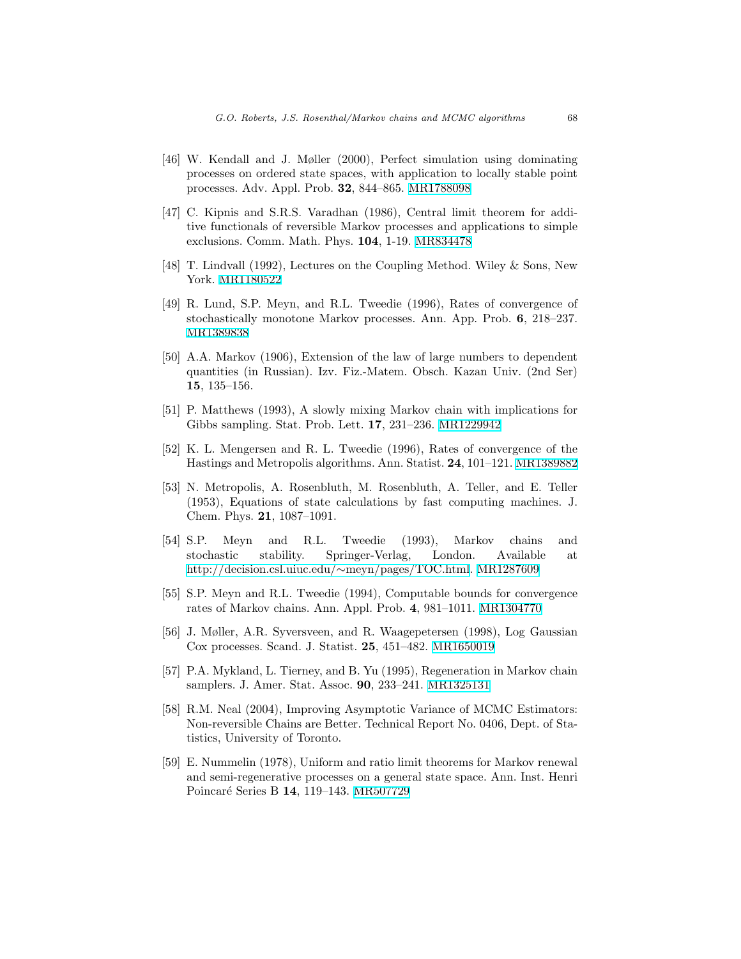- <span id="page-48-9"></span>[46] W. Kendall and J. Møller (2000), Perfect simulation using dominating processes on ordered state spaces, with application to locally stable point processes. Adv. Appl. Prob. 32, 844–865. [MR1788098](http://www.ams.org/mathscinet-getitem?mr=1788098)
- <span id="page-48-12"></span>[47] C. Kipnis and S.R.S. Varadhan (1986), Central limit theorem for additive functionals of reversible Markov processes and applications to simple exclusions. Comm. Math. Phys. 104, 1-19. [MR834478](http://www.ams.org/mathscinet-getitem?mr=834478)
- <span id="page-48-10"></span>[48] T. Lindvall (1992), Lectures on the Coupling Method. Wiley & Sons, New York. [MR1180522](http://www.ams.org/mathscinet-getitem?mr=1180522)
- <span id="page-48-8"></span>[49] R. Lund, S.P. Meyn, and R.L. Tweedie (1996), Rates of convergence of stochastically monotone Markov processes. Ann. App. Prob. 6, 218–237. [MR1389838](http://www.ams.org/mathscinet-getitem?mr=1389838)
- <span id="page-48-5"></span>[50] A.A. Markov (1906), Extension of the law of large numbers to dependent quantities (in Russian). Izv. Fiz.-Matem. Obsch. Kazan Univ. (2nd Ser) 15, 135–156.
- <span id="page-48-7"></span>[51] P. Matthews (1993), A slowly mixing Markov chain with implications for Gibbs sampling. Stat. Prob. Lett. 17, 231–236. [MR1229942](http://www.ams.org/mathscinet-getitem?mr=1229942)
- <span id="page-48-6"></span>[52] K. L. Mengersen and R. L. Tweedie (1996), Rates of convergence of the Hastings and Metropolis algorithms. Ann. Statist. 24, 101–121. [MR1389882](http://www.ams.org/mathscinet-getitem?mr=1389882)
- <span id="page-48-0"></span>[53] N. Metropolis, A. Rosenbluth, M. Rosenbluth, A. Teller, and E. Teller (1953), Equations of state calculations by fast computing machines. J. Chem. Phys. 21, 1087–1091.
- <span id="page-48-2"></span>[54] S.P. Meyn and R.L. Tweedie (1993), Markov chains and stochastic stability. Springer-Verlag, London. Available at [http://decision.csl.uiuc.edu/](http://decision.csl.uiuc.edu/~meyn/pages/TOC.html)∼meyn/pages/TOC.html. [MR1287609](http://www.ams.org/mathscinet-getitem?mr=1287609)
- <span id="page-48-4"></span>[55] S.P. Meyn and R.L. Tweedie (1994), Computable bounds for convergence rates of Markov chains. Ann. Appl. Prob. 4, 981–1011. [MR1304770](http://www.ams.org/mathscinet-getitem?mr=1304770)
- <span id="page-48-13"></span>[56] J. Møller, A.R. Syversveen, and R. Waagepetersen (1998), Log Gaussian Cox processes. Scand. J. Statist. 25, 451–482. [MR1650019](http://www.ams.org/mathscinet-getitem?mr=1650019)
- <span id="page-48-1"></span>[57] P.A. Mykland, L. Tierney, and B. Yu (1995), Regeneration in Markov chain samplers. J. Amer. Stat. Assoc. 90, 233–241. [MR1325131](http://www.ams.org/mathscinet-getitem?mr=1325131)
- <span id="page-48-3"></span>[58] R.M. Neal (2004), Improving Asymptotic Variance of MCMC Estimators: Non-reversible Chains are Better. Technical Report No. 0406, Dept. of Statistics, University of Toronto.
- <span id="page-48-11"></span>[59] E. Nummelin (1978), Uniform and ratio limit theorems for Markov renewal and semi-regenerative processes on a general state space. Ann. Inst. Henri Poincaré Series B 14, 119-143. [MR507729](http://www.ams.org/mathscinet-getitem?mr=507729)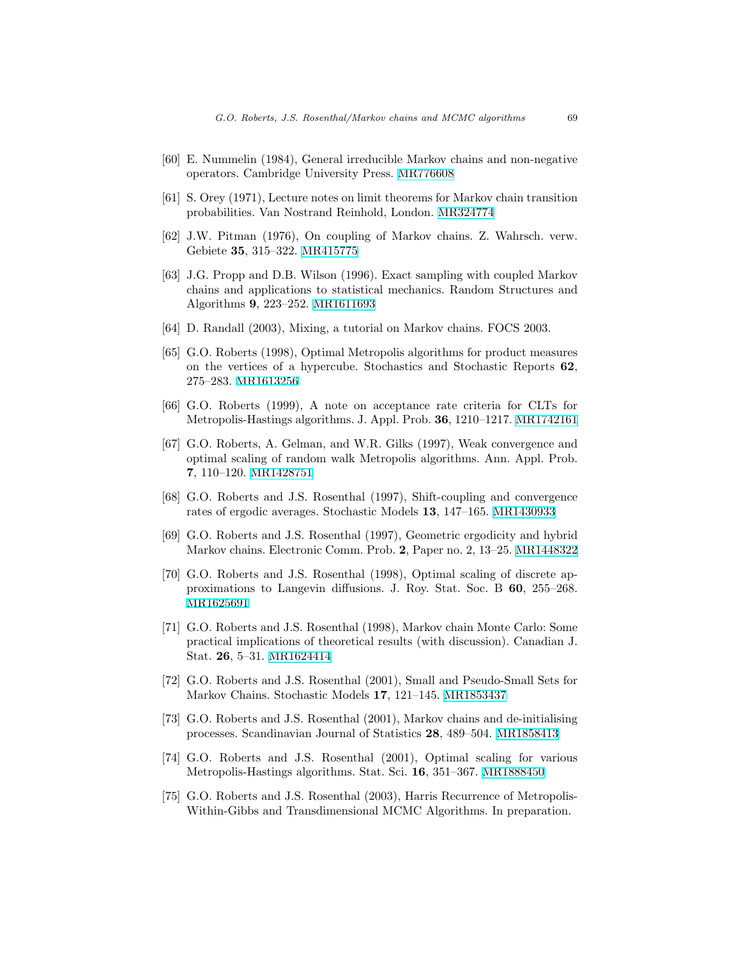- <span id="page-49-5"></span>[60] E. Nummelin (1984), General irreducible Markov chains and non-negative operators. Cambridge University Press. [MR776608](http://www.ams.org/mathscinet-getitem?mr=776608)
- <span id="page-49-2"></span>[61] S. Orey (1971), Lecture notes on limit theorems for Markov chain transition probabilities. Van Nostrand Reinhold, London. [MR324774](http://www.ams.org/mathscinet-getitem?mr=324774)
- <span id="page-49-9"></span>[62] J.W. Pitman (1976), On coupling of Markov chains. Z. Wahrsch. verw. Gebiete 35, 315–322. [MR415775](http://www.ams.org/mathscinet-getitem?mr=415775)
- <span id="page-49-7"></span>[63] J.G. Propp and D.B. Wilson (1996). Exact sampling with coupled Markov chains and applications to statistical mechanics. Random Structures and Algorithms 9, 223–252. [MR1611693](http://www.ams.org/mathscinet-getitem?mr=1611693)
- <span id="page-49-8"></span>[64] D. Randall (2003), Mixing, a tutorial on Markov chains. FOCS 2003.
- <span id="page-49-15"></span>[65] G.O. Roberts (1998), Optimal Metropolis algorithms for product measures on the vertices of a hypercube. Stochastics and Stochastic Reports 62, 275–283. [MR1613256](http://www.ams.org/mathscinet-getitem?mr=1613256)
- <span id="page-49-10"></span>[66] G.O. Roberts (1999), A note on acceptance rate criteria for CLTs for Metropolis-Hastings algorithms. J. Appl. Prob. 36, 1210–1217. [MR1742161](http://www.ams.org/mathscinet-getitem?mr=1742161)
- <span id="page-49-13"></span>[67] G.O. Roberts, A. Gelman, and W.R. Gilks (1997), Weak convergence and optimal scaling of random walk Metropolis algorithms. Ann. Appl. Prob. 7, 110–120. [MR1428751](http://www.ams.org/mathscinet-getitem?mr=1428751)
- <span id="page-49-4"></span>[68] G.O. Roberts and J.S. Rosenthal (1997), Shift-coupling and convergence rates of ergodic averages. Stochastic Models 13, 147–165. [MR1430933](http://www.ams.org/mathscinet-getitem?mr=1430933)
- <span id="page-49-1"></span>[69] G.O. Roberts and J.S. Rosenthal (1997), Geometric ergodicity and hybrid Markov chains. Electronic Comm. Prob. 2, Paper no. 2, 13–25. [MR1448322](http://www.ams.org/mathscinet-getitem?mr=1448322)
- <span id="page-49-14"></span>[70] G.O. Roberts and J.S. Rosenthal (1998), Optimal scaling of discrete approximations to Langevin diffusions. J. Roy. Stat. Soc. B 60, 255–268. [MR1625691](http://www.ams.org/mathscinet-getitem?mr=1625691)
- <span id="page-49-0"></span>[71] G.O. Roberts and J.S. Rosenthal (1998), Markov chain Monte Carlo: Some practical implications of theoretical results (with discussion). Canadian J. Stat. 26, 5–31. [MR1624414](http://www.ams.org/mathscinet-getitem?mr=1624414)
- <span id="page-49-6"></span>[72] G.O. Roberts and J.S. Rosenthal (2001), Small and Pseudo-Small Sets for Markov Chains. Stochastic Models 17, 121–145. [MR1853437](http://www.ams.org/mathscinet-getitem?mr=1853437)
- <span id="page-49-11"></span>[73] G.O. Roberts and J.S. Rosenthal (2001), Markov chains and de-initialising processes. Scandinavian Journal of Statistics 28, 489–504. [MR1858413](http://www.ams.org/mathscinet-getitem?mr=1858413)
- <span id="page-49-12"></span>[74] G.O. Roberts and J.S. Rosenthal (2001), Optimal scaling for various Metropolis-Hastings algorithms. Stat. Sci. 16, 351–367. [MR1888450](http://www.ams.org/mathscinet-getitem?mr=1888450)
- <span id="page-49-3"></span>[75] G.O. Roberts and J.S. Rosenthal (2003), Harris Recurrence of Metropolis-Within-Gibbs and Transdimensional MCMC Algorithms. In preparation.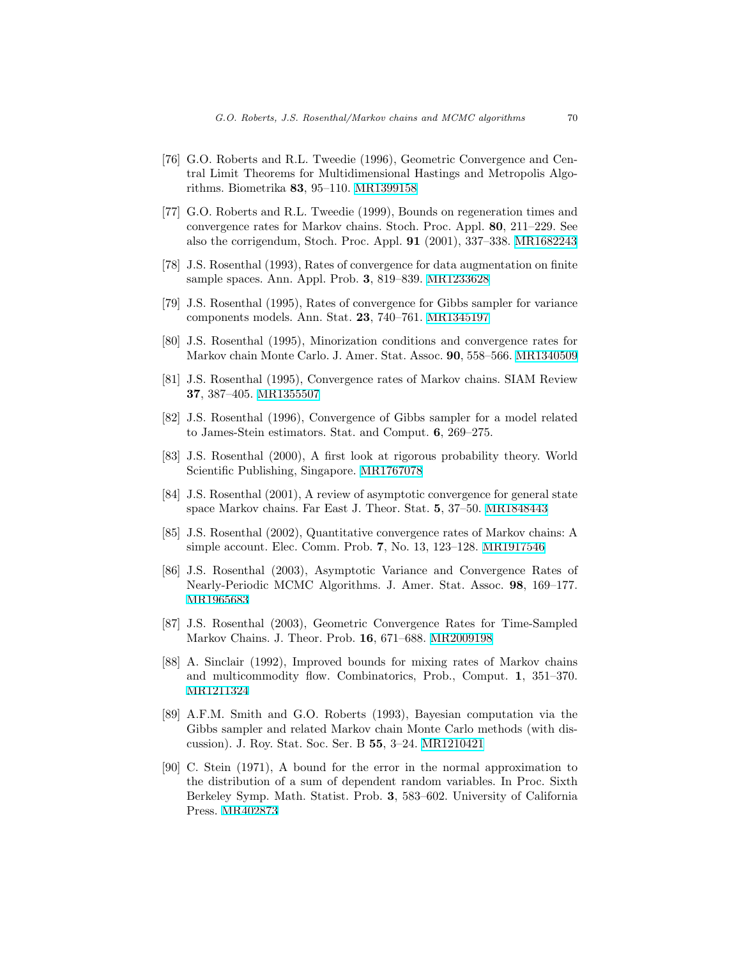- <span id="page-50-8"></span>[76] G.O. Roberts and R.L. Tweedie (1996), Geometric Convergence and Central Limit Theorems for Multidimensional Hastings and Metropolis Algorithms. Biometrika 83, 95–110. [MR1399158](http://www.ams.org/mathscinet-getitem?mr=1399158)
- <span id="page-50-4"></span>[77] G.O. Roberts and R.L. Tweedie (1999), Bounds on regeneration times and convergence rates for Markov chains. Stoch. Proc. Appl. 80, 211–229. See also the corrigendum, Stoch. Proc. Appl. 91 (2001), 337–338. [MR1682243](http://www.ams.org/mathscinet-getitem?mr=1682243)
- <span id="page-50-7"></span>[78] J.S. Rosenthal (1993), Rates of convergence for data augmentation on finite sample spaces. Ann. Appl. Prob. 3, 819–839. [MR1233628](http://www.ams.org/mathscinet-getitem?mr=1233628)
- <span id="page-50-1"></span>[79] J.S. Rosenthal (1995), Rates of convergence for Gibbs sampler for variance components models. Ann. Stat. 23, 740–761. [MR1345197](http://www.ams.org/mathscinet-getitem?mr=1345197)
- <span id="page-50-3"></span>[80] J.S. Rosenthal (1995), Minorization conditions and convergence rates for Markov chain Monte Carlo. J. Amer. Stat. Assoc. 90, 558–566. [MR1340509](http://www.ams.org/mathscinet-getitem?mr=1340509)
- <span id="page-50-6"></span>[81] J.S. Rosenthal (1995), Convergence rates of Markov chains. SIAM Review 37, 387–405. [MR1355507](http://www.ams.org/mathscinet-getitem?mr=1355507)
- <span id="page-50-2"></span>[82] J.S. Rosenthal (1996), Convergence of Gibbs sampler for a model related to James-Stein estimators. Stat. and Comput. 6, 269–275.
- <span id="page-50-14"></span>[83] J.S. Rosenthal (2000), A first look at rigorous probability theory. World Scientific Publishing, Singapore. [MR1767078](http://www.ams.org/mathscinet-getitem?mr=1767078)
- <span id="page-50-13"></span>[84] J.S. Rosenthal (2001), A review of asymptotic convergence for general state space Markov chains. Far East J. Theor. Stat. 5, 37–50. [MR1848443](http://www.ams.org/mathscinet-getitem?mr=1848443)
- <span id="page-50-5"></span>[85] J.S. Rosenthal (2002), Quantitative convergence rates of Markov chains: A simple account. Elec. Comm. Prob. 7, No. 13, 123–128. [MR1917546](http://www.ams.org/mathscinet-getitem?mr=1917546)
- <span id="page-50-9"></span>[86] J.S. Rosenthal (2003), Asymptotic Variance and Convergence Rates of Nearly-Periodic MCMC Algorithms. J. Amer. Stat. Assoc. 98, 169–177. [MR1965683](http://www.ams.org/mathscinet-getitem?mr=1965683)
- <span id="page-50-10"></span>[87] J.S. Rosenthal (2003), Geometric Convergence Rates for Time-Sampled Markov Chains. J. Theor. Prob. 16, 671–688. [MR2009198](http://www.ams.org/mathscinet-getitem?mr=2009198)
- <span id="page-50-11"></span>[88] A. Sinclair (1992), Improved bounds for mixing rates of Markov chains and multicommodity flow. Combinatorics, Prob., Comput. 1, 351–370. [MR1211324](http://www.ams.org/mathscinet-getitem?mr=1211324)
- <span id="page-50-0"></span>[89] A.F.M. Smith and G.O. Roberts (1993), Bayesian computation via the Gibbs sampler and related Markov chain Monte Carlo methods (with discussion). J. Roy. Stat. Soc. Ser. B 55, 3–24. [MR1210421](http://www.ams.org/mathscinet-getitem?mr=1210421)
- <span id="page-50-12"></span>[90] C. Stein (1971), A bound for the error in the normal approximation to the distribution of a sum of dependent random variables. In Proc. Sixth Berkeley Symp. Math. Statist. Prob. 3, 583–602. University of California Press. [MR402873](http://www.ams.org/mathscinet-getitem?mr=402873)